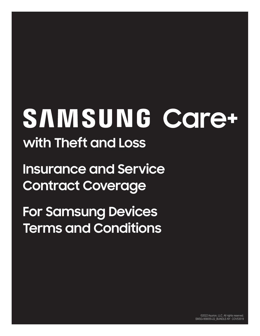# SAMSUNG Care+ **with Theft and Loss**

**Insurance and Service Contract Coverage**

**For Samsung Devices Terms and Conditions**

> ©2022 Asurion, LLC. All rights reserved. SMSG-958055-22\_BUNDLE-NY COV53519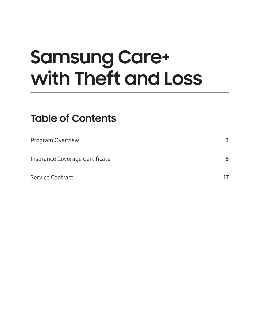# **Samsung Care+ with Theft and Loss**

# **Table of Contents**

| Program Overview               | 3 |
|--------------------------------|---|
| Insurance Coverage Certificate | 8 |
| Service Contract               |   |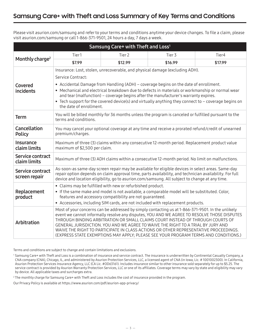<span id="page-2-0"></span>Please visit asurion.com/samsung and refer to your terms and conditions anytime your device changes. To file a claim, please visit asurion.com/samsung or call 1-866-371-9501, 24 hours a day, 7 days a week.

| Samsung Care+ with Theft and Loss <sup>1</sup> |                                                                                                                                                                                                                                                                                                                                                                                                                   |                                                            |                                                                                                                                                                                                                                                                                                                                                                                                                                                        |                                                                                             |  |
|------------------------------------------------|-------------------------------------------------------------------------------------------------------------------------------------------------------------------------------------------------------------------------------------------------------------------------------------------------------------------------------------------------------------------------------------------------------------------|------------------------------------------------------------|--------------------------------------------------------------------------------------------------------------------------------------------------------------------------------------------------------------------------------------------------------------------------------------------------------------------------------------------------------------------------------------------------------------------------------------------------------|---------------------------------------------------------------------------------------------|--|
| Monthly charge <sup>2</sup>                    | Tier1                                                                                                                                                                                                                                                                                                                                                                                                             | Tier <sub>2</sub>                                          | Tier 3                                                                                                                                                                                                                                                                                                                                                                                                                                                 | Tier4                                                                                       |  |
|                                                | \$7.99                                                                                                                                                                                                                                                                                                                                                                                                            | \$12.99                                                    | \$16.99                                                                                                                                                                                                                                                                                                                                                                                                                                                | \$17.99                                                                                     |  |
|                                                | Insurance: Lost, stolen, unrecoverable, and physical damage (excluding ADH).                                                                                                                                                                                                                                                                                                                                      |                                                            |                                                                                                                                                                                                                                                                                                                                                                                                                                                        |                                                                                             |  |
|                                                | Service Contract:                                                                                                                                                                                                                                                                                                                                                                                                 |                                                            |                                                                                                                                                                                                                                                                                                                                                                                                                                                        |                                                                                             |  |
| Covered<br>incidents                           | • Accidental Damage from Handling (ADH) - coverage begins on the date of enrollment.<br>• Mechanical and electrical breakdown due to defects in materials or workmanship or normal wear<br>and tear (malfunction) - coverage begins after the manufacturer's warranty expires.<br>• Tech support for the covered device(s) and virtually anything they connect to - coverage begins on<br>the date of enrollment. |                                                            |                                                                                                                                                                                                                                                                                                                                                                                                                                                        |                                                                                             |  |
| <b>Term</b>                                    | You will be billed monthly for 36 months unless the program is canceled or fulfilled pursuant to the<br>terms and conditions.                                                                                                                                                                                                                                                                                     |                                                            |                                                                                                                                                                                                                                                                                                                                                                                                                                                        |                                                                                             |  |
| <b>Cancellation</b><br><b>Policy</b>           | You may cancel your optional coverage at any time and receive a prorated refund/credit of unearned<br>premium/charges.                                                                                                                                                                                                                                                                                            |                                                            |                                                                                                                                                                                                                                                                                                                                                                                                                                                        |                                                                                             |  |
| <b>Insurance</b><br>claim limits               | Maximum of three (3) claims within any consecutive 12-month period. Replacement product value<br>maximum of \$2,500 per claim.                                                                                                                                                                                                                                                                                    |                                                            |                                                                                                                                                                                                                                                                                                                                                                                                                                                        |                                                                                             |  |
| Service contract<br>claim limits               | Maximum of three (3) ADH claims within a consecutive 12-month period. No limit on malfunctions.                                                                                                                                                                                                                                                                                                                   |                                                            |                                                                                                                                                                                                                                                                                                                                                                                                                                                        |                                                                                             |  |
| Service contract<br>screen repair              | As-soon-as same-day screen repair may be available for eligible devices in select areas. Same-day<br>repair option depends on claim approval time, parts availability, and technician availability. For full<br>device and location eligibility, go to asurion.com/samsung. All subject to change at any time.                                                                                                    |                                                            |                                                                                                                                                                                                                                                                                                                                                                                                                                                        |                                                                                             |  |
|                                                |                                                                                                                                                                                                                                                                                                                                                                                                                   | • Claims may be fulfilled with new or refurbished product. |                                                                                                                                                                                                                                                                                                                                                                                                                                                        |                                                                                             |  |
| Replacement<br>product                         |                                                                                                                                                                                                                                                                                                                                                                                                                   | features and accessory compatibility are not guaranteed.   | • If the same make and model is not available, a comparable model will be substituted. Color,                                                                                                                                                                                                                                                                                                                                                          |                                                                                             |  |
|                                                |                                                                                                                                                                                                                                                                                                                                                                                                                   |                                                            | • Accessories, including SIM cards, are not included with replacement products.                                                                                                                                                                                                                                                                                                                                                                        |                                                                                             |  |
| Arbitration                                    |                                                                                                                                                                                                                                                                                                                                                                                                                   |                                                            | Most of your concerns can be addressed by simply contacting us at 1-866-371-9501. In the unlikely<br>THROUGH BINDING ARBITRATION OR SMALL CLAIMS COURT INSTEAD OF THROUGH COURTS OF<br>GENERAL JURISDICTION. YOU AND WE AGREE TO WAIVE THE RIGHT TO A TRIAL BY JURY AND<br>WAIVE THE RIGHT TO PARTICIPATE IN CLASS ACTIONS OR OTHER REPRESENTATIVE PROCEEDINGS.<br>(EXPRESS STATE EXEMPTIONS MAY APPLY; PLEASE SEE YOUR PROGRAM TERMS AND CONDITIONS.) | event we cannot informally resolve any disputes, YOU AND WE AGREE TO RESOLVE THOSE DISPUTES |  |

Terms and conditions are subject to change and contain limitations and exclusions.

<sup>2</sup> The monthly charge for Samsung Care+ with Theft and Loss includes the cost of insurance provided in the program.

Our Privacy Policy is available at https://www.asurion.com/pdf/asurion-app-privacy/

<sup>&</sup>lt;sup>1</sup> Samsung Care+ with Theft and Loss is a combination of insurance and service contract. The insurance is underwritten by Continental Casualty Company, a CNA company (CNA), Chicago, IL, and administered by Asurion Protection Services, LLC, a licensed agent of CNA (in Iowa, Lic. # 1001002300). In California, Asurion Protection Services Insurance Agency, LLC (CA Lic. #OD63161). Includes insurance similar to other insurance sold separately for up to \$5.25. The service contract is provided by Asurion Warranty Protection Services, LLC or one of its affiliates. Coverage terms may vary by state and eligibility may vary by device. All applicable taxes and surcharges extra.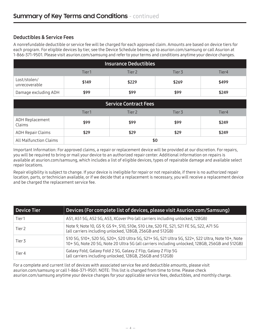# Deductibles & Service Fees

A nonrefundable deductible or service fee will be charged for each approved claim. Amounts are based on device tiers for each program. For eligible devices by tier, see the Device Schedule below, go to asurion.com/samsung or call Asurion at 1-866-371-9501. Please visit asurion.com/samsung and refer to your terms and conditions anytime your device changes.

| <b>Insurance Deductibles</b>       |       |       |       |       |  |
|------------------------------------|-------|-------|-------|-------|--|
| Tier 2<br>Tier1<br>Tier4<br>Tier 3 |       |       |       |       |  |
| Lost/stolen/<br>unrecoverable      | \$149 | \$229 | \$269 | \$499 |  |
| Damage excluding ADH               | \$99  | \$99  | \$99  | \$249 |  |

| <b>Service Contract Fees</b>                  |      |      |      |       |  |
|-----------------------------------------------|------|------|------|-------|--|
| Tier1<br>Tier <sub>2</sub><br>Tier4<br>Tier 3 |      |      |      |       |  |
| ADH Replacement<br>Claims                     | \$99 | \$99 | \$99 | \$249 |  |
| <b>ADH Repair Claims</b>                      | \$29 | \$29 | \$29 | \$249 |  |
| <b>All Malfunction Claims</b>                 | \$0  |      |      |       |  |

Important Information: For approved claims, a repair or replacement device will be provided at our discretion. For repairs, you will be required to bring or mail your device to an authorized repair center. Additional information on repairs is available at asurion.com/samsung, which includes a list of eligible devices, types of repairable damage and available select repair locations.

Repair eligibility is subject to change. If your device is ineligible for repair or not repairable, if there is no authorized repair location, parts, or technician available, or if we decide that a replacement is necessary, you will receive a replacement device and be charged the replacement service fee.

| <b>Device Tier</b> | Devices (For complete list of devices, please visit Asurion.com/Samsung)                                                                                                                         |
|--------------------|--------------------------------------------------------------------------------------------------------------------------------------------------------------------------------------------------|
| Tier1              | A51, A51 5G, A52 5G, A53, XCover Pro (all carriers including unlocked, 128GB)                                                                                                                    |
| Tier 2             | Note 9, Note 10, GS 9, GS 9+, S10, S10e, S10 Lite, S20 FE, S21, S21 FE 5G, S22, A71 5G<br>(all carriers including unlocked, 128GB, 256GB and 512GB)                                              |
| Tier 3             | S10 5G, S10+, S20 5G, S20+, S20 Ultra 5G, S21+ 5G, S21 Ultra 5G, S22+, S22 Ultra, Note 10+, Note<br>10+5G, Note 205G, Note 20 Ultra 5G (all carriers including unlocked, 128GB, 256GB and 512GB) |
| Tier 4             | Galaxy Fold, Galaxy Fold 2 5G, Galaxy Z Flip, Galaxy Z Flip 5G<br>(all carriers including unlocked, 128GB, 256GB and 512GB)                                                                      |

For a complete and current list of devices with associated service fee and deductible amounts, please visit asurion.com/samsung or call 1-866-371-9501. NOTE: This list is changed from time to time. Please check asurion.com/samsung anytime your device changes for your applicable service fees, deductibles, and monthly charge.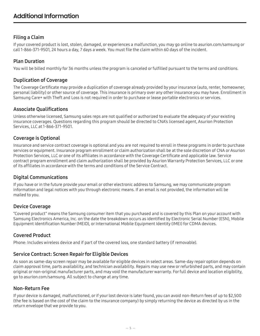# Filing a Claim

If your covered product is lost, stolen, damaged, or experiences a malfunction, you may go online to asurion.com/samsung or call 1-866-371-9501, 24 hours a day, 7 days a week. You must file the claim within 60 days of the incident.

# Plan Duration

You will be billed monthly for 36 months unless the program is canceled or fulfilled pursuant to the terms and conditions.

# Duplication of Coverage

The Coverage Certificate may provide a duplication of coverage already provided by your insurance (auto, renter, homeowner, personal liability) or other source of coverage. This insurance is primary over any other insurance you may have. Enrollment in Samsung Care+ with Theft and Loss is not required in order to purchase or lease portable electronics or services.

# Associate Qualifications

Unless otherwise licensed, Samsung sales reps are not qualified or authorized to evaluate the adequacy of your existing insurance coverages. Questions regarding this program should be directed to CNA's licensed agent, Asurion Protection Services, LLC at 1-866-371-9501.

# Coverage is Optional

Insurance and service contract coverage is optional and you are not required to enroll in these programs in order to purchase services or equipment. Insurance program enrollment or claim authorization shall be at the sole discretion of CNA or Asurion Protection Services, LLC or one of its affiliates in accordance with the Coverage Certificate and applicable law. Service contract program enrollment and claim authorization shall be provided by Asurion Warranty Protection Services, LLC or one of its affiliates in accordance with the terms and conditions of the Service Contract.

# Digital Communications

If you have or in the future provide your email or other electronic address to Samsung, we may communicate program information and legal notices with you through electronic means. If an email is not provided, the information will be mailed to you.

# Device Coverage

"Covered product" means the Samsung consumer item that you purchased and is covered by this Plan on your account with Samsung Electronics America, Inc. on the date the breakdown occurs as identified by Electronic Serial Number (ESN), Mobile Equipment Identification Number (MEID), or International Mobile Equipment Identity (IMEI) for CDMA devices.

# Covered Product

Phone: Includes wireless device and if part of the covered loss, one standard battery (if removable).

# Service Contract: Screen Repair for Eligible Devices

As soon as same-day screen repair may be available for eligible devices in select areas. Same-day repair option depends on claim approval time, parts availability, and technician availability. Repairs may use new or refurbished parts, and may contain original or non-original manufacturer parts, and may void the manufacturer warranty. For full device and location eligibility, go to asurion.com/samsung. All subject to change at any time.

# Non-Return Fee

If your device is damaged, malfunctioned, or if your lost device is later found, you can avoid non-Return fees of up to \$2,500 (the fee is based on the cost of the claim to the insurance company) by simply returning the device as directed by us in the return envelope that we provide to you.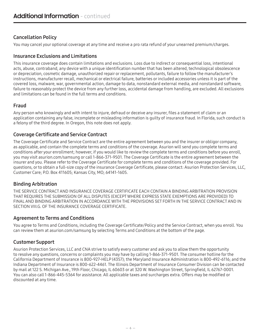# Cancellation Policy

You may cancel your optional coverage at any time and receive a pro rata refund of your unearned premium/charges.

# Insurance Exclusions and Limitations

This insurance coverage does contain limitations and exclusions. Loss due to indirect or consequential loss, intentional acts, abuse, contraband, any device with a unique identification number that has been altered, technological obsolescence or depreciation, cosmetic damage, unauthorized repair or replacement, pollutants, failure to follow the manufacturer's instructions, manufacturer recall, mechanical or electrical failure, batteries or included accessories unless it is part of the covered loss, malware, war, governmental action, damage to data, nonstandard external media, and nonstandard software, failure to reasonably protect the device from any further loss, accidental damage from handling, are excluded. All exclusions and limitations can be found in the full terms and conditions.

# Fraud

Any person who knowingly and with intent to injure, defraud or deceive any insurer, files a statement of claim or an application containing any false, incomplete or misleading information is guilty of insurance fraud. In Florida, such conduct is a felony of the third degree. In Oregon, this note does not apply.

# Coverage Certificate and Service Contract

The Coverage Certificate and Service Contract are the entire agreement between you and the insurer or obligor company, as applicable, and contain the complete terms and conditions of the coverage. Asurion will send you complete terms and conditions after your enrollment; however, if you would like to review the complete terms and conditions before you enroll, you may visit asurion.com/samsung or call 1-866-371-9501. The Coverage Certificate is the entire agreement between the insurer and you. Please refer to the Coverage Certificate for complete terms and conditions of the coverage provided. For questions, or to obtain a full-size copy of the insurance Coverage Certificate, please contact: Asurion Protection Services, LLC, Customer Care; P.O. Box 411605; Kansas City, MO; 64141-1605.

# Binding Arbitration

THE SERVICE CONTRACT AND INSURANCE COVERAGE CERTIFICATE EACH CONTAIN A BINDING ARBITRATION PROVISION THAT REQUIRES THE SUBMISSION OF ALL DISPUTES (EXCEPT WHERE EXPRESS STATE EXEMPTIONS ARE PROVIDED) TO FINAL AND BINDING ARBITRATION IN ACCORDANCE WITH THE PROVISIONS SET FORTH IN THE SERVICE CONTRACT AND IN SECTION VIII.G. OF THE INSURANCE COVERAGE CERTIFICATE.

# Agreement to Terms and Conditions

You agree to Terms and Conditions, including the Coverage Certificate/Policy and the Service Contract, when you enroll. You can review them at asurion.com/samsung by selecting Terms and Conditions at the bottom of the page.

# Customer Support

Asurion Protection Services, LLC and CNA strive to satisfy every customer and ask you to allow them the opportunity to resolve any questions, concerns or complaints you may have by calling 1-866-371-9501. The consumer hotline for the California Department of Insurance is 800-927-HELP (4357); the Maryland Insurance Administration is 800-492-6116; and the Indiana Department of Insurance is 800-622-4461. The Illinois Department of Insurance Consumer Division can be contacted by mail at 122 S. Michigan Ave., 19th Floor, Chicago, IL 60603 or at 320 W. Washington Street, Springfield, IL 62767-0001. You can also call 1-866-445-5364 for assistance. All applicable taxes and surcharges extra. Offers may be modified or discounted at any time.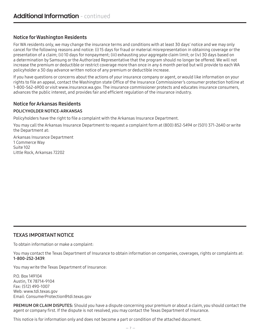# Notice for Washington Residents

For WA residents only, we may change the insurance terms and conditions with at least 30 days' notice and we may only cancel for the following reasons and notice: (i) 15 days for fraud or material misrepresentation in obtaining coverage or the presentation of a claim; (ii) 10 days for nonpayment; (iii) exhausting your aggregate claim limit; or (iv) 30 days based on a determination by Samsung or the Authorized Representative that the program should no longer be offered. We will not increase the premium or deductible or restrict coverage more than once in any 6 month period but will provide to each WA policyholder a 30 day advance written notice of any premium or deductible increase.

If you have questions or concerns about the actions of your insurance company or agent, or would like information on your rights to file an appeal, contact the Washington state Office of the Insurance Commissioner's consumer protection hotline at 1-800-562-6900 or visit www.insurance.wa.gov. The insurance commissioner protects and educates insurance consumers, advances the public interest, and provides fair and efficient regulation of the insurance industry.

# Notice for Arkansas Residents

# POLICYHOLDER NOTICE-ARKANSAS

Policyholders have the right to file a complaint with the Arkansas Insurance Department.

You may call the Arkansas Insurance Department to request a complaint form at (800) 852-5494 or (501) 371-2640 or write the Department at:

Arkansas Insurance Department 1 Commerce Way Suite 102 Little Rock, Arkansas 72202

# TEXAS IMPORTANT NOTICE

To obtain information or make a complaint:

You may contact the Texas Department of Insurance to obtain information on companies, coverages, rights or complaints at: 1-800-252-3439.

You may write the Texas Department of Insurance:

P.O. Box 149104 Austin, TX 78714-9104 Fax: (512) 490-1007 Web: www.tdi.texas.gov Email: ConsumerProtection@tdi.texas.gov

PREMIUM OR CLAIM DISPUTES: Should you have a dispute concerning your premium or about a claim, you should contact the agent or company first. If the dispute is not resolved, you may contact the Texas Department of Insurance.

This notice is for information only and does not become a part or condition of the attached document.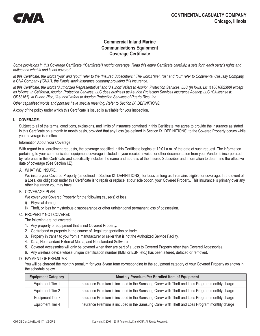<span id="page-7-0"></span>

# **Commercial Inland Marine Communications Equipment Coverage Certificate**

*Some provisions in this Coverage Certificate ("Certificate") restrict coverage. Read this entire Certificate carefully. It sets forth each party's rights and duties and what is and is not covered.*

*In this Certificate, the words "you" and "your" refer to the "Insured Subscribers." The words "we", "us" and "our" refer to Continental Casualty Company, a CNA Company ("CNA"), the Illinois stock insurance company providing this insurance.*

*In this Certificate, the words "Authorized Representative" and "Asurion" refers to Asurion Protection Services, LLC (In Iowa, Lic. #1001002300) except as follows: In California, Asurion Protection Services, LLC does business as Asurion Protection Services Insurance Agency, LLC (CA license #: OD63161). In Puerto Rico, "Asurion" refers to Asurion Protection Services of Puerto Rico, Inc.* 

*Other capitalized words and phrases have special meaning. Refer to Section IX. DEFINITIONS.*

A copy of the policy under which this Certificate is issued is available for your inspection.

#### **I. COVERAGE.**

Subject to all of the terms, conditions, exclusions, and limits of insurance contained in this Certificate, we agree to provide the insurance as stated in this Certificate on a month to month basis, provided that any Loss (as defined in Section IX. DEFINITIONS) to the Covered Property occurs while your coverage is in effect.

#### Information About Your Coverage

With regard to all enrollment requests, the coverage specified in this Certificate begins at 12:01 a.m. of the date of such request. The information pertaining to your communication equipment coverage included in your receipt, invoice, or other documentation from your Vendor is incorporated by reference in this Certificate and specifically includes the name and address of the Insured Subscriber and information to determine the effective date of coverage (See Section I.E).

A. WHAT WE INSURE.

We insure your Covered Property (as defined in Section IX. DEFINITIONS), for Loss as long as it remains eligible for coverage. In the event of a Loss, our obligation under this Certificate is to repair or replace, at our sole option, your Covered Property. This insurance is primary over any other insurance you may have.

B. COVERAGE PLAN

We cover your Covered Property for the following cause(s) of loss.

- i) Physical damage.
- ii) Theft, or loss by mysterious disappearance or other unintentional permanent loss of possession.

#### C. PROPERTY NOT COVERED.

The following are not covered:

- 1. Any property or equipment that is not Covered Property.
- 2. Contraband or property in the course of illegal transportation or trade.
- 3. Property in transit to you from a manufacturer or seller that is not the Authorized Service Facility.
- 4. Data, Nonstandard External Media, and Nonstandard Software.
- 5. Covered Accessories will only be covered when they are part of a Loss to Covered Property other than Covered Accessories.
- 6. Any wireless device whose unique identification number (IMEI or ESN, etc.) has been altered, defaced or removed.
- D. PAYMENT OF PREMIUMS.

You will be charged the monthly premium for your 3-year term corresponding to the equipment category of your Covered Property as shown in the schedule below.

| <b>Equipment Category</b> | Monthly Premium Per Enrolled Item of Equipment                                                |
|---------------------------|-----------------------------------------------------------------------------------------------|
| Equipment Tier 1          | Insurance Premium is included in the Samsung Care+ with Theft and Loss Program monthly charge |
| Equipment Tier 2          | Insurance Premium is included in the Samsung Care+ with Theft and Loss Program monthly charge |
| Equipment Tier 3          | Insurance Premium is included in the Samsung Care+ with Theft and Loss Program monthly charge |
| Equipment Tier 4          | Insurance Premium is included in the Samsung Care+ with Theft and Loss Program monthly charge |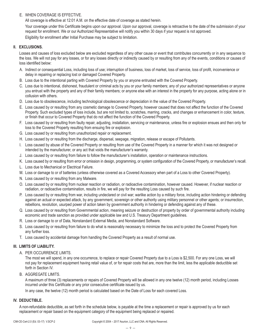# E. WHEN COVERAGE IS EFFECTIVE.

All coverage is effective at 12:01 A.M. on the effective date of coverage as stated herein.

Your coverage under this Certificate begins upon our approval. Upon our approval, coverage is retroactive to the date of the submission of your request for enrollment. We or our Authorized Representative will notify you within 30 days if your request is not approved.

Eligibility for enrollment after Initial Purchase may be subject to limitation.

#### **II. EXCLUSIONS.**

Losses and causes of loss excluded below are excluded regardless of any other cause or event that contributes concurrently or in any sequence to the loss. We will not pay for any losses, or for any losses directly or indirectly caused by or resulting from any of the events, conditions or causes of loss identified below:

- A. Indirect or consequential Loss, including loss of use; interruption of business, loss of market, loss of service, loss of profit, inconvenience or delay in repairing or replacing lost or damaged Covered Property.
- B. Loss due to the intentional parting with Covered Property by you or anyone entrusted with the Covered Property.
- C. Loss due to intentional, dishonest, fraudulent or criminal acts by you or your family members; any of your authorized representatives or anyone you entrust with the property and any of their family members; or anyone else with an interest in the property for any purpose, acting alone or in collusion with others.
- D. Loss due to obsolescence, including technological obsolescence or depreciation in the value of the Covered Property.
- E. Loss caused by or resulting from any cosmetic damage to Covered Property, however caused that does not affect the function of the Covered Property. Such excluded types of loss include, but are not limited to, scratches, marring, cracks, and changes or enhancement in color, texture, or finish that occur to Covered Property that do not affect the function of the Covered Property.
- F. Loss caused by or resulting from faulty repair, adjusting, installation, servicing or maintenance, unless fire or explosion ensues and then only for loss to the Covered Property resulting from ensuing fire or explosion.
- G. Loss caused by or resulting from unauthorized repair or replacement.
- H. Loss caused by or resulting from the discharge, dispersal, seepage, migration, release or escape of Pollutants.
- I. Loss caused by abuse of the Covered Property or resulting from use of the Covered Property in a manner for which it was not designed or intended by the manufacturer, or any act that voids the manufacturer's warranty.
- J. Loss caused by or resulting from failure to follow the manufacturer's installation, operation or maintenance instructions.
- K. Loss caused by or resulting from error or omission in design, programming, or system configuration of the Covered Property, or manufacturer's recall.
- L. Loss due to Mechanical or Electrical Failure.
- M. Loss or damage to or of batteries (unless otherwise covered as a Covered Accessory when part of a Loss to other Covered Property).
- N. Loss caused by or resulting from any Malware.
- O. Loss caused by or resulting from nuclear reaction or radiation, or radioactive contamination, however caused. However, if nuclear reaction or radiation, or radioactive contamination, results in fire, we will pay for the resulting Loss caused by such fire.
- P. Loss caused by or resulting from war, including undeclared or civil war; warlike action by a military force, including action hindering or defending against an actual or expected attack, by any government, sovereign or other authority using military personnel or other agents; or insurrection, rebellions, revolution, usurped power of action taken by government authority in hindering or defending against any of these.
- Q. Loss caused by or resulting from Governmental action, meaning seizure or destruction of property by order of governmental authority including economic and trade sanction as provided under applicable law and U.S. Treasury Department guidelines.
- R. Loss or damage to or of Data, Nonstandard External Media, and Nonstandard Software.
- S. Loss caused by or resulting from failure to do what is reasonably necessary to minimize the loss and to protect the Covered Property from any further loss.
- T. Loss caused by accidental damage from handling the Covered Property as a result of normal use.

### **III. LIMITS OF LIABILITY.**

A. PER OCCURRENCE LIMITS.

The most we will spend, in any one occurrence, to replace or repair Covered Property due to a Loss is \$2,500. For any one Loss, we will not pay for replacement equipment having retail value of, or for repair costs that are, more than the limit, less the applicable deductible set forth in Section IV.

B. AGGREGATE LIMITS.

A maximum of three (3) replacements or repairs of Covered Property will be allowed in any one twelve (12) month period, including Losses incurred under this Certificate or any prior consecutive certificate issued by us.

In any case, the twelve (12) month period is calculated based on the Date of Loss for each covered Loss.

#### **IV. DEDUCTIBLE.**

A non-refundable deductible, as set forth in the schedule below, is payable at the time a replacement or repair is approved by us for each replacement or repair based on the equipment category of the equipment being replaced or repaired.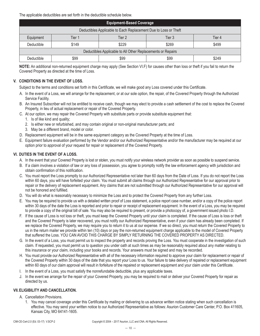The applicable deductibles are set forth in the deductible schedule below.

| <b>Equipment-Based Coverage</b>                                 |                                      |       |       |       |  |
|-----------------------------------------------------------------|--------------------------------------|-------|-------|-------|--|
| Deductibles Applicable to Each Replacement Due to Loss or Theft |                                      |       |       |       |  |
| Equipment                                                       | Tier 3<br>Tier 2<br>Tier 4<br>Tier 1 |       |       |       |  |
| Deductible                                                      | \$149                                | \$229 | \$269 | \$499 |  |
| Deductibles Applicable to All Other Replacements or Repairs     |                                      |       |       |       |  |
| Deductible                                                      | \$99                                 | \$99  | \$99  | \$249 |  |

**NOTE:** An additional non-returned equipment charge may apply (See Section VI.F) for causes other than loss or theft if you fail to return the Covered Property as directed at the time of Loss.

# **V. CONDITIONS IN THE EVENT OF LOSS.**

Subject to the terms and conditions set forth in this Certificate, we will make good any Loss covered under this Certificate.

- A. In the event of a Loss, we will arrange for the replacement, or at our sole option, the repair, of the Covered Property through the Authorized Service Facility.
- B. An Insured Subscriber will not be entitled to receive cash, though we may elect to provide a cash settlement of the cost to replace the Covered Property, in lieu of actual replacement or repair of the Covered Property.
- C. At our option, we may repair the Covered Property with substitute parts or provide substitute equipment that:
	- 1. Is of like kind and quality;
	- 2. Is either new or refurbished, and may contain original or non-original manufacturer parts; and
	- 3. May be a different brand, model or color.
- D. Replacement equipment will be in the same equipment category as the Covered Property at the time of Loss.
- E. Equipment failure evaluation performed by the Vendor and/or our Authorized Representative and/or the manufacturer may be required at our option prior to approval of your request for repair or replacement of the Covered Property.

### **VI. DUTIES IN THE EVENT OF A LOSS.**

- A. In the event that your Covered Property is lost or stolen, you must notify your wireless network provider as soon as possible to suspend service.
- B. If a claim involves a violation of law or any loss of possession, you agree to promptly notify the law enforcement agency with jurisdiction and obtain confirmation of this notification.
- C. You must report the Loss promptly to our Authorized Representative not later than 60 days from the Date of Loss. If you do not report the Loss within 60 days, you will have forfeited your claim. You must submit all claims through our Authorized Representative for our approval prior to repair or the delivery of replacement equipment. Any claims that are not submitted through our Authorized Representative for our approval will not be honored and fulfilled.
- D. You will do what is reasonably necessary to minimize the Loss and to protect the Covered Property from any further Loss.
- E. You may be required to provide us with a detailed written proof of Loss statement, a police report case number, and/or a copy of the police report within 30 days of the date the Loss is reported and prior to repair or receipt of replacement equipment. In the event of a Loss, you may be required to provide a copy of the original bill of sale. You may also be required to present, or provide a photocopy of, a government issued photo I.D.
- F. If the cause of Loss is not loss or theft, you must keep the Covered Property until your claim is completed. If the cause of Loss is loss or theft and the Covered Property is later recovered, you must notify our Authorized Representative, even if your claim has already been completed. If we replace the Covered Property, we may require you to return it to us at our expense. If we so direct, you must return the Covered Property to us in the return mailer we provide within ten (10) days or pay the non-returned equipment charge applicable to the model of Covered Property that suffered the Loss. YOU CAN AVOID THIS CHARGE BY SIMPLY RETURNING THE COVERED PROPERTY AS DIRECTED.
- G. In the event of a Loss, you must permit us to inspect the property and records proving the Loss. You must cooperate in the investigation of such claim. If requested, you must permit us to question you under oath at such times as may be reasonably required about any matter relating to this insurance or your claim, including your books and records. Your answers must be signed and may be recorded.
- H. You must provide our Authorized Representative with all of the necessary information required to approve your claim for replacement or repair of the Covered Property within 30 days of the date that you report your Loss to us. Your failure to take delivery of repaired or replacement equipment within 60 days of our claim approval will result in forfeiture of the repaired or replacement equipment and your claim under this Certificate.
- I. In the event of a Loss, you must satisfy the nonrefundable deductible, plus any applicable taxes.
- J. In the event we arrange for the repair of your Covered Property, you may be required to mail or deliver your Covered Property for repair as directed by us.

### **VII.ELIGIBILITY AND CANCELLATION.**

- A. Cancellation Provisions.
	- 1. You may cancel coverage under this Certificate by mailing or delivering to us advance written notice stating when such cancellation is effective. You may send your written notice to our Authorized Representative as follows: Asurion Customer Care Center, P.O. Box 411605, Kansas City, MO 64141-1605.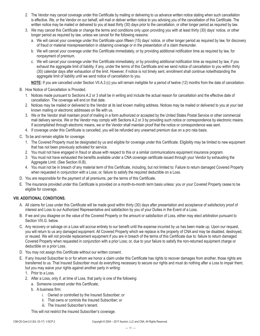- 2. The Vendor may cancel coverage under this Certificate by mailing or delivering to us advance written notice stating when such cancellation is effective. We, or the Vendor on our behalf, will mail or deliver written notice to you advising you of the cancellation of this Certificate. The written notice may be mailed or delivered to you at least thirty (30) days prior to the cancellation, or other longer period as required by law.
- 3. We may cancel this Certificate or change the terms and conditions only upon providing you with at least thirty (30) days' notice, or other longer period as required by law, unless we cancel for the following reasons:
	- a. We will cancel your coverage under this Certificate upon fifteen (15) days' notice, or other longer period as required by law, for discovery of fraud or material misrepresentation in obtaining coverage or in the presentation of a claim thereunder.
	- b. We will cancel your coverage under this Certificate immediately, or by providing additional notification time as required by law, for nonpayment of premium.
	- c. We will cancel your coverage under this Certificate immediately, or by providing additional notification time as required by law, if you exhaust the aggregate limit of liability, if any, under the terms of this Certificate and we send notice of cancellation to you within thirty (30) calendar days after exhaustion of the limit. However, if notice is not timely sent, enrollment shall continue notwithstanding the aggregate limit of liability until we send notice of cancellation to you.

**NOTE:** If you are cancelled under Section VII.A.3.(c) you will remain ineligible for a period of twelve (12) months from the date of cancellation.

- B. How Notice of Cancellation is Provided.
	- 1. Notices made pursuant to Sections A.2 or 3 shall be in writing and include the actual reason for cancellation and the effective date of cancellation. The coverage will end on that date.
	- 2. Notices may be mailed or delivered to the Vendor at its last known mailing address. Notices may be mailed or delivered to you at your last known mailing or electronic addresses on file with us.
	- 3. We or the Vendor shall maintain proof of mailing in a form authorized or accepted by the United States Postal Service or other commercial mail delivery service. We or the Vendor may comply with Sections A.2 or 3 by providing such notice or correspondence by electronic means. If accomplished through electronic means, we or the Vendor shall maintain proof that the notice or correspondence was sent.
	- 4. If coverage under this Certificate is cancelled, you will be refunded any unearned premium due on a pro rata basis.
- C. To be and remain eligible for coverage:
	- 1. The Covered Property must be designated by us and eligible for coverage under this Certificate. Eligibility may be limited to new equipment that has not been previously activated for service.
	- 2. You must not have engaged in fraud or abuse with respect to this or a similar communications equipment insurance program.
	- 3. You must not have exhausted the benefits available under a CNA coverage certificate issued through your Vendor by exhausting the Aggregate Limit. (See Section III.B).
	- 4. You must not be in breach of any material term of this Certificate, including, but not limited to: Failure to return damaged Covered Property when requested in conjunction with a Loss; or, failure to satisfy the required deductible on a Loss.
- D. You are responsible for the payment of all premiums, per the terms of this Certificate.
- E. The insurance provided under this Certificate is provided on a month-to-month term basis unless: you or your Covered Property cease to be eligible for coverage.

### **VIII. ADDITIONAL CONDITIONS.**

- A. All claims for Loss under this Certificate will be made good within thirty (30) days after presentation and acceptance of satisfactory proof of interest and Loss to our Authorized Representative and satisfaction by you of your Duties in the Event of a Loss.
- B. If we and you disagree on the value of the Covered Property or the amount or satisfaction of Loss, either may elect arbitration pursuant to Section VIII.G. below.
- C. Any recovery or salvage on a Loss will accrue entirely to our benefit until the expense incurred by us has been made up. Upon our request, you will return to us any damaged equipment. All Covered Property which we replace is the property of CNA and may be disabled, destroyed, or reused. We will not provide replacement equipment if you are in breach of the terms of this Certificate due to: failure to return damaged Covered Property when requested in conjunction with a prior Loss; or, due to your failure to satisfy the non-returned equipment charge or deductible on a prior Loss.
- D. You may not assign this Certificate without our written consent.
- E. If any Insured Subscriber to or for whom we honor a claim under this Certificate has rights to recover damages from another, those rights are transferred to us. That Insured Subscriber must do everything necessary to secure our rights and must do nothing after a Loss to impair them; but you may waive your rights against another party in writing:
	- 1. Prior to a Loss.
	- 2. After a Loss, only if, at time of Loss, that party is one of the following:
		- a. Someone covered under this Certificate;
		- b. A business firm;
			- i. Owned or controlled by the Insured Subscriber; or
			- ii. That owns or controls the Insured Subscriber; or
			- iii. The Insured Subscriber's tenant.

This will not restrict the Insured Subscriber's coverage.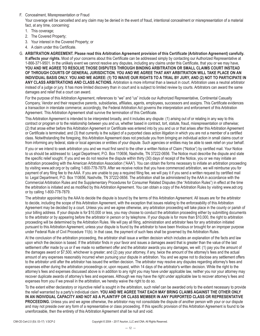F. Concealment, Misrepresentation or Fraud

Your coverage will be cancelled and any claim may be denied in the event of fraud, intentional concealment or misrepresentation of a material fact, at any time, concerning:

- 1. This coverage;
- 2. The Covered Property;
- 3. Your interest in the Covered Property; or
- 4. A claim under this Certificate.

G. **ARBITRATION AGREEMENT. Please read this Arbitration Agreement provision of this Certificate (Arbitration Agreement) carefully. It affects your rights.** Most of your concerns about this Certificate can be addressed simply by contacting our Authorized Representative at 1-866-371-9501. In the unlikely event we cannot resolve any disputes, including any claims under this Certificate, that you or we may have, **YOU AND WE AGREE TO RESOLVE THOSE DISPUTES THROUGH BINDING ARBITRATION OR SMALL CLAIMS COURT INSTEAD OF THROUGH COURTS OF GENERAL JURISDICTION. YOU AND WE AGREE THAT ANY ARBITRATION WILL TAKE PLACE ON AN INDIVIDUAL BASIS ONLY. YOU AND WE AGREE: (1) TO WAIVE OUR RIGHTS TO A TRIAL BY JURY, AND (2) NOT TO PARTICIPATE IN ANY CLASS ARBITRATIONS AND CLASS ACTIONS.** Arbitration is more informal than a lawsuit in court. Arbitration uses a neutral arbitrator instead of a judge or jury. It has more limited discovery than in court and is subject to limited review by courts. Arbitrators can award the same damages and relief that a court can award.

For the purpose of this Arbitration Agreement, references to "we" and "us" include our Authorized Representative, Continental Casualty Company, Vendor and their respective parents, subsidiaries, affiliates, agents, employees, successors and assigns. This Certificate evidences a transaction in interstate commerce; accordingly, the Federal Arbitration Act governs the interpretation and enforcement of this Arbitration Agreement. This Arbitration Agreement shall survive the termination of this Certificate.

This Arbitration Agreement is intended to be interpreted broadly, and it includes any dispute: (1) arising out of or relating in any way to this contract or program or to the relationship between you and us, whether based in contract, tort, statute, fraud, misrepresentation or otherwise; (2) that arose either before this Arbitration Agreement or Certificate was entered into by you and us or that arises after this Arbitration Agreement or Certificate is terminated; and (3) that currently is the subject of a purported class action litigation in which you are not a member of a certified class. Notwithstanding the foregoing, this Arbitration Agreement does not preclude you from bringing an individual action in small claims court or from informing any federal, state or local agencies or entities of your dispute. Such agencies or entities may be able to seek relief on your behalf.

If you or we intend to seek arbitration you and we must first send to the other a written Notice of Claim ("Notice") by certified mail. Your Notice to us should be addressed to: Legal Department, P.O. Box 110656, Nashville, TN 37222-0656. The Notice must describe the dispute and state the specific relief sought. If you and we do not resolve the dispute within thirty (30) days of receipt of the Notice, you or we may initiate an arbitration proceeding with the American Arbitration Association ("AAA"). You can obtain the forms necessary to initiate an arbitration proceeding by visiting www.adr.org or by calling 1-800-778-7879. After we receive notice that you have commenced arbitration, we will reimburse you for payment of any filing fee to the AAA. If you are unable to pay a required filing fee, we will pay it if you send a written request by certified mail to: Legal Department, P.O. Box 110656, Nashville, TN 37222-0656. The arbitration shall be administered by the AAA in accordance with the Commercial Arbitration Rules and the Supplementary Procedures for Consumer Related Disputes (the "Arbitration Rules") in effect at the time the arbitration is initiated and as modified by this Arbitration Agreement. You can obtain a copy of the Arbitration Rules by visiting www.adr.org or by calling 1-800-778-7879.

The arbitrator appointed by the AAA to decide the dispute is bound by the terms of this Arbitration Agreement. All issues are for the arbitrator to decide, including the scope of this Arbitration Agreement, with the exception that issues relating to the enforceability of this Arbitration Agreement may be decided by a court. Unless you and we agree otherwise, any arbitration proceeding will take place in the county or parish of your billing address. If your dispute is for \$10,000 or less, you may choose to conduct the arbitration proceeding either by submitting documents to the arbitrator or by appearing before the arbitrator in person or by telephone. If your dispute is for more than \$10,000, the right to arbitration proceeding will be determined by the Arbitration Rules. We will pay all filing, administration and arbitrator fees for any arbitration initiated pursuant to this Arbitration Agreement, unless your dispute is found by the arbitrator to have been frivolous or brought for an improper purpose under Federal Rule of Civil Procedure 11(b). In that case, the payment of such fees shall be governed by the Arbitration Rules.

At the conclusion of the arbitration proceeding, the arbitrator shall issue a written decision which includes an explanation of the facts and law upon which the decision is based. If the arbitrator finds in your favor and issues a damages award that is greater than the value of the last settlement offer made by us or if we made no settlement offer and the arbitrator awards you any damages, we will: (1) pay you the amount of the damages award or \$7,500, whichever is greater; and (2) pay your attorney, if any, twice the amount of the attorney's fees and the actual amount of any expenses reasonably incurred when pursuing your dispute in arbitration. You and we agree not to disclose any settlement offers to the arbitrator until after the arbitrator has issued the written decision. The arbitrator may resolve any disputes regarding attorney's fees and expenses either during the arbitration proceedings or, upon request, within 14 days of the arbitrator's written decision. While the right to the attorney's fees and expenses discussed above is in addition to any right you may have under applicable law, neither you nor your attorney may recover duplicate awards of attorney's fees and expenses. Although we may have the right under applicable law to recover attorney's fees and expenses from you if we prevail in the arbitration, we hereby waive the right to do so.

To the extent either declaratory or injunctive relief is sought in the arbitration, such relief can be awarded only to the extent necessary to provide the relief warranted by a party's individual claim. **YOU AND WE AGREE THAT EACH MAY BRING CLAIMS AGAINST THE OTHER ONLY IN AN INDIVIDUAL CAPACITY AND NOT AS A PLAINTIFF OR CLASS MEMBER IN ANY PURPORTED CLASS OR REPRESENTATIVE PROCEEDING.** Unless you and we agree otherwise, the arbitrator may not consolidate the dispute of another person with your or our dispute and may not preside over any form of a representative or class proceeding. If this specific provision of this Arbitration Agreement is found to be unenforceable, then the entirety of this Arbitration Agreement shall be null and void.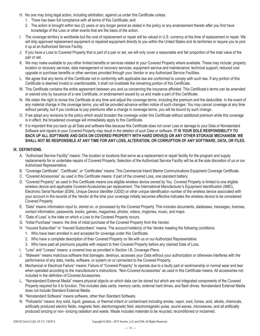- H. No one may bring legal action, including arbitration, against us under this Certificate unless:
	- 1. There has been full compliance with all terms of this Certificate; and
	- 2. The action is brought within two (2) years or any longer period as stated in the policy or any endorsement thereto after you first have knowledge of the Loss or other events that are the basis of the action.
- I. The coverage territory is worldwide but the cost of replacement or repair will be valued in U.S. currency at the time of replacement or repair. We will ship approved replacement equipment or repaired equipment directly to you within the United States and its territories or require you to pick it up at an Authorized Service Facility.
- J. If you have a Loss to Covered Property that is part of a pair or set, we will only cover a reasonable and fair proportion of the total value of the pair or set.
- K. We may make available to you other limited benefits or services related to your Covered Property where available. These may include: property location or recovery services; data management or recovery services; equipment service and maintenance; technical support; reduced cost upgrade or purchase benefits or other services provided through your Vendor or any Authorized Service Facilities.
- L. We agree that any terms of this Certificate not in conformity with applicable law are conformed to comply with such law. If any portion of this Certificate is deemed invalid or unenforceable, it shall not invalidate the remaining portion of this Certificate.
- M. This Certificate contains the entire agreement between you and us concerning the insurance afforded. This Certificate's terms can be amended or waived only by issuance of a new Certificate, or endorsement issued by us and made a part of this Certificate.
- N. We retain the right to revise this Certificate at any time and adjust the coverage terms, including the premium and the deductible. In the event of any material change in the coverage terms, you will be provided advance written notice of such changes. You may cancel coverage at any time without penalty, but if you continue to pay premiums after a change in coverage terms, you will be bound by such change.
- O. If we adopt any revisions to the policy which would broaden the coverage under this Certificate without additional premium while this coverage is in effect, the broadened coverage will immediately apply to this Certificate.
- P. It is important that you back up all Data and software files because this Certificate does not cover Loss or damage to your Data or Nonstandard Software and repairs to your Covered Property may result in the deletion of such Data or software. **IT IS YOUR SOLE RESPONSIBILITY TO BACK UP ALL SOFTWARE AND DATA ON COVERED PROPERTY WITH HARD DRIVE(S) OR ANY OTHER STORAGE MECHANISM. WE SHALL NOT BE RESPONSIBLE AT ANY TIME FOR ANY LOSS, ALTERATION, OR CORRUPTION OF ANY SOFTWARE, DATA, OR FILES.**

### **IX. DEFINITIONS.**

- A. "Authorized Service Facility" means: The location or locations that serve as a replacement or repair facility for the program and supply replacements for or undertake repairs of Covered Property. Selection of the Authorized Service Facility will be at the sole discretion of us or our Authorized Representative.
- B. "Coverage Certificate", "Certificate", or "Certificates" means: This Commercial Inland Marine Communications Equipment Coverage Certificate.
- C. "Covered Accessories" as used in this Certificate means: if part of the covered Loss, one standard battery.
- D. "Covered Property" as used in this Certificate means one eligible wireless device owned by You. Covered Property is limited to one eligible wireless device and applicable Covered Accessories per replacement. The International Manufacturer's Equipment Identification (IMEI), Electronic Serial Number (ESN), Unique Device Identifier (UDiD) or other unique identification number of the wireless device associated with your account in the records of the Vendor at the time your coverage initially becomes effective indicates the wireless device to be considered Covered Property.
- E. "Data" means information input to, stored on, or processed by the Covered Property. This includes documents, databases, messages, licenses, contact information, passwords, books, games, magazines, photos, videos, ringtones, music, and maps.
- F. "Date of Loss" is the date on which a Loss to the Covered Property occurs.
- G. "Initial Purchase" means: the time of initial purchase of the Covered Property from the Vendor.
- H. "Insured Subscriber" or "Insured Subscribers" means: The account holder(s) of the Vendor meeting the following conditions:
	- 1. Who have been enrolled in and accepted for coverage under this Certificate.
	- 2. Who have a complete description of their Covered Property on file with us or our Authorized Representative.
	- 3. Who have paid all premiums payable with respect to their Covered Property before any claimed Date of Loss.
- I. "Loss" and "Losses" means: a covered loss as provided in Section I.B. Coverage Plans.
- J. "Malware" means malicious software that damages, destroys, accesses your Data without your authorization or otherwise interferes with the performance of any data, media, software, or system on or connected to the Covered Property.
- K. Mechanical or Electrical Failure" means: Failure of "Covered Property" to operate due to a faulty part or workmanship or normal wear and tear when operated according to the manufacturer's instructions. "Non-Covered Accessories" as used in this Certificate means: All accessories not included in the definition of Covered Accessories.
- L. "Nonstandard External Media" means physical objects on which data can be stored but which are not integrated components of the Covered Property required for it to function. This includes data cards, memory cards, external hard drives, and flash drives. Nonstandard External Media does not include Standard External Media.
- M. "Nonstandard Software" means software, other than Standard Software.
- N. "Pollutants" means: Any solid, liquid, gaseous, or thermal irritant or contaminant including smoke, vapor, soot, fumes, acid, alkalis, chemicals, artificially produced electric fields, magnetic field, electromagnetic field, electromagnetic pulse, sound waves, microwaves, and all artificially produced ionizing or non- ionizing radiation and waste. Waste includes materials to be recycled, reconditioned or reclaimed.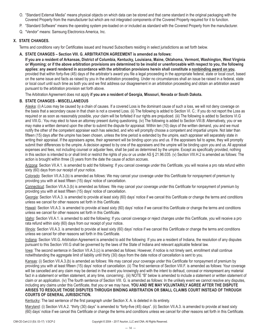- O. "Standard External Media" means physical objects on which data can be stored and that came standard in the original packaging with the Covered Property from the manufacturer but which are not integrated components of the Covered Property required for it to function.
- P. "Standard Software" means the operating system pre-loaded on or included as standard with the Covered Property from the manufacturer.
- Q. "Vendor" means: Samsung Electronics America, Inc.

## **X. STATE CHANGES.**

Terms and conditions vary for Certificates issued and Insured Subscribers residing in select jurisdictions as set forth below.

#### **A. STATE CHANGES – Section VIII. G. ARBITRATION AGREEMENT is amended as follows:**

**If you are a resident of Arkansas, District of Columbia, Kentucky, Louisiana, Maine, Oklahoma, Vermont, Washington, West Virginia or Wyoming; or if the above arbitration provisions are determined to be invalid or unenforceable with respect to you, the following applies: any award rendered in accordance with the arbitration provisions herein shall constitute a nonbinding award on you**, provided that within forty-five (45) days of the arbitrator's award you file a legal proceeding in the appropriate federal, state or local court, based on the same issue and facts as raised by you in the arbitration proceeding. Under no circumstances shall an issue be raised in a federal, state or local court until such time as both you and we first address our disagreement in an arbitration proceeding and obtain an arbitration award pursuant to the arbitration provision set forth above.

The Arbitration Agreement does not apply **if you are a resident of Georgia, Missouri, Nevada or South Dakota.**

### **B. STATE CHANGES - MISCELLANEOUS**

Alaska: (i) A Loss may be caused by a chain of causes. If a covered Loss is the dominant cause of such a loss, we will not deny coverage on the basis that a secondary cause in that chain is not a covered Loss. (ii) The following is added to Section VI. C.: If you do not report the Loss as required or as soon as reasonably possible, your claim will be forfeited if our rights are prejudiced. (iii) The following is added to Sections VI.G and VIII.G.: You may elect to have an attorney present during questioning. (iv) The following is added to Section VIII.B: Alternatively, you or we may make a written demand upon the other to submit the dispute for appraisal. Within ten (10) days of the written demand, you and we must notify the other of the competent appraiser each has selected, and who will promptly choose a competent and impartial umpire. Not later than fifteen (15) days after the umpire has been chosen, unless the time period is extended by the umpire, each appraiser will separately state in writing their appraisal. If the appraisers agree, their agreement will be binding upon you and us. If the appraisers fail to agree, they will promptly submit their differences to the umpire. A decision agreed to by one of the appraisers and the umpire will be binding upon you and us. All appraisal expenses and fees, not including counsel or adjuster fees, shall be paid as determined by the umpire. Except as specifically provided, nothing in this section is intended to or shall limit or restrict the rights of you or us under AS § 21.96.035. (v) Section VIII.H.2 is amended as follows: The action is brought within three (3) years from the date the cause of action accrues.

Arizona: Section VII.A.1. is amended to add the following: If you cancel coverage under this Certificate, you will receive a pro rata refund within sixty (60) days from our receipt of your notice.

Colorado: Section VII.A.3.(b) is amended as follows: We may cancel your coverage under this Certificate for nonpayment of premium by providing you with at least fifteen (15) days' notice of cancellation.

Connecticut: Section VII.A.3.(b) is amended as follows: We may cancel your coverage under this Certificate for nonpayment of premium by providing you with at least fifteen (15) days' notice of cancellation.

Georgia: Section VII.A.3. is amended to provide at least sixty (60) days' notice if we cancel this Certificate or change the terms and conditions unless we cancel for other reasons set forth in this Certificate.

Hawaii: Section VII.A.3. is amended to provide at least sixty (60) days' notice if we cancel this Certificate or change the terms and conditions unless we cancel for other reasons set forth in this Certificate.

Idaho: Section VII.A.1. is amended to add the following: If you cancel coverage or reject changes under this Certificate, you will receive a pro rata refund within sixty (60) days from our receipt of your notice.

Illinois: Section VII.A.3. is amended to provide at least sixty (60) days' notice if we cancel this Certificate or change the terms and conditions unless we cancel for other reasons set forth in this Certificate.

Indiana: Section VIII.G. Arbitration Agreement is amended to add the following: If you are a resident of Indiana, the resolution of any disputes pursuant to this Section VIII.G shall be governed by the laws of the State of Indiana and relevant applicable federal law.

lowa: The second sentence in Section VII.A.3.(c) is amended as follows: However, if notice is not timely sent, enrollment shall continue notwithstanding the aggregate limit of liability until thirty (30) days from the date notice of cancellation is sent to you.

Kansas: (i) Section VII.A.3.(b) is amended as follows: We may cancel your coverage under this Certificate for nonpayment of premium by providing you with at least fifteen (15) days' notice of cancellation. (ii) The first sentence of Section VIII.F. is amended as follows: Your coverage will be cancelled and any claim may be denied in the event you knowingly and with the intent to defraud, conceal or misrepresent any material fact in a statement or written statement, at any time, concerning:. (iii) NOTE "B" below is amended to include a statement or written statement of claim or an application. (iv) The fourth sentence of Section VIII. G. is amended as follows: In the unlikely event we cannot resolve any disputes, including any claims under this Certificate, that you or we may have, **YOU AND WE MAY VOLUNTARILY AGREE AFTER THE DISPUTE ARISES TO RESOLVE THOSE DISPUTES THROUGH BINDING ARBITRATION OR SMALL CLAIMS COURT INSTEAD OF THROUGH COURTS OF GENERAL JURISDICTION.** 

Kentucky: The last sentence of the first paragraph under Section X. A. is deleted in its entirety.

Maryland: (i) Section VII.A.2. "thirty (30) days" is amended to "forty-five (45) days". (ii) Section VII.A.3. is amended to provide at least sixty (60) days' notice if we cancel this Certificate or change the terms and conditions unless we cancel for other reasons set forth in this Certificate.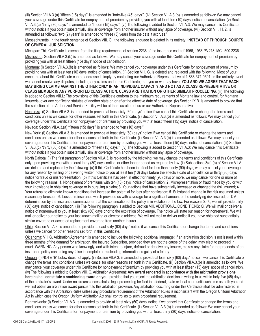(iii) Section VII.A.3.(a) "fifteen (15) days'" is amended to "forty-five (45) days'". (iv) Section VII.A.3.(b) is amended as follows: We may cancel your coverage under this Certificate for nonpayment of premium by providing you with at least ten (10) days' notice of cancellation. (v) Section VII.A.3.(c) "thirty (30) days'" is amended to "fifteen (15) days'". (vi) The following is added to Section VII.A.3: We may cancel this Certificate without notice if you obtain substantially similar coverage from another insurer without any lapse of coverage. (vii) Section VIII. H. 2. is amended as follows: "two (2) years" is amended to "three (3) years from the date it accrues."

Massachusetts: In the fourth sentence of Section VIII. G., the following language is deleted in its entirety: **INSTEAD OF THROUGH COURTS OF GENERAL JURISDICTION.**

Michigan: This Certificate is exempt from the filing requirements of section 2236 of the insurance code of 1956, 1956 PA 218, MCL 500.2236.

Mississippi: Section VII.A.3.(b) is amended as follows: We may cancel your coverage under this Certificate for nonpayment of premium by providing you with at least fifteen (15) days' notice of cancellation.

Montana: (i) Section VII.A.3.(b) is amended as follows: We may cancel your coverage under this Certificate for nonpayment of premium by providing you with at least ten (10) days' notice of cancellation. (ii) Section VIII. G. is deleted and replaced with the following: Most of your concerns about this Certificate can be addressed simply by contacting our Authorized Representative at 1-866-371-9501. In the unlikely event we cannot resolve any disputes, including any claims under this Certificate, that you or we may have, **YOU AND WE AGREE THAT EACH** 

**MAY BRING CLAIMS AGAINST THE OTHER ONLY IN AN INDIVIDUAL CAPACITY AND NOT AS A CLASS REPRESENTATIVE OR CLASS MEMBER IN ANY PURPORTED CLASS ACTION, CLASS ARBITRATION OR OTHER SIMILAR PROCEEDING**. (iii) The following is added to Section VIII.L: The provisions of this Certificate conform to the minimum requirements of Montana law and control, for Montana Insureds, over any conflicting statutes of another state on or after the effective date of coverage. (iv) Section IX.B. is amended to provide that the selection of the Authorized Service Facility will be at the discretion of us or our Authorized Representative.

Nebraska: (i) Section VII.A.3. is amended to provide at least sixty (60) days' notice if we cancel this Certificate or change the terms and conditions unless we cancel for other reasons set forth in this Certificate. (ii) Section VII.A.3.(b) is amended as follows: We may cancel your coverage under this Certificate for nonpayment of premium by providing you with at least fifteen (15) days' notice of cancellation.

Nevada: Section VII.A.3.(a) "fifteen (15) days'" is amended to "ten (10) days'".

New York: (i) Section VII.A.3. is amended to provide at least sixty (60) days' notice if we cancel this Certificate or change the terms and conditions unless we cancel for other reasons set forth in this Certificate. (ii) Section VII.A.3.(b) is amended as follows: We may cancel your coverage under this Certificate for nonpayment of premium by providing you with at least fifteen (15) days' notice of cancellation. (iii) Section VII.A.3.(c) "thirty (30) days'" is amended to "fifteen (15) days'". (iv) The following is added to Section VII.A.3: We may cancel this Certificate without notice if you obtain substantially similar coverage from another insurer without any lapse of coverage.

North Dakota: (i) The first paragraph of Section VII.A.3. is replaced by the following: we may change the terms and conditions of this Certificate only upon providing you with at least thirty (30) days' notice, or other longer period as required by law. (ii) Subsections 3(a)-(b) of Section VII A. are deleted and replaced by the following: (a) If this Certificate has been in effect for less than ninety (90) days, we may cancel your coverage for any reason by mailing or delivering written notice to you at least ten (10) days before the effective date of cancellation or thirty (30) days' notice for fraud or misrepresentation. (b) If this Certificate has been in effect for ninety (90) days or more, we may cancel for one or more of the following reasons: **1.** Nonpayment of premiums with ten (10) days' notice of cancellation; **2.** Misrepresentation or fraud made by you or with your knowledge in obtaining coverage or in pursuing a claim; **3.** Your actions that have substantially increased or changed the risk insured; **4.**  Your refusal to eliminate known conditions that increase the potential for loss after notification; **5.** Substantial change in the risk assumed unless reasonably foreseen; **6.** Loss of reinsurance which provided us with coverage for a significant amount of the underlying risk insured; or **7.** A determination by the insurance commissioner that the continuation of the policy is in violation of the law. For reasons 2.-7., we will provide thirty (30) days' notice of cancellation. (iii) The following paragraph is added to Section VIII. ADDITIONAL CONDITIONS: Q. We will mail or deliver a notice of nonrenewal to you at least sixty (60) days prior to the expiration of coverage. The notice will state our reason for nonrenewal. We will mail or deliver our notice to your last known mailing or electronic address. We will not mail or deliver notice if you have obtained substantially similar coverage or accepted replacement coverage from another insurer.

Ohio: Section VII.A.3. is amended to provide at least sixty (60) days' notice if we cancel this Certificate or change the terms and conditions unless we cancel for other reasons set forth in this Certificate.

Oklahoma: VIII.G. Arbitration Agreement is amended to include the following additional language: If an arbitration decision is not issued within three months of the demand for arbitration, the Insured Subscriber, provided they are not the cause of the delay, may elect to proceed in court. WARNING: Any person who knowingly, and with intent to injure, defraud or deceive any insurer, makes any claim for the proceeds of an insurance policy containing any false incomplete or misleading information is guilty of a felony.

Oregon: (i) NOTE "B" below does not apply. (ii) Section VII.A.3. is amended to provide at least sixty (60) days' notice if we cancel this Certificate or change the terms and conditions unless we cancel for other reasons set forth in this Certificate. (iii) Section VII.A.3.(b) is amended as follows: We may cancel your coverage under this Certificate for nonpayment of premium by providing you with at least fifteen (15) days' notice of cancellation. (iv) The following is added to Section VIII. G. Arbitration Agreement: **Any award rendered in accordance with the arbitration provisions herein shall constitute a nonbinding award on you**, provided that you reject the arbitration decision in writing to us within forty-five (45) days of the arbitrator's award. Under no circumstances shall a legal proceeding be filed in a federal, state or local court until such time as both you and we first obtain an arbitration award pursuant to this arbitration provision. Any arbitration occurring under this Certificate shall be administered in accordance with the Arbitration Rules unless any procedural requirement of the Arbitration Rules is inconsistent with the Oregon Uniform Arbitration Act in which case the Oregon Uniform Arbitration Act shall control as to such procedural requirement.

Pennsylvania: (i) Section VII.A.3. is amended to provide at least sixty (60) days' notice if we cancel this Certificate or change the terms and conditions unless we cancel for other reasons set forth in this Certificate. (ii) Section VII.A.3.(b) is amended as follows: We may cancel your coverage under this Certificate for nonpayment of premium by providing you with at least thirty (30) days' notice of cancellation.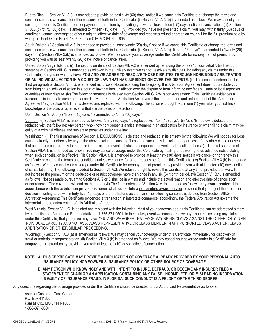Puerto Rico: (i) Section VII.A.3. is amended to provide at least sixty (60) days' notice if we cancel this Certificate or change the terms and conditions unless we cancel for other reasons set forth in this Certificate. (ii) Section VII.A.3.(b) is amended as follows: We may cancel your coverage under this Certificate for nonpayment of premium by providing you with at least fifteen (15) days' notice of cancellation. (iii) Section VII.A.3.(c) "thirty (30) days'" is amended to "fifteen (15) days'". (iv) Provided you have not presented a claim, you may, within thirty (30) days of enrollment, cancel coverage as of your original effective date of coverage and receive a refund or credit on your bill for the full premium paid by writing to: Post Office Box 411605, Kansas City, MO 64141-1605.

South Dakota: (i) Section VII.A.3. is amended to provide at least twenty (20) days' notice if we cancel this Certificate or change the terms and conditions unless we cancel for other reasons set forth in this Certificate. (ii) Section VII.A.3.(a) "fifteen (15) days'" is amended to "twenty (20) days'". (iii) Section VII.A.3.(b) is amended as follows: We may cancel your coverage under this Certificate for nonpayment of premium by providing you with at least twenty (20) days' notice of cancellation.

United States Virgin Islands: (i) The second sentence of Section VII. A.2 is amended by removing the phrase "on our behalf". (ii) The fourth sentence of Section VIII. G. is amended as follows: In the unlikely event we cannot resolve any disputes, including any claims under this Certificate, that you or we may have, **YOU AND WE AGREE TO RESOLVE THOSE DISPUTES THROUGH NONBINDING ARBITRATION OR AN INDIVIDUAL ACTION IN A COURT OF LAW THAT HAS JURISDICTION OVER THE DISPUTE.** (iii) The second sentence in the third paragraph of Section VIII. G. is amended as follows: Notwithstanding the foregoing, this Arbitration Agreement does not preclude you from bringing an individual action in a court of law that has jurisdiction over the dispute or from informing any federal, state or local agencies or entities of your dispute. (iv) The following sentence is deleted from Section VIII.G. Arbitration Agreement: "This Certificate evidences a transaction in interstate commerce; accordingly, the Federal Arbitration Act governs the interpretation and enforcement of this Arbitration Agreement." (v) Section VIII. H. 2. is deleted and replaced with the following: The action is brought within one (1) year after you first have knowledge of the Loss or other events that are the basis of the action.

Utah: Section VII.A.3.(a) "fifteen (15) days" is amended to "thirty (30) days".

Vermont: (i) Section VIII.A. is amended as follows: "thirty (30) days'" is replaced with "ten (10) days'." (ii) Note "B." below is deleted and replaced with the following: Any person who knowingly presents a false statement in an application for insurance or when filing a claim may be guilty of a criminal offense and subject to penalties under state law.

Washington: (i) The first paragraph of Section II. EXCLUSIONS, is deleted and replaced in its entirety by the following: We will not pay for Loss caused directly or indirectly by any of the above excluded causes of Loss, and such Loss is excluded regardless of any other cause or event that contributes concurrently to the Loss if the excluded event initiates the sequence of events that result in a Loss. (ii) The first sentence of Section VII.A.1. is amended as follows: You may cancel coverage under this Certificate by mailing or delivering to us advance notice stating when such cancellation is effective. (iii) Section VII.A.3. is amended to provide at least thirty (30) days' notice if we cancel or nonrenew this Certificate or change the terms and conditions unless we cancel for other reasons set forth in this Certificate. (iv) Section VII.A.3.(b) is amended as follows: We may cancel your coverage under this Certificate for nonpayment of premium by providing you with at least ten (10) days' notice of cancellation. (v) The following is added to Section VII.A.3: We retain the right to revise this Certificate at any time, provided that we will not increase the premium or the deductible or restrict coverage more than once in any six (6) month period. (vi) Section VII.B.1. is amended as follows: Notices made pursuant to Sections A. 2 or 3 shall be in writing and include the actual reason and effective date of cancellation or nonrenewal. The coverage will end on that date. (vii) The first sentence of Section X. A. is amended as follows: **any award rendered in**  accordance with the arbitration provisions herein shall constitute a nonbinding award on you, provided that you reject the arbitration decision in writing to us within forty-five (45) days of the arbitrator's award. (viii) The following sentence is deleted from Section VIII.G. Arbitration Agreement: This Certificate evidences a transaction in interstate commerce; accordingly, the Federal Arbitration Act governs the interpretation and enforcement of this Arbitration Agreement.

West Virginia: Section VIII. G. is deleted and replaced with the following: Most of your concerns about this Certificate can be addressed simply by contacting our Authorized Representative at 1-866-371-9501. In the unlikely event we cannot resolve any disputes, including any claims under this Certificate, that you or we may have, YOU AND WE AGREE THAT EACH MAY BRING CLAIMS AGAINST THE OTHER ONLY IN AN INDIVIDUAL CAPACITY AND NOT AS A CLASS REPRESENTATIVE OR CLASS MEMBER IN ANY PURPORTED CLASS ACTION, CLASS ARBITRATION OR OTHER SIMILAR PROCEEDING.

Wyoming: (i) Section VII.A.3.(a) is amended as follows: We may cancel your coverage under this Certificate immediately for discovery of fraud or material misrepresentation. (ii) Section VII.A.3.(b) is amended as follows: We may cancel your coverage under this Certificate for nonpayment of premium by providing you with at least ten (10) days' notice of cancellation.

#### **NOTE: A. THIS CERTIFICATE MAY PROVIDE A DUPLICATION OF COVERAGE ALREADY PROVIDED BY YOUR PERSONAL AUTO INSURANCE POLICY, HOMEOWNER'S INSURANCE POLICY, OR OTHER SOURCE OF COVERAGE.**

#### **B. ANY PERSON WHO KNOWINGLY AND WITH INTENT TO INJURE, DEFRAUD, OR DECEIVE ANY INSURER FILES A STATEMENT OF CLAIM OR AN APPLICATION CONTAINING ANY FALSE, INCOMPLETE, OR MISLEADING INFORMATION IS GUILTY OF INSURANCE FRAUD. IN FLORIDA, SUCH CONDUCT IS A FELONY OF THE THIRD DEGREE.**

Any questions regarding the coverage provided under this Certificate should be directed to our Authorized Representative as follows:

Asurion Customer Care Center P.O. Box 411605 Kansas City, MO 64141-1605 1-866-371-9501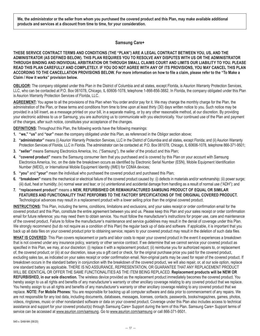<span id="page-16-0"></span>**We, the administrator or the seller from whom you purchased the covered product and this Plan, may make available additional products and services at a discount from time to time, for your consideration.**

#### **Samsung Care+**

**THESE SERVICE CONTRACT TERMS AND CONDITIONS (THE "PLAN") ARE A LEGAL CONTRACT BETWEEN YOU, US, AND THE ADMINISTRATOR (AS DEFINED BELOW). THIS PLAN REQUIRES YOU TO RESOLVE ANY DISPUTES WITH US OR THE ADMINISTRATOR THROUGH BINDING AND INDIVIDUAL ARBITRATION OR THROUGH SMALL CLAIMS COURT AND LIMITS OUR LIABILITY TO YOU. PLEASE READ THIS PLAN CAREFULLY AND COMPLETELY. IF YOU DO NOT AGREE WITH ANY OF ITS PROVISIONS, YOU MAY CANCEL THIS PLAN ACCORDING TO THE CANCELLATION PROVISIONS BELOW. For more information on how to file a claim, please refer to the "To Make a Claim / How it works" provision below.**

**OBLIGOR:** The company obligated under this Plan in the District of Columbia and all states, except Florida, is Asurion Warranty Protection Services, LLC, who can be contacted at P.O. Box 061078, Chicago, IL 60606-1078, telephone 1-866-856-3882. In Florida, the company obligated under this Plan is Asurion Warranty Protection Services of Florida, LLC.

**AGREEMENT:** You agree to all the provisions of this Plan when You order and/or pay for it. We may change the monthly charge for the Plan, the administration of the Plan, or these terms and conditions from time to time upon at least thirty (30) days written notice to you. Such notice may be provided in a bill insert, as a message printed on your bill, in a separate mailing, or by any other reasonable method, at our discretion. By providing your electronic address to us or Samsung, you are authorizing us to communicate with you electronically. Your continued use of the Plan and payment of the charges, after such notice, constitutes your acceptance of the changes.

**DEFINITIONS:** Throughout this Plan, the following words have the following meanings:

- **1. "we," "us"** and **"our"** mean the company obligated under this Plan, as referenced in the Obligor section above;
- **2. "administrator"** means (i) Asurion Warranty Protection Services, LLC in the District of Columbia and all states, except Florida; and (ii) Asurion Warranty Protection Services of Florida, LLC in Florida. The administrator can be contacted at: P.O. Box 061078, Chicago, IL 60606-1078, telephone 866-371-9501;
- **3. "seller"** means Samsung Electronics America, Inc. ("Samsung"), the seller of the product and this Plan;
- **4. "covered product"** means the Samsung consumer item that you purchased and is covered by this Plan on your account with Samsung Electronics America, Inc. on the date the breakdown occurs as identified by Electronic Serial Number (ESN), Mobile Equipment Identification Number (MEID), or International Mobile Equipment Identity (IMEI) for CDMA devices;
- **5. "you"** and **"your"** mean the individual who purchased the covered product and purchased this Plan;
- **6. "breakdown"** means the mechanical or electrical failure of the covered product caused by: (i) defects in materials and/or workmanship; (ii) power surge; (iii) dust, heat or humidity; (iv) normal wear and tear; or (v) unintentional and accidental damage from handling as a result of normal use ("ADH"); and
- **7. "replacement product"** means a **NEW, REFURBISHED OR REMANUFACTURED SAMSUNG PRODUCT OF EQUAL OR SIMILAR FEATURES AND FUNCTIONALITY THAT PERFORMS TO THE FACTORY SPECIFICATIONS OF THE ORIGINAL COVERED PRODUCT.**  Technological advances may result in a replacement product with a lower selling price than the original covered product.

**INSTRUCTIONS:** This Plan, including the terms, conditions, limitations and exclusions, and your sales receipt or order confirmation email for the covered product and this Plan, constitute the entire agreement between you and us. Please keep this Plan and your sales receipt or order confirmation email for future reference; you may need them to obtain service. You must follow the manufacturer's instructions for proper use, care and maintenance of the covered product. Failure to follow the manufacturer's maintenance and service guidelines may result in the denial of coverage under this Plan. We strongly recommend (but do not require as a condition of this Plan) the regular back up of data and software. If applicable, it is important that you back up all data files on your covered product prior to obtaining service; repairs to your covered product may result in the deletion of such data files.

**WHAT IS COVERED:** This Plan covers replacement or parts and labor costs to repair your covered product in the event it experiences a breakdown that is not covered under any insurance policy, warranty or other service contract. If we determine that we cannot service your covered product as specified in this Plan, we may, at our discretion: (i) replace it with a replacement product; (ii) reimburse you for authorized repairs to, or replacement of, the covered product; or (iii) at our discretion, issue you a gift card or check, for the original purchase price you paid for the covered product, excluding sales tax, as indicated on your sales receipt or order confirmation email. Non-original parts may be used for repair of the covered product. If breakdown occurs in the standard battery in conjunction with the breakdown of the covered product, we will also repair, or, at our sole option, replace one standard battery as applicable. THERE IS NO ASSURANCE, REPRESENTATION, OR GUARANTEE THAT ANY REPLACEMENT PRODUCT WILL BE IDENTICAL OR OFFER THE SAME FUNCTIONALITIES AS THE ITEM BEING REPLACED. **Replacement products will be NEW OR REFURBISHED, in our sole discretion.** The wireless device provided as the replacement product immediately becomes the covered product. You hereby assign to us all rights and benefits of any manufacturer's warranty or other ancillary coverage relating to any covered product that we replace. You hereby assign to us all rights and benefits of any manufacturer's warranty or other ancillary coverage relating to any covered product that we replace. **NOTE: For Mobile Phones:** You are responsible for backing up all computer software and data prior to commencement of any repairs. We are not responsible for any lost data, including documents, databases, messages, licenses, contacts, passwords, books/magazines, games, photos, videos, ringtones, music or other nonstandard software or data on your covered product. Coverage under this Plan also includes access to technical assistance and support for your covered product(s) through Samsung Care+ Support during the term of this Plan. Samsung Care+ Support terms of service can be accessed at www.asurion.com/samsung. Go to www.asurion.com/samsung or call 866-371-9501.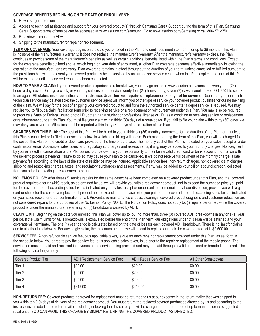### **COVERAGE BENEFITS BEGINNING ON THE DATE OF ENROLLMENT:**

**1.** Power surge protection.

- **2.** Access to technical assistance and support for your covered product(s) through Samsung Care+ Support during the term of this Plan. Samsung Care+ Support terms of service can be accessed at www.asurion.com/samsung. Go to www.asurion.com/Samsung or call 866-371-9501.
- **3.** Breakdowns caused by ADH.
- **4.** Shipping to the manufacturer for repair or replacement.

**TERM OF COVERAGE:** Your coverage begins on the date you enrolled in the Plan and continues month to month for up to 36 months. This Plan is inclusive of the manufacturer's warranty; it does not replace the manufacturer's warranty. After the manufacturer's warranty expires, the Plan continues to provide some of the manufacturer's benefits as well as certain additional benefits listed within the Plan's terms and conditions. Except for the coverage benefits outlined above, which begin on your date of enrollment, all other Plan coverage becomes effective immediately following the expiration of the manufacturer's warranty. Plan coverage remains in effect throughout the duration of your term, unless cancelled or fulfilled pursuant to the provisions below. In the event your covered product is being serviced by an authorized service center when this Plan expires, the term of this Plan will be extended until the covered repair has been completed.

**HOW TO MAKE A CLAIM:** If your covered product experiences a breakdown, you may go online to www.asurion.com/samsung twenty-four (24) hours a day, seven (7) days a week, or you may call customer service twenty-four (24) hours a day, seven (7) days a week at 866-371-9501 to speak to an agent. **All claims must be authorized in advance. Unauthorized repairs or replacements may not be covered.** Depot, carry-in, or remote technician service may be available; the customer service agent will inform you of the type of service your covered product qualifies for during the filing of the claim. We will pay for the cost of shipping your covered product to and from the authorized service center if depot service is required. We may require you to fill out a claim facilitation form prior to receiving service or a replacement or reimbursement under this Plan. You may also be required to produce a State or Federal issued photo I.D., other than a student or professional license or I.D., as a condition to receiving service or replacement or reimbursement under this Plan. You must file your claim within thirty (30) days of a breakdown. If you fail to file your claim within thirty (30) days, we may deny you coverage. All claims must be reported within thirty (30) days after expiration of this Plan.

**CHARGES FOR THIS PLAN:** The cost of this Plan will be billed to you in thirty-six (36) monthly increments for the duration of the Plan term, unless this Plan is cancelled or fulfilled as described below, in which case billing will cease. Each month during the term of this Plan, you will be charged for the cost of this Plan on the credit or debit card provided at the time of purchase. The monthly cost of this Plan is indicated on your sales receipt or order confirmation email. Applicable sales taxes, and regulatory surcharges and assessments, if any, may be added to your monthly charges. Non-payment by you will result in cancellation of the Plan as set forth below. It is your responsibility to maintain a valid credit card or bank account information with the seller to process payments, failure to do so may cause your Plan to be cancelled. If we do not receive full payment of the monthly charge, a late payment fee according to the laws of the state of residence may be incurred. Applicable service fees, non-return charges, non-covered claim charges, shipping and restocking charges, taxes, and regulatory surcharges and assessments, if any, may be added to your bill or, at our discretion, collected from you prior to providing a replacement product.

**NO LEMON POLICY:** After three (3) service repairs for the same defect have been completed on a covered product under this Plan, and that covered product requires a fourth (4th) repair, as determined by us, we will provide you with a replacement product, not to exceed the purchase price you paid for the covered product excluding sales tax, as indicated on your sales receipt or order confirmation email, or, at our discretion, provide you with a gift card or check for the cost of a replacement product not to exceed the purchase price you paid for the covered product, excluding sales tax, as indicated on your sales receipt or order confirmation email. Preventative maintenance checks, cleanings, covered product diagnosis and customer education are not considered repairs for the purposes of the No Lemon Policy. NOTE: The No Lemon Policy does not apply to: (i) repairs performed while the covered product is under the manufacturer's warranty; or (ii) breakdowns caused by ADH.

**CLAIM LIMIT:** Beginning on the date you enrolled, this Plan will cover up to, but no more than, three (3) covered ADH breakdowns in any one (1) year period. If the Claim Limit for ADH breakdowns is exhausted before the end of the Plan term, our obligations under this Plan will be satisfied and your coverage will terminate. The one (1) year period is calculated based on the date of loss for each covered ADH breakdown. There is no limit for claims due to all other breakdowns. For any single claim, the maximum amount we will spend to replace or repair the covered product is \$2,500.00.

**SERVICE FEE:** A non-refundable service fee, plus applicable taxes, is due for each repair or replacement provided under this Plan, as set forth in the schedule below. You agree to pay the service fee, plus applicable sales taxes, to us prior to the repair or replacement of the mobile phone. The service fee must be paid and received in advance of the service being provided and may be paid through a valid credit card or branded debit card. The following service fee(s) apply:

| <b>Covered Product Tier</b> | ADH Replacement Service Fee: | ADH Repair Service Fee | All Other Breakdowns |
|-----------------------------|------------------------------|------------------------|----------------------|
| Tier 1                      | \$99.00                      | \$29.00                | \$0.00               |
| Tier 2                      | \$99.00                      | \$29.00                | \$0.00               |
| Tier 3                      | \$99.00                      | \$29.00                | \$0.00               |
| Tier 4                      | \$249.00                     | \$249.00               | \$0.00               |

**NON-RETURN FEE:** Covered products approved for replacement must be returned to us at our expense in the return mailer that was shipped to you within ten (10) days of delivery of the replacement product. You must return the replaced covered product as directed by us and according to the instructions included in the return mailer, including unlocking the device, or you will be charged a non-return fee of up to manufacturer's suggested retail price. YOU CAN AVOID THIS CHARGE BY SIMPLY RETURNING THE COVERED PRODUCT AS DIRECTED.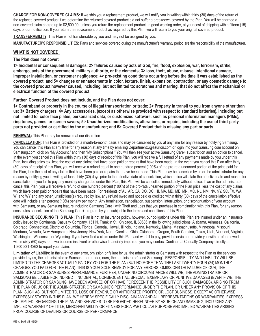**CHARGE FOR NON-COVERED CLAIMS:** If we ship you a replacement product, we will notify you in writing within thirty (30) days of the return of the replaced covered product if we determine the returned covered product did not suffer a breakdown covered by the Plan. You will be charged a non-covered claim charge up to \$2,500.00, unless you return the replacement product, in good working order, at your cost of shipping within fifteen (15) days of our notification. If you return the replacement product as required by this Plan, we will return to you your original covered product.

**TRANSFERABILITY:** This Plan is not transferrable by you and may not be assigned by you.

**MANUFACTURER'S RESPONSIBILITIES:** Parts and services covered during the manufacturer's warranty period are the responsibility of the manufacturer.

# **WHAT IS NOT COVERED:**

#### **The Plan does not cover:**

**1> Incidental or consequential damages; 2> failures caused by acts of God, fire, flood, explosion, war, terrorism, strike, embargo, acts of the government, military authority, or the elements; 3> loss, theft, abuse, misuse, intentional damage, improper installation, or customer negligence; 4> pre-existing conditions occurring before the time it was established as the covered product; and 5> changes or enhancements in color, texture, finish, expansion, contraction, or any cosmetic damage to the covered product however caused, including, but not limited to: scratches and marring, that do not affect the mechanical or electrical function of the covered product.**

**Further, Covered Product does not include, and the Plan does not cover:**

**1> Contraband or property in the course of illegal transportation or trade; 2> Property in transit to you from anyone other than us; 3> Battery chargers; 4> Any accessories, (except as otherwise provided with respect to standard batteries), including but not limited to: color face plates, personalized data, or customized software, such as personal information managers (PIMs), ring tones, games, or screen savers; 5> Unauthorized modifications, alterations, or repairs, including the use of third-party parts not provided or certified by the manufacturer; and 6> Covered Product that is missing any part or parts.**

### **RENEWAL:** This Plan may be renewed at our discretion.

**CANCELLATION:** This Plan is provided on a month-to-month basis and may be cancelled by you at any time for any reason by notifying Samsung. You can cancel this Plan at any time for any reason at any time by emailing DepartmentC@asurion.com or login into your Samsung.com account on Samsung.com, click on "My Account," and then "My Subscriptions." You will then see your active Samsung Care+ subscription and an option to cancel. In the event you cancel this Plan within thirty (30) days of receipt of this Plan, you will receive a full refund of any payments made by you under this Plan, including sales tax, less the cost of any claims that have been paid or repairs that have been made. In the event you cancel this Plan after thirty (30) days of receipt of this Plan, you will receive a refund equal to one hundred percent (100%) of the pro-rata unearned portion of the price paid for the Plan, less the cost of any claims that have been paid or repairs that have been made. This Plan may be cancelled by us or the administrator for any reason by notifying you in writing at least thirty (30) days prior to the effective date of cancellation, which notice will state the effective date and reason for cancellation. If you fail to pay any monthly charge due under this Plan, this Plan will be cancelled immediately without notice. If we or the administrator cancel this Plan, you will receive a refund of one hundred percent (100%) of the pro-rata unearned portion of the Plan price, less the cost of any claims which have been paid or repairs that have been made. For residents of AL, AR, CA, CO, DC, HI, MA, MD, ME, MN, MO, NJ, NM, NV, NY, SC, TX, WA, WI and WY and any other jurisdictions(s) required by law, any refund owed and not paid or credited within thirty (30) days of the cancellation effective date will include a ten percent (10%) penalty per month. Any termination, cancellation, suspension, interruption, or discontinuation of your account with Samsung, or any Samsung feature including Samsung Care+ with Theft and Loss that you purchase in combination with this Plan, for any reason constitutes cancellation of the Samsung Care+ program by you, subject to the terms and conditions of this Plan.

**INSURANCE SECURING THIS PLAN:** This Plan is not an insurance policy, however, our obligations under this Plan are insured under an insurance policy issued by Continental Casualty Company, 151 N. Franklin St., Chicago, IL 60606 in the following jurisdictions: Alabama, Arkansas, California, Colorado, Connecticut, District of Columbia, Florida, Georgia, Hawaii, Illinois, Indiana, Kentucky, Maine, Massachusetts, Minnesota, Missouri, Montana, Nevada, New Hampshire, New Jersey, New York, North Carolina, Ohio, Oklahoma, Oregon, South Carolina, Texas, Utah, Vermont, Virginia, Washington, Wisconsin, or Wyoming. If you have filed a claim under this Plan and we fail to pay, provide service or provide you with a refund owed within sixty (60) days, or if we become insolvent or otherwise financially impaired, you may contact Continental Casualty Company directly at 1-800-831-4262 to report your claim.

**Limitation of Liability:** In the event of any error, omission or failure by us, the administrator or Samsung with respect to the Plan or the services provided by us, the administrator or Samsung hereunder, ours, the administrator's and Samsung's RESPONSIBILITY AND LIABILITY WILL BE LIMITED TO THE CHARGES ACTUALLY PAID BY YOU FOR THE PLAN (BUT NO MORE THAN THE LAST TWENTY-FOUR (24) MONTHLY CHARGES YOU PAID FOR THE PLAN). THIS IS YOUR SOLE REMEDY FOR ANY ERRORS, OMISSIONS OR FAILURE OF OUR, THE ADMINISTRATOR OR SAMSUNG'S PERFORMANCE. FURTHER, UNDER NO CIRCUMSTANCES WILL WE, THE ADMINISTRATOR OR SAMSUNG BE LIABLE FOR INDIRECT, INCIDENTAL, CONSEQUENTIAL, SPECIAL, EXEMPLARY OR PUNITIVE DAMAGES (EVEN IF WE, THE ADMINISTRATOR OR SAMSUNG HAVE BEEN ADVISED OF OR HAVE FORESEEN THE POSSIBILITY OF SUCH DAMAGES), ARISING FROM THE PLAN OR US OR THE ADMINISTRATOR OR SAMSUNG'S PERFORMANCE UNDER THE PLAN, OR UNDER ANY PROVISION OF THIS PLAN, SUCH AS, BUT NOT LIMITED TO, LOSS OF REVENUE OR ANTICIPATED PROFITS OR LOST BUSINESS. EXCEPT AS OTHERWISE EXPRESSLY STATED IN THIS PLAN, WE HEREBY SPECIFICALLY DISCLAIM ANY AND ALL REPRESENTATIONS OR WARRANTIES, EXPRESS OR IMPLIED, REGARDING THE PLAN AND SERVICES TO BE PROVIDED HEREUNDER BY ASURION AND SAMSUNG, INCLUDING ANY IMPLIED WARRANTY OF TITLE, MERCHANTABILITY OR FITNESS FOR A PARTICULAR PURPOSE AND IMPLIED WARRANTIES ARISING FROM COURSE OF DEALING OR COURSE OF PERFORMANCE.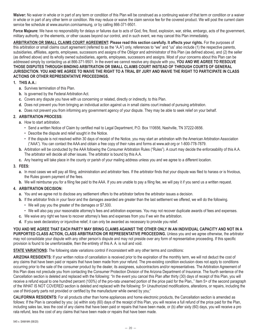Waiver: No waiver in whole or in part of any term or condition of this Plan will be construed as a continuing waiver of that term or condition or a waiver in whole or in part of any other term or condition. We may reduce or waive the claim service fee for the covered product. We will post the current claim service fee schedule at www.asurion.com/samsung, or by calling 866-371-9501.

**Force Majeure:** We have no responsibility for delays or failures due to acts of God, fire, flood, explosion, war, strike, embargo, acts of the government, military authority, or the elements, or other causes beyond our control, and in such event, we may cancel this Plan immediately.

**ARBITRATION OR SMALL CLAIMS COURT AGREEMENT: Please read this section carefully. It affects your rights.** For the purposes of this arbitration or small claims court agreement (referred to as the "A.A") only, references to "we" and "us" also include (1) the respective parents, subsidiaries, affiliates, agents, employees, successors and assigns of the Obligor and administrator of this Plan (as defined above), and (2) the seller (as defined above) and its wholly owned subsidiaries, agents, employees, successors and assigns. Most of your concerns about this Plan can be addressed simply by contacting us at 866-371-9501. In the event we cannot resolve any dispute with you, **YOU AND WE AGREE TO RESOLVE THOSE DISPUTES THROUGH BINDING ARBITRATION OR SMALL CLAIMS COURT INSTEAD OF THROUGH COURTS OF GENERAL JURISDICTION. YOU AND WE AGREE TO WAIVE THE RIGHT TO A TRIAL BY JURY AND WAIVE THE RIGHT TO PARTICIPATE IN CLASS ACTIONS OR OTHER REPRESENTATIVE PROCEEDINGS.**

#### **1. THIS A.A.:**

- **a.** Survives termination of this Plan.
- **b.** Is governed by the Federal Arbitration Act.
- **c.** Covers any dispute you have with us concerning or related, directly or indirectly, to this Plan.
- **d.** Does not prevent you from bringing an individual action against us in small claims court instead of pursuing arbitration.
- **e.** Does not prevent you from informing any government agency of your dispute. They may be able to seek relief on your behalf.

### **2. ARBITRATION PROCESS:**

- **a.** How to start arbitration.
	- Send a written Notice of Claim by certified mail to Legal Department, P.O. Box 110656, Nashville, TN 37222-0656.
	- Describe the dispute and relief sought in the Notice.
	- If the dispute is not resolved within 30 days of receipt of the Notice, you may start an arbitration with the American Arbitration Association ("AAA"). You can contact the AAA and obtain a free copy of their rules and forms at www.adr.org or 1-800-778-7879.
- **b.** Arbitration will be conducted by the AAA following the Consumer Arbitration Rules ("Rules"). A court may decide the enforceability of this A.A. The arbitrator will decide all other issues. The arbitrator is bound by this A.A.
- **c.** Any hearing will take place in the county or parish of your mailing address unless you and we agree to a different location.

#### **3. FEES:**

- **a.** In most cases we will pay all filing, administration and arbitrator fees. If the arbitrator finds that your dispute was filed to harass or is frivolous, the Rules govern payment of the fees.
- **b.** We will reimburse you for a filing fee paid to the AAA. If you are unable to pay a filing fee, we will pay it if you send us a written request.

#### **4. ARBITRATION DECISION:**

- **a.** You and we agree not to disclose any settlement offers to the arbitrator before the arbitrator issues a decision.
- **b.** If the arbitrator finds in your favor and the damages awarded are greater than the last settlement we offered, we will do the following.
	- We will pay you the greater of the damages or \$7,500.
	- We will also pay your reasonable attorney's fees and arbitration expenses. You may not recover duplicate awards of fees and expenses.
- **c.** We waive any right we have to recover attorney's fees and expenses from you if we win the arbitration.
- **d.** If you seek declaratory or injunctive relief, it can only be awarded as necessary to provide you relief.

**YOU AND WE AGREE THAT EACH PARTY MAY BRING CLAIMS AGAINST THE OTHER ONLY IN AN INDIVIDUAL CAPACITY AND NOT IN A PURPORTED CLASS ACTION, CLASS ARBITRATION OR REPRESENTATIVE PROCEEDING.** Unless you and we agree otherwise, the arbitrator may not consolidate your dispute with any other person's dispute and may not preside over any form of representative proceeding. If this specific provision is found to be unenforceable, then the entirety of this A. A. is null and void.

#### **STATE VARIATIONS:** The following state variations control if inconsistent with any other terms and conditions:

**ARIZONA RESIDENTS:** If your written notice of cancellation is received prior to the expiration of the monthly term, we will not deduct the cost of any claims that have been paid or repairs that have been made from your refund. The pre-existing condition exclusion does not apply to conditions occurring prior to the sale of the consumer product by the dealer, its assignees, subcontractors and/or representatives. The Arbitration Agreement of this Plan does not preclude you from contacting the Consumer Protection Division of the Arizona Department of Insurance. The fourth sentence of the Cancellation section is deleted and replaced with the following: "In the event you cancel this Plan after thirty (30) days of receipt of this Plan, you will receive a refund equal to one hundred percent (100%) of the pro-rata unearned portion of the price paid for the Plan,." Item 5> of the second paragraph of the WHAT IS NOT COVERED section is deleted and replaced with the following: 5> Unauthorized modifications, alterations, or repairs, including the use of third-party parts not provided or certified by the manufacturer while owned by you;"

**CALIFORNIA RESIDENTS:** For all products other than home appliances and home electronic products, the Cancellation section is amended as follows: If the Plan is cancelled by you: (a) within sixty (60) days of the receipt of this Plan, you will receive a full refund of the price paid for the Plan, including sales tax, less the cost of any claims that have been paid or repairs that have been made, or (b) after sixty (60) days, you will receive a pro rata refund, less the cost of any claims that have been made or repairs that have been made.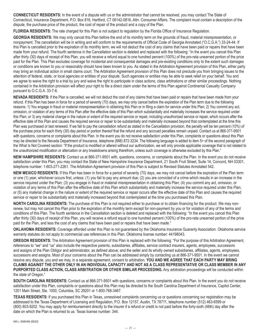**CONNECTICUT RESIDENTS:** In the event of a dispute with us or the administrator that cannot be resolved, you may contact The State of Connecticut, Insurance Department, P.O. Box 816, Hartford, CT 06142-0816, Attn: Consumer Affairs. The complaint must contain a description of the dispute, the purchase price of the product, the cost of repair of the product and a copy of the Plan.

**FLORIDA RESIDENTS:** The rate charged for this Plan is not subject to regulation by the Florida Office of Insurance Regulation.

**GEORGIA RESIDENTS:** We may only cancel this Plan before the end of its monthly term on the grounds of fraud, material misrepresentation, or nonpayment. The cancellation will be in writing and will conform to the requirements of Official Code of Georgia Annotated ("O.C.G.A.") 33-24-44. If this Plan is cancelled prior to the expiration of its monthly term, we will not deduct the cost of any claims that have been paid or repairs that have been made from your refund. The fourth sentence in the Cancellation section is deleted and replaced with the following: "In the event you cancel this Plan after thirty (30) days of receipt of this Plan, you will receive a refund equal to one hundred percent (100%) of the pro-rata unearned portion of the price paid for the Plan. This Plan excludes coverage for incidental and consequential damages and pre-existing conditions only to the extent such damages or conditions are known to you or reasonably should have been known to you. As stated in the Arbitration Agreement provision of this Plan, either party may bring an individual action in small claims court. The Arbitration Agreement provision of this Plan does not preclude you from bringing issues to the attention of federal, state, or local agencies or entities of your dispute. Such agencies or entities may be able to seek relief on your behalf. You and we agree to waive the right to a trial by jury and waive the right to participate in class actions, class arbitrations or other similar proceedings. Nothing contained in the Arbitration provision will affect your right to file a direct claim under the terms of this Plan against Continental Casualty Company pursuant to O.C.G.A. 33-7-6.

**NEVADA RESIDENTS:** If the Plan is cancelled, we will not deduct the cost of any claims that have been paid or repairs that have been made from your refund. If this Plan has been in force for a period of seventy (70) days, we may only cancel before the expiration of the Plan term due to the following reasons: 1) You engage in fraud or material misrepresentation in obtaining this Plan or in filing a claim for service under this Plan; 2) You commit any act, omission, or violation of any terms of this Plan after the effective date of this Plan which substantially and materially increases the service required under this Plan; or 3) any material change in the nature or extent of the required service or repair, including unauthorized service or repair, which occurs after the effective date of this Plan and causes the required service or repair to be substantially and materially increased beyond that contemplated at the time this Plan was purchased or last renewed. If we fail to pay the cancellation refund as stated in the Cancellation provision, the penalty will be ten percent (10%) of the purchase price for each thirty (30) day period or portion thereof that the refund and any accrued penalties remain unpaid. Contact us at 866-371-9501 with questions, concerns or complaints about this Plan. In the event you do not receive satisfaction under this Plan, complaints or questions about this Plan may be directed to the Nevada Department of Insurance, telephone (888) 872-3234. The following language is added to item 5> of the second paragraph of the What Is Not Covered section: "If the product is modified or altered without our authorization, we will only provide applicable coverage that is not related to the unauthorized modification or altercation or any breakdowns arising therefrom, unless such coverage is otherwise excluded by this Plan."

**NEW HAMPSHIRE RESIDENTS:** Contact us at 866-371-9501 with, questions, concerns, or complaints about the Plan. In the event you do not receive satisfaction under this Plan, you may contact the State of New Hampshire Insurance Department, 21 South Fruit Street, Suite 14, Concord, NH 03301, telephone number: 1-603-271-2261. The Arbitration Agreement provision of this Plan is subject to Revised Statutes Annotated 542.

**NEW MEXICO RESIDENTS:** If this Plan has been in force for a period of seventy (70) days, we may not cancel before the expiration of the Plan term or one (1) year, whichever occurs first, unless: (1) you fail to pay any amount due; (2) you are convicted of a crime which results in an increase in the service required under the Plan; (3) you engage in fraud or material misrepresentation in obtaining this Plan; (4) you commit any act, omission, or violation of any terms of this Plan after the effective date of this Plan which substantially and materially increase the service required under this Plan; or (5) any material change in the nature or extent of the required service or repair occurs after the effective date of this Plan and causes the required service or repair to be substantially and materially increased beyond that contemplated at the time you purchased this Plan.

**NORTH CAROLINA RESIDENTS:** The purchase of this Plan is not required either to purchase or to obtain financing for the product. We may nonrenew, but may not cancel this Plan prior to the expiration of the monthly term except for non-payment by you or for violation of any of the terms and conditions of this Plan. The fourth sentence in the Cancellation section is deleted and replaced with the following: "In the event you cancel this Plan after thirty (30) days of receipt of this Plan, you will receive a refund equal to one hundred percent (100%) of the pro-rata unearned portion of the price paid for the Plan, and less the cost of any claims that have been paid or repairs that have been made."

**OKLAHOMA RESIDENTS:** Coverage afforded under this Plan is not guaranteed by the Oklahoma Insurance Guaranty Association. Oklahoma service warranty statutes do not apply to commercial use references in this Plan. Oklahoma license number: 44198043.

**OREGON RESIDENTS:** The Arbitration Agreement provision of this Plan is replaced with the following: "For the purpose of this Arbitration Agreement, references to "we" and "us" also include the respective parents, subsidiaries, affiliates, service contract insurers, agents, employees, successors and assigns of the Plan Obligor and administrator, as defined above; and the seller and its wholly owned subsidiaries, affiliates, agents, employees, successors and assigns. Most of your concerns about the Plan can be addressed simply by contacting us at 866-371-9501. In the event we cannot resolve any dispute, you and we may, in a separate agreement, consent to arbitration. **YOU AND WE AGREE THAT EACH PARTY MAY BRING CLAIMS AGAINST THE OTHER ONLY IN AN INDIVIDUAL CAPACITY AND NOT AS A CLASS REPRESENTATIVE OR CLASS MEMBER IN ANY PURPORTED CLASS ACTION, CLASS ARBITRATION OR OTHER SIMILAR PROCEEDING.** Any arbitration proceedings will be conducted within the state of Oregon."

**SOUTH CAROLINA RESIDENTS:** Contact us at 866-371-9501 with questions, concerns or complaints about this Plan. In the event you do not receive satisfaction under this Plan, complaints or questions about this Plan may be directed to the South Carolina Department of Insurance, Capitol Center, 1201 Main Street, Ste. 1000, Columbia, SC 29201 or 1-800-768-3467.

**TEXAS RESIDENTS:** If you purchased this Plan in Texas, unresolved complaints concerning us or questions concerning our registration may be addressed to the Texas Department of Licensing and Regulation, P.O. Box 12157, Austin, TX 78711, telephone number (512) 463-6599 or (800) 803-9202. You may apply for reimbursement directly to the insurer if a refund or credit is not paid before the forty-sixth (46th) day after the date on which the Plan is returned to us. Texas license number: 344.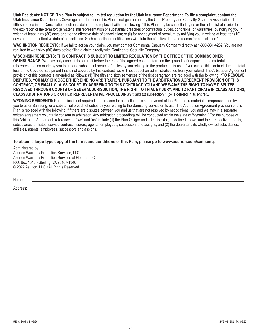**Utah Residents: NOTICE. This Plan is subject to limited regulation by the Utah Insurance Department. To file a complaint, contact the Utah Insurance Department.** Coverage afforded under this Plan is not guaranteed by the Utah Property and Casualty Guaranty Association. The fifth sentence in the Cancellation section is deleted and replaced with the following: "This Plan may be cancelled by us or the administrator prior to the expiration of the term for: (i) material misrepresentation or substantial breaches of contractual duties, conditions, or warranties, by notifying you in writing at least thirty (30) days prior to the effective date of cancellation; or (ii) for nonpayment of premium by notifying you in writing at least ten (10) days prior to the effective date of cancellation. Such cancellation notifications will state the effective date and reason for cancellation."

**WASHINGTON RESIDENTS:** If we fail to act on your claim, you may contact Continental Casualty Company directly at 1-800-831-4262. You are not required to wait sixty (60) days before filing a claim directly with Continental Casualty Company.

#### **WISCONSIN RESIDENTS: THIS CONTRACT IS SUBJECT TO LIMITED REGULATION BY THE OFFICE OF THE COMMISSIONER**

**OF INSURANCE.** We may only cancel this contract before the end of the agreed contract term on the grounds of nonpayment, a material misrepresentation made by you to us, or a substantial breach of duties by you relating to the product or its use. If you cancel this contract due to a total loss of the Covered Equipment that is not covered by this contract, we will not deduct an administrative fee from your refund. The Arbitration Agreement provision of this contract is amended as follows: (1) The fifth and sixth sentences of the first paragraph are replaced with the following: **"TO RESOLVE DISPUTES, YOU MAY CHOOSE EITHER BINDING ARBITRATION, PURSUANT TO THE ARBITRATION AGREEMENT PROVISION OF THIS CONTRACT, OR SMALL CLAIMS COURT. BY AGREEING TO THIS CONTRACT, YOU AND WE WAIVE THE RIGHT TO HAVE DISPUTES RESOLVED THROUGH COURTS OF GENERAL JURISDICTION, THE RIGHT TO TRIAL BY JURY, AND TO PARTICIPATE IN CLASS ACTIONS, CLASS ARBITRATIONS OR OTHER REPRESENTATIVE PROCEEDINGS"**; and (2) subsection 1.(b) is deleted in its entirety.

**WYOMING RESIDENTS:** Prior notice is not required if the reason for cancellation is nonpayment of the Plan fee, a material misrepresentation by you to us or Samsung, or a substantial breach of duties by you relating to the Samsung service or its use. The Arbitration Agreement provision of this Plan is replaced with the following: "If there are disputes between you and us that are not resolved by negotiations, you and we may in a separate written agreement voluntarily consent to arbitration. Any arbitration proceedings will be conducted within the state of Wyoming." For the purpose of this Arbitration Agreement, references to "we" and "us" include (1) the Plan Obligor and administrator, as defined above, and their respective parents, subsidiaries, affiliates, service contract insurers, agents, employees, successors and assigns; and (2) the dealer and its wholly owned subsidiaries, affiliates, agents, employees, successors and assigns.

**To obtain a large-type copy of the terms and conditions of this Plan, please go to www.asurion.com/samsung.**

Administered by: Asurion Warranty Protection Services, LLC Asurion Warranty Protection Services of Florida, LLC P.O. Box 1340 • Sterling, VA 20167-1340 © 2022 Asurion, LLC • All Rights Reserved.

Name:

Address: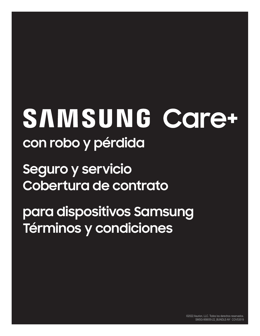# SAMSUNG Care+ **con robo y pérdida**

**Seguro y servicio Cobertura de contrato**

**para dispositivos Samsung Términos y condiciones**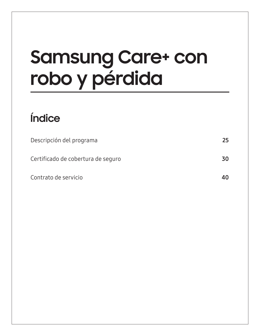# **Samsung Care+ con robo y pérdida**

# **Índice**

| Descripción del programa           | 25 |
|------------------------------------|----|
| Certificado de cobertura de seguro | 30 |
| Contrato de servicio               | 40 |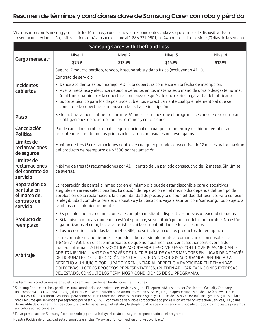Visite asurion.com/samsung y consulte los términos y condiciones correspondientes cada vez que cambie de dispositivo. Para presentar una reclamación, visite asurion.com/samsung o llame al 1-866-371-9501, las 24 horas del día, los siete (7) días de la semana.

| Samsung Care+ with Theft and Loss <sup>1</sup>                          |                                                                                                                                                                                                                                                                                                                                                                                                                                                                                                                                                                                                                                                                                                   |                                                                                                                                                                         |         |                                                                                                    |  |
|-------------------------------------------------------------------------|---------------------------------------------------------------------------------------------------------------------------------------------------------------------------------------------------------------------------------------------------------------------------------------------------------------------------------------------------------------------------------------------------------------------------------------------------------------------------------------------------------------------------------------------------------------------------------------------------------------------------------------------------------------------------------------------------|-------------------------------------------------------------------------------------------------------------------------------------------------------------------------|---------|----------------------------------------------------------------------------------------------------|--|
|                                                                         | Nivel 1                                                                                                                                                                                                                                                                                                                                                                                                                                                                                                                                                                                                                                                                                           | Nivel 2                                                                                                                                                                 | Nivel 3 | Nivel 4                                                                                            |  |
| Cargo mensual <sup>12</sup>                                             | \$7.99                                                                                                                                                                                                                                                                                                                                                                                                                                                                                                                                                                                                                                                                                            | \$12.99                                                                                                                                                                 | \$16.99 | \$17.99                                                                                            |  |
|                                                                         |                                                                                                                                                                                                                                                                                                                                                                                                                                                                                                                                                                                                                                                                                                   | Seguro: Producto perdido, robado, irrecuperable y daño físico (excluyendo ADH).                                                                                         |         |                                                                                                    |  |
|                                                                         | Contrato de servicio:                                                                                                                                                                                                                                                                                                                                                                                                                                                                                                                                                                                                                                                                             |                                                                                                                                                                         |         |                                                                                                    |  |
| <b>Incidentes</b><br>cubiertos                                          | · Daños accidentales por manejo (ADH): la cobertura comienza en la fecha de inscripción.<br>· Avería mecánica y eléctrica debido a defectos en los materiales o mano de obra o desgaste normal<br>(mal funcionamiento): la cobertura comienza después de que expira la garantía del fabricante.<br>· Soporte técnico para los dispositivos cubiertos y prácticamente cualquier elemento al que se<br>conecten; la cobertura comienza en la fecha de inscripción.                                                                                                                                                                                                                                  |                                                                                                                                                                         |         |                                                                                                    |  |
| <b>Plazo</b>                                                            |                                                                                                                                                                                                                                                                                                                                                                                                                                                                                                                                                                                                                                                                                                   | Se le facturará mensualmente durante 36 meses a menos que el programa se cancele o se cumplan<br>sus obligaciones de acuerdo con los términos y condiciones.            |         |                                                                                                    |  |
| Cancelación<br>Política                                                 |                                                                                                                                                                                                                                                                                                                                                                                                                                                                                                                                                                                                                                                                                                   | Puede cancelar su cobertura de seguro opcional en cualquier momento y recibir un reembolso<br>prorrateado/ crédito por las primas o los cargos mensuales no devengados. |         |                                                                                                    |  |
| Límites de<br>reclamaciones<br>de seguros                               |                                                                                                                                                                                                                                                                                                                                                                                                                                                                                                                                                                                                                                                                                                   | del producto de reemplazo de \$2500 por reclamación.                                                                                                                    |         | Máximo de tres (3) reclamaciones dentro de cualquier período consecutivo de 12 meses. Valor máximo |  |
| Límites de<br>reclamaciones<br>del contrato de<br>servicio              | Máximo de tres (3) reclamaciones por ADH dentro de un período consecutivo de 12 meses. Sin límite<br>de averías.                                                                                                                                                                                                                                                                                                                                                                                                                                                                                                                                                                                  |                                                                                                                                                                         |         |                                                                                                    |  |
| Reparación de<br>pantalla en<br>el marco del<br>contrato de<br>servicio | La reparación de pantalla inmediata en el mismo día puede estar disponible para dispositivos<br>elegibles en áreas seleccionadas. La opción de reparación en el mismo día depende del tiempo de<br>aprobación de la reclamación, la disponibilidad de piezas y la disponibilidad del técnico. Para conocer<br>la elegibilidad completa para el dispositivo y la ubicación, vaya a asurion.com/samsung. Todo sujeto a<br>cambios en cualquier momento.                                                                                                                                                                                                                                             |                                                                                                                                                                         |         |                                                                                                    |  |
| Producto de<br>reemplazo                                                | • Es posible que las reclamaciones se cumplan mediante dispositivos nuevos o reacondicionados.<br>· Si la misma marca y modelo no está disponible, se sustituirá por un modelo comparable. No están<br>garantizados el color, las características ni la compatibilidad de los accesorios.<br>· Los accesorios, incluidas las tarjetas SIM, no se incluyen con los productos de reemplazo.                                                                                                                                                                                                                                                                                                         |                                                                                                                                                                         |         |                                                                                                    |  |
| Arbitraje                                                               | La mayoría de sus inquietudes se pueden abordar simplemente al comunicarse con nosotros al<br>1-866-371-9501. En el caso improbable de que no podamos resolver cualquier controversia de<br>manera informal, USTED Y NOSOTROS ACORDAMOS RESOLVER ESAS CONTROVERSIAS MEDIANTE<br>ARBITRAJE VINCULANTE O A TRAVÉS DE UN TRIBUNAL DE CASOS MENORES EN LUGAR DE A TRAVÉS<br>DE TRIBUNALES DE JURISDICCIÓN GENERAL. USTED Y NOSOTROS ACORDAMOS RENUNCIAR AL<br>DERECHO A UN JUICIO POR JURADO Y RENUNCIAR AL DERECHO A PARTICIPAR EN DEMANDAS<br>COLECTIVAS, U OTROS PROCESOS REPRESENTATIVOS. (PUEDEN APLICAR EXENCIONES EXPRESAS<br>DEL ESTADO; CONSULTE LOS TÉRMINOS Y CONDICIONES DE SU PROGRAMA). |                                                                                                                                                                         |         |                                                                                                    |  |

Los términos y condiciones están sujetos a cambios y contienen limitaciones y exclusiones.

<sup>1</sup> Samsung Care+ con robo y pérdida es una combinación de contrato de servicio y seguro. El seguro está suscrito por Continental Casualty Company, una compañía de CNA (CNA), Chicago, Illinois y está administrado por Asurion Protection Services, LLC, un agente autorizado de CNA (en Iowa. Lic. # 1001002300). En California, Asurion opera como Asurion Protection Services Insurance Agency, LLC (Lic. de CA N.º OD63161). Incluye un seguro similar a otros seguros que se venden por separado por hasta \$5.25. El contrato de servicio es proporcionado por Asurion Warranty Protection Services, LLC, o una de sus afiliadas. Los términos de cobertura pueden variar según el estado y la elegibilidad puede variar según el dispositivo. Todos los impuestos y recargos aplicables son adicionales.

<sup>2</sup> El cargo mensual de Samsung Care+ con robo y pérdida incluye el costo del seguro proporcionado en el programa.

Nuestra Política de privacidad está disponible en https://www.asurion.com/pdf/asurion-app-privacy/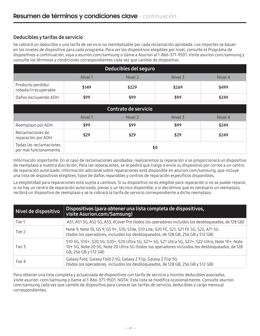# Deducibles y tarifas de servicio

Se cobrará un deducible o una tarifa de servicio no reembolsable por cada reclamación aprobada. Los importes se basan en los niveles de dispositivo para cada programa. Para ver los dispositivos elegibles por nivel, consulte el Programa de dispositivos a continuación, vaya a asurion.com/samsung o llame a Asurion al 1-866-371-9501. Visite asurion.com/samsung y consulte los términos y condiciones correspondientes cada vez que cambie de dispositivo.

| Deducibles del seguro                     |       |       |       |       |  |
|-------------------------------------------|-------|-------|-------|-------|--|
| Nivel 2<br>Nivel 3<br>Nivel 1<br>Nivel 4  |       |       |       |       |  |
| Producto perdido/<br>robado/irrecuperable | \$149 | \$229 | \$269 | \$499 |  |
| Daños excluyendo ADH                      | \$99  | \$99  | \$99  | \$249 |  |

| Contrato de servicio                                     |      |      |      |       |  |
|----------------------------------------------------------|------|------|------|-------|--|
| Nivel 2<br>Nivel 1<br>Nivel 3<br>Nivel 4                 |      |      |      |       |  |
| Reemplazo por ADH                                        | \$99 | \$99 | \$99 | \$249 |  |
| Reclamaciones de<br>reparación por ADH                   | \$29 | \$29 | \$29 | \$249 |  |
| Todas las reclamaciones<br>\$0<br>por mal funcionamiento |      |      |      |       |  |

Información importante: En el caso de reclamaciones aprobadas, realizaremos la reparación o se proporcionará un dispositivo de reemplazo a nuestra discreción. Para las reparaciones, se le pedirá que traiga o envíe su dispositivo por correo a un centro de reparación autorizado. Información adicional sobre reparaciones está disponible en asurion.com/samsung, que incluye una lista de dispositivos elegibles, tipos de daños reparables y centros de reparación específicos disponibles.

La elegibilidad para reparaciones está sujeta a cambios. Si su dispositivo no es elegible para reparación o no se puede reparar, si no hay un centro de reparación autorizado, piezas o un técnico disponible, o si decidimos que es necesario un reemplazo, recibirá un dispositivo de reemplazo y se le cobrará la tarifa de servicio correspondiente a dicho reemplazo.

| Nivel de dispositivo | Dispositivos (para obtener una lista completa de dispositivos,<br>visite Asurion.com/Samsung)                                                                                                                            |  |  |
|----------------------|--------------------------------------------------------------------------------------------------------------------------------------------------------------------------------------------------------------------------|--|--|
| Tier1                | A51, A51 5G, A52 5G, A53, XCover Pro (todos los operadores incluidos los desbloqueados, de 128 GB)                                                                                                                       |  |  |
| Tier <sub>2</sub>    | Note 9, Note 10, GS 9, GS 9+, S10, S10e, S10 Lite, S20 FE, S21, S21 FE 5G, S22, A71 5G<br>(todos los operadores, incluidos los desbloqueados, de 128 GB, 256 GB y 512 GB)                                                |  |  |
| Tier 3               | S10 5G, S10+, S20 5G, S20+, S20 Ultra 5G, S21+ 5G, S21 Ultra 5G, S22+, S22 Ultra, Note 10+, Note<br>10+5G, Note 205G, Note 20 Ultra 5G (todos los operadores incluidos los desbloqueados, de 128<br>GB, 256 GB y 512 GB) |  |  |
| Tier 4               | Galaxy Fold, Galaxy Fold 2 5G, Galaxy Z Flip, Galaxy Z Flip 5G<br>(todos los operadores, incluidos los desbloqueados, de 128 GB, 256 GB y 512 GB)                                                                        |  |  |

Para obtener una lista completa y actualizada de dispositivos con tarifa de servicio y montos deducibles asociados, visite asurion. com/samsung o llame al 1-866-371-9501. NOTA: Esta lista se modifica ocasionalmente. Consulte asurion. com/samsung cada vez que cambie de dispositivo para conocer las tarifas de servicio, deducibles y cargo mensual correspondientes.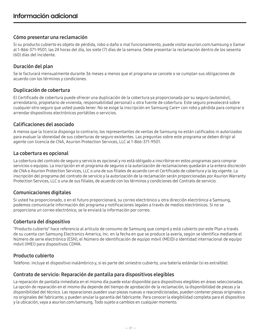# Cómo presentar una reclamación

Si su producto cubierto es objeto de pérdida, robo o daño o mal funcionamiento, puede visitar asurion.com/samsung o llamar al 1-866-371-9501, las 24 horas del día, los siete (7) días de la semana. Debe presentar la reclamación dentro de los sesenta (60) días del incidente.

# Duración del plan

Se le facturará mensualmente durante 36 meses a menos que el programa se cancele o se cumplan sus obligaciones de acuerdo con los términos y condiciones.

# Duplicación de cobertura

El Certificado de cobertura puede ofrecer una duplicación de la cobertura ya proporcionada por su seguro (automóvil, arrendatario, propietario de vivienda, responsabilidad personal) u otra fuente de cobertura. Este seguro prevalecerá sobre cualquier otro seguro que usted pueda tener. No se exige la inscripción en Samsung Care+ con robo y pérdida para comprar o arrendar dispositivos electrónicos portátiles o servicios.

# Calificaciones del asociado

A menos que la licencia disponga lo contrario, los representantes de ventas de Samsung no están calificados ni autorizados para evaluar la idoneidad de sus coberturas de seguro existentes. Las preguntas sobre este programa se deben dirigir al agente con licencia de CNA, Asurion Protection Services, LLC al 1-866-371-9501.

# La cobertura es opcional

La cobertura del contrato de seguro y servicio es opcional y no está obligado a inscribirse en estos programas para comprar servicios o equipos. La inscripción en el programa de seguros o la autorización de reclamaciones quedarán a la entera discreción de CNA o Asurion Protection Services, LLC o una de sus filiales de acuerdo con el Certificado de cobertura y la ley vigente. La inscripción del programa del contrato de servicio y la autorización de la reclamación serán proporcionadas por Asurion Warranty Protection Services, LLC o una de sus filiales, de acuerdo con los términos y condiciones del Contrato de servicio.

# Comunicaciones digitales

Si usted ha proporcionado, o en el futuro proporcionará, su correo electrónico u otra dirección electrónica a Samsung, podemos comunicarle información del programa y notificaciones legales a través de medios electrónicos. Si no se proporciona un correo electrónico, se le enviará la información por correo.

# Cobertura del dispositivo

"Producto cubierto" hace referencia al artículo de consumo de Samsung que compró y está cubierto por este Plan a través de su cuenta con Samsung Electronics America, Inc. en la fecha en que se produce la avería, según se identifica mediante el Número de serie electrónico (ESN), el Número de identificación de equipo móvil (MEID) o Identidad internacional de equipo móvil (IMEI) para dispositivos CDMA.

# Producto cubierto

Teléfono: incluye el dispositivo inalámbrico y, si es parte del siniestro cubierto, una batería estándar (si es extraíble).

# Contrato de servicio: Reparación de pantalla para dispositivos elegibles

La reparación de pantalla inmediata en el mismo día puede estar disponible para dispositivos elegibles en áreas seleccionadas. La opción de reparación en el mismo día depende del tiempo de aprobación de la reclamación, la disponibilidad de piezas y la disponibilidad del técnico. Las reparaciones pueden usar piezas nuevas o reacondicionadas, pueden contener piezas originales o no originales del fabricante; y pueden anular la garantía del fabricante. Para conocer la elegibilidad completa para el dispositivo y la ubicación, vaya a asurion.com/samsung. Todo sujeto a cambios en cualquier momento.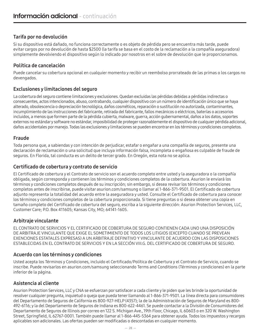# Tarifa por no devolución

Si su dispositivo está dañado, no funciona correctamente o es objeto de pérdida pero se encuentra más tarde, puede evitar cargos por no devolución de hasta \$2500 (la tarifa se basa en el costo de la reclamación a la compañía aseguradora) simplemente devolviendo el dispositivo según lo indicado por nosotros en el sobre de devolución que le proporcionamos.

# Política de cancelación

Puede cancelar su cobertura opcional en cualquier momento y recibir un reembolso prorrateado de las primas o los cargos no devengados.

# Exclusiones y limitaciones del seguro

La cobertura del seguro contiene limitaciones y exclusiones. Quedan excluidas las pérdidas debidas a pérdidas indirectas o consecuentes, actos intencionados, abuso, contrabando, cualquier dispositivo con un número de identificación único que se haya alterado, obsolescencia o depreciación tecnológica, daños cosméticos, reparación o sustitución no autorizada, contaminantes, incumplimiento de las instrucciones del fabricante, retirada del fabricante, fallos mecánicos o eléctricos, baterías o accesorios incluidos, a menos que formen parte de la pérdida cubierta, malware, guerra, acción gubernamental, daños a los datos, soportes externos no estándar y software no estándar, imposibilidad de proteger razonablemente el dispositivo de cualquier pérdida adicional, daños accidentales por manejo. Todas las exclusiones y limitaciones se pueden encontrar en los términos y condiciones completos.

# Fraude

Toda persona que, a sabiendas y con intención de perjudicar, estafar o engañar a una compañía de seguros, presente una declaración de reclamación o una solicitud que incluya información falsa, incompleta o engañosa es culpable de fraude de seguros. En Florida, tal conducta es un delito de tercer grado. En Oregón, esta nota no se aplica.

# Certificado de cobertura y contrato de servicio

El Certificado de cobertura y el Contrato de servicio son el acuerdo completo entre usted y la aseguradora o la compañía obligada, según corresponda y contienen los términos y condiciones completos de la cobertura. Asurion le enviará los términos y condiciones completos después de su inscripción; sin embargo, si desea revisar los términos y condiciones completos antes de inscribirse, puede visitar asurion.com/samsung o llamar al 1-866-371-9501. El Certificado de cobertura adjunto representa la totalidad del acuerdo entre la aseguradora y usted. Consulte el Certificado de cobertura para conocer los términos y condiciones completos de la cobertura proporcionada. Si tiene preguntas o si desea obtener una copia en tamaño completo del Certificado de cobertura del seguro, escriba a la siguiente dirección: Asurion Protection Services, LLC, Customer Care; P.O. Box 411605; Kansas City, MO; 64141-1605.

# Arbitraje vinculante

EL CONTRATO DE SERVICIOS Y EL CERTIFICADO DE COBERTURA DE SEGURO CONTIENEN CADA UNO UNA DISPOSICIÓN DE ARBITRAJE VINCULANTE QUE EXIGE EL SOMETIMIENTO DE TODOS LOS LITIGIOS (EXCEPTO CUANDO SE PREVEAN EXENCIONES ESTATALES EXPRESAS) A UN ARBITRAJE DEFINITIVO Y VINCULANTE DE ACUERDO CON LAS DISPOSICIONES ESTABLECIDAS EN EL CONTRATO DE SERVICIOS Y EN LA SECCIÓN VIII.G. DEL CERTIFICADO DE COBERTURA DE SEGURO.

# Acuerdo con los términos y condiciones

Usted acepta los Términos y Condiciones, incluido el Certificado/Política de Cobertura y el Contrato de Servicio, cuando se inscribe. Puede revisarlos en asurion.com/samsung seleccionando Terms and Conditions (Términos y condiciones) en la parte inferior de la página.

# Asistencia al cliente

Asurion Protection Services, LLC y CNA se esfuerzan por satisfacer a cada cliente y le piden que les brinde la oportunidad de resolver cualquier pregunta, inquietud o queja que pueda tener llamando al 1-866-371-9501. La línea directa para consumidores del Departamento de Seguros de California es 800-927-HELP (4357); la de la Administración de Seguros de Maryland es 800- 492-6116; y la del Departamento de Seguros de Indiana es 800-622-4461. Se puede contactar a la División de Consumidores del Departamento de Seguros de Illinois por correo en 122 S. Michigan Ave., 19th Floor, Chicago, IL 60603 o en 320 W. Washington Street, Springfield, IL 62767-0001. También puede llamar al 1-866-445-5364 para obtener ayuda. Todos los impuestos y recargos aplicables son adicionales. Las ofertas pueden ser modificadas o descontadas en cualquier momento.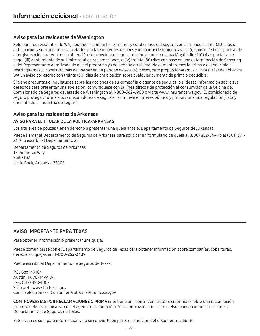# Aviso para los residentes de Washington

Solo para los residentes de WA, podemos cambiar los términos y condiciones del seguro con al menos treinta (30) días de anticipación y solo podemos cancelarlos por las siguientes razones y mediante el siguiente aviso: (i) quince (15) días por fraude o tergiversación material en la obtención de cobertura o la presentación de una reclamación; (ii) diez (10) días por falta de pago; (iii) agotamiento de su límite total de reclamaciones; o (iv) treinta (30) días con base en una determinación de Samsung o del Representante autorizado de que el programa ya no debería ofrecerse. No aumentaremos la prima o el deducible ni restringiremos la cobertura más de una vez en un período de seis (6) meses, pero proporcionaremos a cada titular de póliza de WA un aviso por escrito con treinta (30) días de anticipación sobre cualquier aumento de prima o deducible.

Si tiene preguntas o inquietudes sobre las acciones de su compañía o agente de seguros, o si desea información sobre sus derechos para presentar una apelación, comuníquese con la línea directa de protección al consumidor de la Oficina del Comisionado de Seguros del estado de Washington al 1-800-562-6900 o visite www.insurance.wa.gov. El comisionado de seguro protege y forma a los consumidores de seguros, promueve el interés público y proporciona una regulación justa y eficiente de la industria de seguros.

# Aviso para los residentes de Arkansas

# AVISO PARA EL TITULAR DE LA POLÍTICA-ARKANSAS

Los titulares de pólizas tienen derecho a presentar una queja ante el Departamento de Seguros de Arkansas.

Puede llamar al Departamento de Seguros de Arkansas para solicitar un formulario de queja al (800) 852-5494 o al (501) 371- 2640 o escribir al Departamento al:

Departamento de Seguros de Arkansas 1 Commerce Way Suite 102 Little Rock, Arkansas 72202

# AVISO IMPORTANTE PARA TEXAS

Para obtener información o presentar una queja:

Puede comunicarse con el Departamento de Seguros de Texas para obtener información sobre compañías, coberturas, derechos o quejas en: 1-800-252-3439.

Puede escribir al Departamento de Seguros de Texas:

P.O. Box 149104 Austin, TX 78714-9104 Fax: (512) 490-1007 Sitio web: www.tdi.texas.gov Correo electrónico: ConsumerProtection@tdi.texas.gov

CONTROVERSIAS POR RECLAMACIONES O PRIMAS: Si tiene una controversia sobre su prima o sobre una reclamación, primero debe comunicarse con el agente o la compañía. Si la controversia no se resuelve, puede comunicarse con el Departamento de Seguros de Texas.

Este aviso es solo para información y no se convierte en parte o condición del documento adjunto.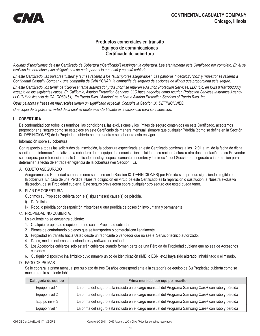# **Productos comerciales en tránsito Equipos de comunicaciones Certificado de cobertura**

*Algunas disposiciones de este Certificado de Cobertura ("Certificado") restringen la cobertura. Lea atentamente este Certificado por completo. En él se explican los derechos y las obligaciones de cada parte y lo que está y no está cubierto.*

*En este Certificado, las palabras "usted" y "su" se refieren a los "suscriptores asegurados". Las palabras "nosotros", "nos" y "nuestro" se refieren a Continental Casualty Company, una compañía de CNA ("CNA"), la compañía de seguros de acciones de Illinois que proporciona este seguro.*

*En este Certificado, los términos "Representante autorizado" y "Asurion" se refieren a Asurion Protection Services, LLC (Lic. en Iowa #1001002300), excepto en los siguientes casos: En California, Asurion Protection Services, LLC hace negocios como Asurion Protection Services Insurance Agency, LLC (N.º de licencia de CA: OD63161). En Puerto Rico, "Asurion" se refiere a Asurion Protection Services of Puerto Rico, Inc.*

*Otras palabras y frases en mayúsculas tienen un significado especial. Consulte la Sección IX. DEFINICIONES.*

*Una copia de la póliza en virtud de la cual se emite este Certificado está disponible para su inspección.*

### **I. COBERTURA.**

De conformidad con todos los términos, las condiciones, las exclusiones y los límites de seguro contenidos en este Certificado, aceptamos proporcionar el seguro como se establece en este Certificado de manera mensual, siempre que cualquier Pérdida (como se define en la Sección IX. DEFINICIONES) de la Propiedad cubierta ocurra mientras su cobertura está en vigor.

#### Información sobre su cobertura

Con respecto a todas las solicitudes de inscripción, la cobertura especificada en este Certificado comienza a las 12:01 a. m. de la fecha de dicha solicitud. La información relativa a la cobertura de su equipo de comunicación incluida en su recibo, factura u otra documentación de su Proveedor se incorpora por referencia en este Certificado e incluye específicamente el nombre y la dirección del Suscriptor asegurado e información para determinar la fecha de entrada en vigencia de la cobertura (ver Sección I.E).

#### A. OBJETO ASEGURADO

Aseguramos su Propiedad cubierta (como se define en la Sección IX. DEFINICIONES) por Pérdida siempre que siga siendo elegible para la cobertura. En caso de una Pérdida, Nuestra obligación en virtud de este Certificado es la reparación o sustitución, a Nuestra exclusiva discreción, de su Propiedad cubierta. Este seguro prevalecerá sobre cualquier otro seguro que usted pueda tener.

#### B. PLAN DE COBERTURA

Cubrimos su Propiedad cubierta por la(s) siguientes(s) causa(s) de pérdida.

i) Daño físico.

ii) Robo, o pérdida por desaparición misteriosa u otra pérdida de posesión involuntaria y permanente.

### C. PROPIEDAD NO CUBIERTA.

Lo siguiente no se encuentra cubierto:

- 1. Cualquier propiedad o equipo que no sea la Propiedad cubierta.
- 2. Bienes de contrabando o bienes que se transporten o comercialicen ilegalmente.
- 3. Propiedad en tránsito hacia Usted desde un fabricante o vendedor que no sea el Servicio técnico autorizado.
- 4. Datos, medios externos no estándares y software no estándar.
- 5. Los Accesorios cubiertos solo estarán cubiertos cuando formen parte de una Pérdida de Propiedad cubierta que no sea de Accesorios cubiertos.
- 6. Cualquier dispositivo inalámbrico cuyo número único de identificación (IMEI o ESN, etc.) haya sido alterado, inhabilitado o eliminado.
- D. PAGO DE PRIMAS.

Se le cobrará la prima mensual por su plazo de tres (3) años correspondiente a la categoría de equipo de Su Propiedad cubierta como se muestra en la siguiente tabla.

| Categoría de equipo | Prima mensual por equipo inscrito                                                                   |  |  |
|---------------------|-----------------------------------------------------------------------------------------------------|--|--|
| Equipo nivel 1      | La prima del seguro está incluida en el cargo mensual del Programa Samsung Care+ con robo y pérdida |  |  |
| Equipo nivel 2      | La prima del seguro está incluida en el cargo mensual del Programa Samsung Care+ con robo y pérdida |  |  |
| Equipo nivel 3      | La prima del seguro está incluida en el cargo mensual del Programa Samsung Care+ con robo y pérdida |  |  |
| Equipo nivel 4      | La prima del seguro está incluida en el cargo mensual del Programa Samsung Care+ con robo y pérdida |  |  |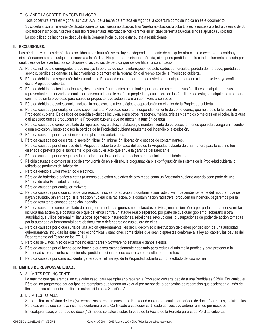# E. CUÁNDO LA COBERTURA ESTÁ EN VIGOR.

Toda cobertura entra en vigor a las 12:01 A.M. de la fecha de entrada en vigor de la cobertura como se indica en este documento. Su cobertura conforme a este Certificado comienza tras nuestra aprobación. Tras Nuestra aprobación, la cobertura es retroactiva a la fecha de envío de Su solicitud de inscripción. Nosotros o nuestro representante autorizado le notificaremos en un plazo de treinta (30) días si no se aprueba su solicitud.

La posibilidad de inscribirse después de la Compra inicial puede estar sujeta a restricciones.

#### **II. EXCLUSIONES.**

Las pérdidas y causas de pérdida excluidas a continuación se excluyen independientemente de cualquier otra causa o evento que contribuya simultáneamente o en cualquier secuencia a la pérdida. No pagaremos ninguna pérdida, ni ninguna pérdida directa o indirectamente causada por cualquiera de los eventos, las condiciones o las causas de pérdida que se identifican a continuación:

- A. Pérdida indirecta o emergente, lo que incluye la pérdida de uso, la interrupción de actividades comerciales, pérdida de mercado, pérdida de servicio, pérdida de ganancias, inconveniente o demora en la reparación o el reemplazo de la Propiedad cubierta.
- B. Pérdida debido a la separación intencional de la Propiedad cubierta por parte de usted o de cualquier persona a la que se le haya confiado dicha Propiedad cubierta.
- C. Pérdida debido a actos intencionales, deshonestos, fraudulentos o criminales por parte de usted o de sus familiares; cualquiera de sus representantes autorizados o cualquier persona a la que le confíe la propiedad y cualquiera de los familiares de esta; o cualquier otra persona con interés en la propiedad para cualquier propósito, que actúe sola o en connivencia con otros.
- D. Pérdida debido a obsolescencia, incluida la obsolescencia tecnológica o depreciación en el valor de la Propiedad cubierta.
- E. Pérdida causada por cualquier daño superficial a la Propiedad cubierta, independientemente de cómo ocurra, que no afecte la función de la Propiedad cubierta. Estos tipos de pérdida excluidos incluyen, entre otros, raspones, mellas, grietas y cambios o mejoras en el color, la textura o el acabado que se produzcan en la Propiedad cubierta que no afectan la función de esta.
- F. Pérdida causada o como resultado de reparaciones, ajustes, instalación, o mantenimiento defectuosos, a menos que sobrevenga un incendio o una explosión y luego solo por la pérdida de la Propiedad cubierta resultante del incendio o la explosión.
- G. Pérdida causada por reparaciones o reemplazos no autorizados.
- H. Pérdida causada por descarga, dispersión, filtración, migración, liberación o escape de contaminantes.
- I. Pérdida causada por el mal uso de la Propiedad cubierta o derivada del uso de la Propiedad cubierta de una manera para la cual no fue diseñada o prevista por el fabricante, o por cualquier acto que anule la garantía del fabricante.
- J. Pérdida causada por no seguir las instrucciones de instalación, operación o mantenimiento del fabricante.
- K. Pérdida causada o como resultado de error u omisión en el diseño, la programación o la configuración de sistema de la Propiedad cubierta, o retirada de productos del fabricante.
- L. Pérdida debido a Error mecánico o eléctrico.
- M. Pérdida de baterías o daños a estas (a menos que estén cubiertas de otro modo como un Accesorio cubierto cuando sean parte de una Pérdida de otra Propiedad cubierta).
- N. Pérdida causada por cualquier malware.
- O. Pérdida causada por o que surja de una reacción nuclear o radiación, o contaminación radiactiva, independientemente del modo en que se hayan causado. Sin embargo, si la reacción nuclear o la radiación, o la contaminación radiactiva, producen un incendio, pagaremos por la Pérdida resultante causada por dicho incendio.
- P. Pérdida causada o como resultado de una guerra, incluidas guerras no declaradas o civiles; una acción bélica por parte de una fuerza militar, incluida una acción que obstaculice o que defienda contra un ataque real o esperado, por parte de cualquier gobierno, soberano u otra autoridad que utilice personal militar u otros agentes; o insurrecciones, rebeliones, revoluciones, o usurpaciones de poder de acción tomadas por la autoridad gubernamental para obstaculizar o defenderse de cualquiera de ellas.
- Q. Pérdida causada por o que surja de una acción gubernamental, es decir, decomiso o destrucción de bienes por decisión de una autoridad gubernamental incluidas las sanciones económicas y sanciones comerciales que sean dispuestas conforme a la ley aplicable y las pautas del Departamento del Tesoro de los EE. UU.
- R. Pérdidas de Datos, Medios externos no estándares y Software no estándar o daños a estos.
- S. Pérdida causada por el hecho de no hacer lo que sea razonablemente necesario para reducir al mínimo la pérdida y para proteger a la Propiedad cubierta contra cualquier otra pérdida adicional, o que ocurra como resultado de ese hecho.
- T. Pérdida causada por daño accidental generado en el manejo de la Propiedad cubierta como resultado del uso normal.

# **III. LIMITES DE RESPONSABILIDAD..**

### A. A.LÍMITES POR INCIDENTE.

Lo máximo que gastaremos, en cualquier caso, para reemplazar o reparar la Propiedad cubierta debido a una Pérdida es \$2500. Por cualquier Pérdida, no pagaremos por equipos de reemplazo que tengan un valor al por menor de, o por costos de reparación que asciendan a, más del límite, menos el deducible aplicable establecido en la Sección IV.

B. B.LÍMITES TOTALES.

Se permitirá un máximo de tres (3) reemplazos o reparaciones de la Propiedad cubierta en cualquier período de doce (12) meses, incluidas las Pérdidas en las que se haya incurrido conforme a este Certificado o cualquier certificado consecutivo anterior emitido por nosotros.

En cualquier caso, el período de doce (12) meses se calcula sobre la base de la Fecha de la Pérdida para cada Pérdida cubierta.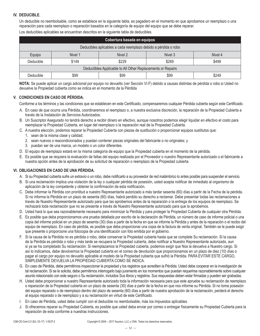# **IV. DEDUCIBLE.**

Un deducible no reembolsable, como se establece en la siguiente tabla, es pagadero en el momento en que aprobamos un reemplazo o una reparación para cada reemplazo o reparación basados en la categoría de equipo del equipo que se debe reparar. Los deducibles aplicables se encuentran descritos en la siguiente tabla de deducibles.

| Cobertura basada en equipos                                    |         |         |         |         |  |  |
|----------------------------------------------------------------|---------|---------|---------|---------|--|--|
| Deducibles aplicables a cada reemplazo debido a pérdida o robo |         |         |         |         |  |  |
| Equipo                                                         | Nivel 1 | Nivel 2 | Nivel 3 | Nivel 4 |  |  |
| Deducible                                                      | \$149   | \$229   | \$269   | \$499   |  |  |
| Deductibles Applicable to All Other Replacements or Repairs    |         |         |         |         |  |  |
| Deducible                                                      | \$99    | \$99    | \$99    | \$249   |  |  |

**NOTA:** Se puede aplicar un cargo adicional por equipo no devuelto (ver Sección VI.F) debido a causas distintas de pérdida o robo si Usted no devuelve la Propiedad cubierta como se indica en el momento de la Pérdida

### **V. CONDICIONES EN CASO DE PÉRDIDA.**

Conforme a los términos y las condiciones que se establecen en este Certificado, compensaremos cualquier Pérdida cubierta según este Certificado.

- A. En caso de que ocurra una Pérdida, coordinaremos el reemplazo o, a nuestra exclusiva discreción, la reparación de la Propiedad Cubierta a través de la Instalación de Servicios Autorizados.
- B. Un Suscriptor Asegurado no tendrá derecho a recibir dinero en efectivo, aunque nosotros podemos elegir liquidar en efectivo el costo para reemplazar la Propiedad Cubierta, en lugar del reemplazo o la reparación real de la Propiedad Cubierta.
- C. A nuestra elección, podemos reparar la Propiedad Cubierta con piezas de sustitución o proporcionar equipos sustitutos que:
	- 1. sean de la misma clase y calidad;
	- 2. sean nuevos o reacondicionados y puedan contener piezas originales del fabricante o no originales; y
	- 3. puedan ser de una marca, un modelo o un color diferentes.
- D. El equipo de reemplazo estará en la misma categoría de equipo que la Propiedad cubierta en el momento de la pérdida.
- E. Es posible que se requiera la evaluación de fallas del equipo realizada por el Proveedor o nuestro Representante autorizado o el fabricante a nuestra opción antes de la aprobación de su solicitud de reparación o reemplazo de la Propiedad cubierta.

# **VI. OBLIGACIONES EN CASO DE UNA PÉRDIDA.**

- A. Si su Propiedad cubierta sufre un extravío o un robo, debe notificarlo a su proveedor de red inalámbrico lo antes posible para suspender el servicio.
- B. Si una reclamación implica una violación de la ley o cualquier pérdida de posesión, usted acepta notificar de inmediato al organismo de aplicación de la ley competente y obtener la confirmación de esta notificación.
- C. Debe informar la Pérdida con prontitud a nuestro Representante autorizado a más tardar sesenta (60) días a partir de la Fecha de la pérdida. Si no informa la Pérdida en un plazo de sesenta (60) días, habrá perdido su derecho a reclamar. Debe presentar todas las reclamaciones a través de Nuestro Representante autorizado para que las aprobemos antes de la reparación o la entrega de los equipos de reemplazo. Se rechazará toda reclamación que no se presente a través de Nuestro Representante autorizado para que la aprobemos.
- D. Usted hará lo que sea razonablemente necesario para minimizar la Pérdida y para proteger la Propiedad Cubierta de cualquier otra Pérdida.
- E. Es posible que deba proporcionarnos una prueba detallada por escrito de la declaración de Pérdida, un número de caso de informe policial o una copia del informe policial en un plazo de sesenta (30) días a partir de la fecha en que se informe la Pérdida y antes de la reparación o el recibo del equipo de reemplazo. En caso de pérdida, es posible que deba proporcionar una copia de la factura de venta original. También se le puede exigir que presente o proporcione una fotocopia de una identificación con foto emitida por el gobierno.
- F. Si la causa de la Pérdida no es pérdida o robo, debe conservar la Propiedad cubierta hasta que se complete Su reclamación. Si la causa de la Pérdida es pérdida o robo y más tarde se recupera la Propiedad cubierta, debe notificar a Nuestro Representante autorizado, aun si ya se ha completado Su reclamación. Si reemplazamos la Propiedad cubierta, podemos exigir que Nos la devuelva a Nuestro cargo. Si así lo indicamos, debe devolvernos la Propiedad cubierta en el correo de devolución que proporcionamos en un plazo de diez (10) días o pagar el cargo por equipo no devuelto aplicable al modelo de la Propiedad cubierta que sufrió la Pérdida. PARA EVITAR ESTE CARGO, SIMPLEMENTE DEVUELVA LA PROPIEDAD CUBIERTA COMO SE INDICA.
- G. En caso de Pérdida, debe permitirnos inspeccionar la propiedad y los registros que acrediten la Pérdida. Usted debe cooperar en la investigación de tal reclamación. Si se le solicita, debe permitirnos interrogarlo bajo juramento en los momentos que puedan requerirse razonablemente sobre cualquier asunto relacionado con este seguro o Su reclamación, incluidos Sus libros y registros. Sus respuestas deben estar firmadas y pueden ser grabadas.
- H. Usted debe proporcionar a nuestro Representante autorizado toda la información necesaria para que este apruebe su reclamación de reemplazo o reparación de la Propiedad cubierta en un plazo de sesenta (30) días a partir de la fecha en que nos informe su Pérdida. Si no toma posesión del equipo reparado o de reemplazo dentro del plazo de sesenta (60) días a partir de nuestra aprobación de la reclamación, perderá el derecho al equipo reparado o de reemplazo y a su reclamación en virtud de este Certificado.
- I. En caso de Pérdida, usted debe cumplir con el deducible no reembolsable, más los impuestos aplicables.
- J. Si ofrecemos reparar su Propiedad Cubierta, es posible que usted deba enviar por correo o entregar físicamente su Propiedad Cubierta para la reparación de esta conforme a nuestras instrucciones.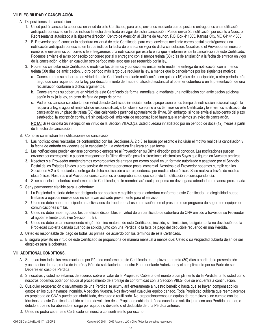### **VII.ELEGIBILIDAD Y CANCELACIÓN.**

#### A. Disposiciones de cancelación.

- 1. Usted podrá cancelar la cobertura en virtud de este Certificado; para esto, envíenos mediante correo postal o entréguenos una notificación anticipada por escrito en la que indique la fecha de entrada en vigor de dicha cancelación. Puede enviar Su notificación por escrito a Nuestro Representante autorizado a la siguiente dirección: Centro de Atención al Cliente de Asurion, P.O. Box 411605, Kansas City, MO 64141-1605.
- 2. El Proveedor podrá cancelar la cobertura en virtud de este Certificado; para esto, envíenos mediante correo postal o entréguenos una notificación anticipada por escrito en la que indique la fecha de entrada en vigor de dicha cancelación. Nosotros, o el Proveedor en nuestro nombre, le enviaremos por correo o le entregaremos una notificación por escrito en la que le informaremos la cancelación de este Certificado. Podemos enviarle el aviso por escrito por correo postal o entregarlo con al menos treinta (30) días de antelación a la fecha de entrada en vigor de la cancelación, o bien en cualquier otro período más largo que sea requerido por la ley.
- 3. Podremos cancelar este Certificado o modificar los términos y condiciones únicamente mediante entrega de notificación con al menos treinta (30) días de anticipación, u otro período más largo que requiera la ley, a menos que lo cancelemos por los siguientes motivos:
	- a. Cancelaremos su cobertura en virtud de este Certificado mediante notificación con quince (15) días de anticipación, u otro período más largo que sea requerido por la ley, por descubrimiento de fraude o falsedad sustancial al obtener cobertura o en la presentación de una reclamación conforme a dichos argumentos.
	- b. Cancelaremos su cobertura en virtud de este Certificado de forma inmediata, o mediante una notificación con anticipación adicional, según lo exija la ley, en caso de falta de pago de prima.
	- c. Podremos cancelar su cobertura en virtud de este Certificado inmediatamente, o proporcionaremos tiempo de notificación adicional, según lo requiera la ley, si agota el límite total de responsabilidad, si lo hubiere, conforme a los términos de este Certificado y le enviamos notificación de cancelación en un plazo de treinta (30) días calendario a partir del agotamiento del límite. Sin embargo, si no se envía el aviso dentro del plazo establecido, la inscripción continuará sin perjuicio del límite total de responsabilidad hasta que le enviemos un aviso de cancelación.

**NOTA:** Si se cancela Su inscripción en virtud de la Sección VII.A.3.(c), Usted quedará inhabilitado por un período de doce (12) meses a partir de la fecha de cancelación.

- B. Cómo se suministran las notificaciones de cancelación.
	- 1. Las notificaciones realizadas de conformidad con las Secciones A. 2 o 3 se harán por escrito e incluirán el motivo real de la cancelación y la fecha de entrada en vigencia de la cancelación. La cobertura finalizará en esa fecha.
	- 2. Las notificaciones pueden enviarse por correo o entregarse al Proveedor en su última dirección postal conocida. Las notificaciones pueden enviarse por correo postal o pueden entregarse en la última dirección postal o direcciones electrónicas Suyas que figuran en Nuestros archivos.
	- 3. Nosotros o el Proveedor mantendremos comprobantes de entrega por correo postal en un formato autorizado o aceptado por el Servicio Postal de los Estados Unidos u otro servicio de entrega por correo postal comercial. Nosotros o el Proveedor podemos cumplir con las Secciones A.2 o 3 mediante la entrega de dicha notificación o correspondencia por medios electrónicos. Si se realiza a través de medios electrónicos, Nosotros o el Proveedor conservaremos el comprobante de que se envío la notificación o correspondencia.
	- 4. Si se cancela la cobertura conforme a este Certificado, se le reembolsará cualquier prima no devengada adeudada de manera prorrateada.
- C. Ser y permanecer elegible para la cobertura:
	- 1. La Propiedad cubierta debe ser designada por nosotros y elegible para la cobertura conforme a este Certificado. La elegibilidad puede limitarse a equipos nuevos que no se hayan activado previamente para el servicio.
	- 2. Usted no debe haber participado en actividades de fraude o mal uso en relación con el presente o un programa de seguro de equipos de comunicaciones similar.
	- 3. Usted no debe haber agotado los beneficios disponibles en virtud de un certificado de cobertura de CNA emitido a través de su Proveedor al agotar el límite total. (ver Sección III. B).
	- 4. Usted no debe estar incumpliendo ningún término material de este Certificado, incluido, sin limitación, lo siguiente: la no devolución de la Propiedad cubierta dañada cuando se solicita junto con una Pérdida; o la falta de pago del deducible requerido en una Pérdida.
- D. Usted es responsable del pago de todas las primas, de acuerdo con los términos de este Certificado.
- E. El seguro provisto en virtud de este Certificado se proporciona de manera mensual a menos que: Usted o su Propiedad cubierta dejan de ser elegibles para la cobertura.

### **VIII. ADDITIONAL CONDITIONS.**

- A. Se resarcirán todas las reclamaciones por Pérdida conforme a este Certificado en un plazo de treinta (30) días a partir de la presentación y aceptación de una prueba de interés y Pérdida satisfactoria a nuestro Representante Autorizado y el cumplimiento por su Parte de sus Deberes en caso de Pérdida.
- B. Si nosotros y usted no estamos de acuerdo sobre el valor de la Propiedad Cubierta o el monto o cumplimiento de la Pérdida, tanto usted como nosotros podemos optar por acudir al procedimiento de arbitraje de conformidad con la Sección VIII.G. que se encuentra a continuación.
- C. Cualquier recuperación o salvamento de una Pérdida se acumulará enteramente a nuestro beneficio hasta que se hayan compensado los gastos en los que hayamos incurrido. A petición Nuestra, Nos devolverá cualquier equipo dañado. Toda Propiedad cubierta que reemplacemos es propiedad de CNA y puede ser inhabilitada, destruida o reutilizada. No proporcionaremos un equipo de reemplazo si no cumple con los términos de este Certificado debido a: la no devolución de la Propiedad cubierta dañada cuando se solicita junto con una Pérdida anterior, o debido a que no ha abonado el cargo por equipo no devuelto o el deducible de una Pérdida anterior.
- D. Usted no podrá ceder este Certificado sin nuestro consentimiento por escrito.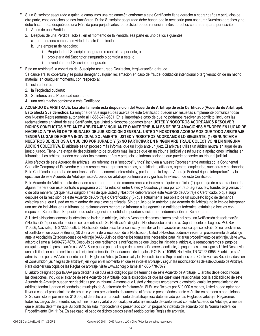- E. Si un Suscriptor asegurado a quien le cumplimos una reclamación conforme a este Certificado tiene derecho a cobrar daños y perjuicios de otra parte, esos derechos se nos transfieren. Dicho Suscriptor asegurado debe hacer todo lo necesario para asegurar Nuestros derechos y no debe hacer nada después de una Pérdida para perjudicarlos; pero Usted puede renunciar a Sus derechos contra otra parte por escrito:
	- 1. Antes de una Pérdida.
	- 2. Después de una Pérdida, solo si, en el momento de la Pérdida, esa parte es uno de los siguientes:
		- a. una persona cubierta en virtud de este Certificado;
		- b. una empresa de negocios;
			- i. Propiedad del Suscriptor asegurado o controlada por este; o
			- ii. propietaria del Suscriptor asegurado o controla a este; o
			- iii. arrendatario del Suscriptor asegurado.
- F. Esto no restringirá la cobertura del Suscriptor asegurado.Ocultación, tergiversación o fraude

Se cancelará su cobertura y se podrá denegar cualquier reclamación en caso de fraude, ocultación intencional o tergiversación de un hecho material, en cualquier momento, con respecto a:

- 1. esta cobertura;
- 2. la Propiedad cubierta;
- 3. Su interés en la Propiedad cubierta; o
- 4. una reclamación conforme a este Certificado.

G. **ACUERDO DE ARBITRAJE. Lea atentamente esta disposición del Acuerdo de Arbitraje de este Certificado (Acuerdo de Arbitraje). Esto afecta Sus derechos**. La mayoría de Sus inquietudes acerca de este Certificado pueden ser resueltas simplemente comunicándose con Nuestro Representante autorizado al 1-866-371-9501. En el improbable caso de que no podamos resolver un conflicto, incluidas las reclamaciones en virtud de este Certificado, que Usted o Nosotros podamos tener, **USTED Y NOSOTROS ACORDAMOS RESOLVER DICHOS CONFLICTOS MEDIANTE ARBITRAJE VINCULANTE O ANTE TRIBUNALES DE RECLAMACIONES MENORES EN LUGAR DE HACERLO A TRAVÉS DE TRIBUNALES DE JURISDICCIÓN GENERAL. USTED Y NOSOTROS ACORDAMOS QUE TODO ARBITRAJE TENDRÁ LUGAR DE FORMA INDIVIDUAL SOLAMENTE. USTED Y NOSOTROS ACORDAMOS LO SIGUIENTE: (1) RENUNCIAR A NUESTROS DERECHOS A UN JUICIO POR JURADO Y (2) NO PARTICIPAR EN NINGÚN ARBITRAJE COLECTIVO NI EN NINGUNA ACCIÓN COLECTIVA**. El arbitraje es un proceso más informal que un litigio ante un juez. El arbitraje utiliza un árbitro neutral en lugar de un juez o jurado. Tiene una etapa de descubrimiento de pruebas más limitada que en un tribunal judicial y está sujeto a apelaciones limitadas en tribunales. Los árbitros pueden conceder los mismos daños y perjuicios e indemnizaciones que puede conceder un tribunal judicial.

A los efectos de este Acuerdo de arbitraje, las referencias a "nosotros" y "nos" incluyen a nuestro Representante autorizado, a Continental Casualty Company, al Proveedor y a sus respectivas empresas matrices, subsidiarias, afiliadas, agentes, empleados, sucesores y cesionarios. Este Certificado es prueba de una transacción de comercio interestatal y, por lo tanto, la Ley de Arbitraje Federal rige la interpretación y la ejecución de este Acuerdo de Arbitraje. Este Acuerdo de arbitraje continuará en vigor tras la extinción de este Certificado.

Este Acuerdo de Arbitraje está destinado a ser interpretado de manera amplia e incluye cualquier conflicto: (1) que surja de o se relacione de alguna manera con este contrato o programa o con la relación entre Usted y Nosotros ya sea por contrato, agravio, ley, fraude, tergiversación o de otra manera; (2) que haya surgido antes de que Usted y Nosotros celebráramos este Acuerdo de Arbitraje o Certificado, o que surja después de la rescisión de este Acuerdo de Arbitraje o Certificado; y (3) que actualmente sea objeto de un supuesto litigio de demanda colectiva en el que Usted no es miembro de una clase certificada. Sin perjuicio de lo anterior, este Acuerdo de Arbitraje no le impide interponer una acción individual en un tribunal de reclamaciones menores o informar a las agencias o entidades federales, estatales o locales con respecto a Su conflicto. Es posible que estas agencias o entidades puedan solicitar una indemnización en Su nombre.

Si Usted o Nosotros tenemos la intención de iniciar un arbitraje, Usted y Nosotros debemos primero enviar al otro una Notificación de reclamación ("Notificación") por escrito mediante correo certificado. Su Notificación dirigida a Nosotros debe enviarse a: Departamento de Legales, P.O. Box 110656, Nashville, TN 37222-0656. La Notificación debe describir el conflicto y manifestar la reparación específica que se solicita. Si no resolvemos el conflicto en un plazo de (treinta) 30 días a partir de la recepción de la Notificación, Usted o Nosotros podemos iniciar un procedimiento de arbitraje ante la Asociación Estadounidense de Arbitraje (AAA). A fin de obtener los formularios necesarios para iniciar un procedimiento de arbitraje, visite www. adr.org o llame al 1-800-778-7879. Después de que recibamos la notificación de que Usted ha iniciado el arbitraje, le reembolsaremos el pago de cualquier cargo de presentación a la AAA. Si no puede pagar el cargo de presentación correspondiente, lo pagaremos en su lugar si Usted Nos envía una solicitud por correo certificado a la siguiente dirección: Departamento de Legales, P.O. Box 110656, Nashville, TN 37222-0656. El arbitraje será administrado por la AAA de acuerdo con las Reglas de Arbitraje Comercial y los Procedimientos Suplementarios para Controversias Relacionadas con el Consumidor (las "Reglas de arbitraje") en vigor en el momento en que se inicie el arbitraje y según las modificaciones de este Acuerdo de Arbitraje. Para obtener una copia de las Reglas de arbitraje, visite www.adr.org o llame al 1-800-778-7879.

El árbitro designado por la AAA para decidir la disputa está obligado por los términos de este Acuerdo de Arbitraje. El árbitro debe decidir todas las cuestiones, incluido el alcance de este Acuerdo de Arbitraje, con la excepción de que las cuestiones relacionadas con la aplicabilidad de este Acuerdo de Arbitraje pueden ser decididas por un tribunal. A menos que Usted y Nosotros acordemos lo contrario, cualquier procedimiento de arbitraje tendrá lugar en el condado o municipio de Su dirección de facturación. Si Su conflicto es por \$10 000 o menos, Usted puede optar por llevar a cabo el procedimiento de arbitraje ya sea presentando documentos al árbitro o presentándose ante el árbitro en persona o por teléfono. Si Su conflicto es por más de \$10 000, el derecho a un procedimiento de arbitraje será determinado por las Reglas de arbitraje. Pagaremos todos los cargos de presentación, administración y árbitro por cualquier arbitraje iniciado de conformidad con este Acuerdo de Arbitraje, a menos que el árbitro determine que Su conflicto ha sido improcedente o presentado con un propósito indebido de acuerdo con la Norma Federal de Procedimiento Civil 11(b). En ese caso, el pago de dichos cargos estará regido por las Reglas de arbitraje.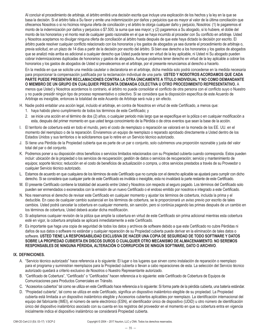Al concluir el procedimiento de arbitraje, el árbitro emitirá una decisión escrita que incluye una explicación de los hechos y la ley en la que se basa la decisión. Si el árbitro falla a Su favor y emite una indemnización por daños y perjuicios que es mayor al valor de la última conciliación que ofrecemos Nosotros o si no hicimos ninguna oferta de conciliación y el árbitro le otorga cualquier daño y perjuicio, Nosotros: (1) le pagaremos el monto de la indemnización por daños y perjuicios o \$7.500, la suma que sea mayor; y (2) pagaremos a Su abogado, si lo hubiere, el doble del monto de los honorarios y el monto real de cualquier gasto razonable en el que se haya incurrido al proceder con Su conflicto en arbitraje. Usted y Nosotros aceptamos no divulgar ninguna oferta de conciliación al árbitro hasta después de que este haya dictado la decisión por escrito. El árbitro puede resolver cualquier conflicto relacionado con los honorarios y los gastos de abogados ya sea durante el procedimiento de arbitraje o, previa solicitud, en un plazo de 14 días a partir de la decisión por escrito del árbitro. Si bien ese derecho a los honorarios y los gastos de abogados que se analizó más arriba es adicional a cualquier derecho que Usted pueda tener en virtud de la ley aplicable, ni Usted ni Su abogado pueden cobrar indemnizaciones duplicadas de honorarios y gastos de abogados. Aunque podamos tener derecho en virtud de la ley aplicable a cobrar los honorarios y los gastos de abogados de Usted si prevalecemos en el arbitraje, por el presente renunciamos al derecho a hacerlo.

En la medida en que se solicite una medida cautelar o declaratoria en el arbitraje, dicha medida solo podrá concederse en la medida necesaria para proporcionar la compensación justificada por la reclamación individual de una parte. **USTED Y NOSOTROS ACORDAMOS QUE CADA PARTE PUEDE PRESENTAR RECLAMACIONES CONTRA LA OTRA ÚNICAMENTE A TÍTULO INDIVIDUAL Y NO COMO DEMANDANTE O MIEMBRO DE UN GRUPO EN CUALQUIER PRESUNTA DEMANDA COLECTIVA U OTRO PROCEDIMIENTO REPRESENTATIVO.** A menos que Usted y Nosotros acordemos lo contrario, el árbitro no puede consolidar el conflicto de otra persona con el conflicto suyo o Nuestro y no puede presidir ningún tipo de proceso representativo o colectivo. Si se considera que la disposición específica de este Acuerdo de Arbitraje es inexigible, entonces la totalidad de este Acuerdo de Arbitraje será nula y sin efecto.

- H. Nadie podrá entablar una acción legal, incluido el arbitraje, en contra de Nosotros en virtud de este Certificado, a menos que:
	- 1. haya habido pleno cumplimiento de todos los términos de este Certificado; y
	- 2. se inicie una acción en el término de dos (2) años, o cualquier periodo más largo que se especifique en la póliza o en cualquier modificación a esta, después del primer momento en que usted tenga conocimiento de la Pérdida o de otros eventos que sean la base de la acción.
- I. El territorio de cobertura está en todo el mundo, pero el costo de reemplazo o reparación se valorará en la moneda de los EE. UU. en el momento del reemplazo o de la reparación. Enviaremos un equipo de reemplazo o reparado aprobado directamente a Usted dentro de los Estados Unidos y sus territorios o le solicitaremos que lo retire en un Servicio técnico autorizado.
- J. Si tiene una Pérdida de la Propiedad cubierta que es parte de un par o conjunto, solo cubriremos una proporción razonable y justa del valor total del par o del conjunto.
- K. Podremos poner a su disposición otros beneficios o servicios limitados relacionados con su Propiedad cubierta cuando corresponda. Estos pueden incluir: ubicación de la propiedad o los servicios de recuperación; gestión de datos o servicios de recuperación; servicio y mantenimiento de equipos; soporte técnico; reducción en el costo de beneficios de actualización o compra, u otros servicios prestados a través de su Proveedor o cualquier Servicio técnico autorizado.
- L. Estamos de acuerdo en que cualquiera de los términos de este Certificado que no cumpla con el derecho aplicable se ajustará para cumplir con dicho derecho. Si se considera que cualquier parte de este Certificado es inválida o inexigible, esta no invalidará la parte restante de este Certificado.
- M. El presente Certificado contiene la totalidad del acuerdo entre Usted y Nosotros con respecto al seguro pagado. Los términos del Certificado solo pueden ser enmendados o exonerados con la emisión de un nuevo Certificado o el endoso emitido por nosotros e integrado a este Certificado.
- N. Nos reservamos el derecho de revisar este Certificado en cualquier momento y ajustar los términos de cobertura, incluida la prima y el deducible. En caso de cualquier cambio sustancial en los términos de cobertura, se le proporcionará un aviso previo por escrito de tales cambios. Usted podrá cancelar la cobertura en cualquier momento, sin sanción, pero si continúa pagando las primas después de un cambio en los términos de cobertura, Usted deberá acatar dicha modificación.
- O. Si adoptamos cualquier revisión de la póliza que amplíe la cobertura en virtud de este Certificado sin prima adicional mientras esta cobertura esté en vigor, la cobertura ampliada se aplicará inmediatamente a este Certificado.
- P. Es importante que haga una copia de seguridad de todos los datos y archivos de software debido a que este Certificado no cubre Pérdidas ni daños de sus datos o software no estándar y cualquier reparación de su Propiedad cubierta puede derivar en la eliminación de tales datos o software. **USTED TIENE LA RESPONSABILIDAD EXCLUSIVA DE HACER UNA COPIA DE SEGURIDAD DE TODO SOFTWARE Y DATOS SOBRE LA PROPIEDAD CUBIERTA EN DISCOS DUROS O CUALQUIER OTRO MECANISMO DE ALMACENAMIENTO. NO SEREMOS RESPONSABLES DE NINGUNA PÉRDIDA, ALTERACIÓN O CORRUPCIÓN DE NINGÚN SOFTWARE, DATO O ARCHIVO**.

#### **IX. DEFINICIONES.**

- A. "Servicio técnico autorizado" hace referencia a lo siguiente: El lugar o los lugares que sirven como instalación de reparación o reemplazo para el programa y suministran reemplazos para la Propiedad cubierta o llevan a cabo reparaciones de esta. La selección del Servicio técnico autorizado quedará a criterio exclusivo de Nosotros o Nuestro Representante autorizado.
- B. "Certificado de Cobertura", "Certificado" o "Certificados" hacen referencia a lo siguiente: este Certificado de Cobertura de Equipos de Comunicaciones para Productos Comerciales en Tránsito.
- C. "Accesorios cubiertos" tal como se utiliza en este Certificado hace referencia a lo siguiente: Si forma parte de la pérdida cubierta, una batería estándar.
- D. "Propiedad cubierta", tal como se utiliza en este Certificado, significa un dispositivo inalámbrico elegible de su propiedad. La Propiedad cubierta está limitada a un dispositivo inalámbrico elegible y Accesorios cubiertos aplicables por reemplazo. La identificación internacional del equipo del fabricante (IMEI), el número de serie electrónico (ESN), el identificador único de dispositivo (UDiD) u otro número de identificación único del dispositivo inalámbrico asociado con su cuenta en los registros del proveedor en el momento en que su cobertura entra en vigencia inicialmente indica el dispositivo inalámbrico se considerará Propiedad cubierta.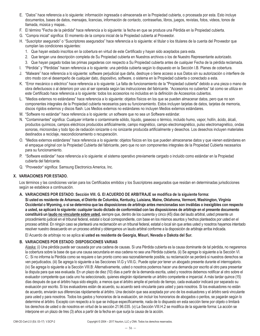- E. "Datos" hace referencia a lo siguiente: información ingresada o almacenada en la Propiedad cubierta, o procesada por esta. Esto incluye documentos, bases de datos, mensajes, licencias, información de contacto, contraseñas, libros, juegos, revistas, fotos, videos, tonos de llamada, música y mapas..
- F. El término "Fecha de la pérdida" hace referencia a lo siguiente: la fecha en que se produce una Pérdida en la Propiedad cubierta.
- G. "Compra inicial" significa: El momento de la compra inicial de la Propiedad cubierta al Proveedor.
- H. "Suscriptor asegurado" o "Suscriptores asegurados" hace referencia a lo siguiente: el titular o los titulares de la cuenta del Proveedor que cumplan las condiciones siguientes:
	- 1. Que hayan estado inscritos en la cobertura en virtud de este Certificado y hayan sido aceptados para esta.
	- 2. Que tengan una descripción completa de Su Propiedad cubierta en Nuestros archivos o los de Nuestro Representante autorizado.
	- 3. Que hayan pagado todas las primas pagaderas con respecto a Su Propiedad cubierta antes de cualquier Fecha de la pérdida reclamada.
- I. "Pérdida" y "Pérdidas" hacen referencia a lo siguiente: una pérdida cubierta según lo dispuesto en la Sección I.B. Planes de cobertura.
- J. "Malware" hace referencia a lo siguiente: software perjudicial que daña, destruye o tiene acceso a sus Datos sin su autorización o interfiere de otro modo con el desempeño de cualquier dato, dispositivo, software, o sistema en la Propiedad cubierta o conectado a esta.
- K. "Error mecánico o eléctrico" hace referencia a lo siguiente: La falta de funcionamiento de la "Propiedad cubierta" debido a una pieza o mano de obra defectuosos o al deterioro por uso al ser operada según las instrucciones del fabricante. "Accesorios no cubiertos" tal como se utiliza en este Certificado hace referencia a lo siguiente: todos los accesorios no incluidos en la definición de Accesorios cubiertos.
- L. "Medios externos no estándares" hace referencia a lo siguiente: objetos físicos en los que se pueden almacenar datos, pero que no son componentes integrales de la Propiedad cubierta necesarios para su funcionamiento. Estos incluyen tarjetas de datos, tarjetas de memoria, discos rígidos externos y discos flash. Los Medios externos no estándares no incluyen Medios externos estándares.
- M. "Software no estándar" hace referencia a lo siguiente: un software que no sea un Software estándar.
- N. "Contaminantes" significa: Cualquier irritante o contaminante sólido, líquido, gaseoso o térmico, incluido humo, vapor, hollín, ácido, álcali, productos químicos, campos eléctricos producidos artificialmente, campo magnético, campo electromagnético, pulso electromagnético, ondas sonoras, microondas y todo tipo de radiación ionizante o no ionizante producida artificialmente y desechos. Los desechos incluyen materiales destinados a reciclaje, reacondicionamiento o recuperación.
- O. "Medios externos estándares" hace referencia a lo siguiente: objetos físicos en los que pueden almacenarse datos y que vienen estándares en el empaque original con la Propiedad Cubierta del fabricante, pero que no son componentes integrales de la Propiedad Cubierta necesarios para su funcionamiento.
- P. "Software estándar" hace referencia a lo siguiente: el sistema operativo previamente cargado o incluido como estándar en la Propiedad cubierta del fabricante.
- Q. "Proveedor" significa: Samsung Electronics America, Inc.

### **X. VARIACIONES POR ESTADO.**

Los términos y las condiciones varían para los Certificados emitidos y los Suscriptores asegurados que residan en determinadas jurisdicciones según se establece a continuación.

#### **A. VARIACIONES POR ESTADO: Sección VIII. G. El ACUERDO DE ARBITRAJE se modifica de la siguiente forma:**

**Si usted es residente de Arkansas, el Distrito de Columbia, Kentucky, Luisiana, Maine, Oklahoma, Vermont, Washington, Virginia Occidental o Wyoming, o si se determina que las disposiciones de arbitraje antes mencionadas son inválidas o inexigibles con respecto a usted, se aplicará lo siguiente: cualquier laudo dictado de conformidad con las disposiciones de arbitraje en el presente documento constituirá un laudo no vinculante sobre usted,** siempre que, dentro de los cuarenta y cinco (45) días del laudo arbitral, usted presente un procedimiento judicial en el tribunal federal, estatal o local correspondiente, con base en los mismos asuntos y hechos planteados por usted en el proceso arbitral. En ningún caso se planteará una reclamación en un tribunal federal, estatal o local sin que antes usted y nosotros hayamos intentado resolver nuestro desacuerdo en un proceso arbitral y obtengamos un laudo arbitral conforme a la disposición de arbitraje arriba indicada.

El Acuerdo de arbitraje no se aplica **si usted es residente de Georgia, Misuri, Nevada o Dakota del Sur.** 

### **B. VARIACIONES POR ESTADO: DISPOSICIONES VARIAS**

Alaska: (i) Una pérdida puede ser causada por una cadena de causas. Si una Pérdida cubierta es la causa dominante de tal pérdida, no negaremos la cobertura sobre la base de que una causa secundaria en esa cadena no sea una Pérdida cubierta. (ii) Se agrega lo siguiente a la Sección VI. C.: Si no informa la Pérdida como se requiere o tan pronto como sea razonablemente posible, su reclamación se perderá si nuestros derechos se ven perjudicados. (iii) Se agrega lo siguiente a las Secciones VI.G y VIII.G.: Puede optar por tener un abogado presente durante el interrogatorio. (iv) Se agrega lo siguiente a la Sección VIII.B: Alternativamente, usted o nosotros podemos hacer una demanda por escrito al otro para presentar la disputa para que sea evaluada. En un plazo de diez (10) días a partir de la demanda escrita, usted y nosotros debemos notificar al otro sobre el evaluador competente que cada uno ha seleccionado, quienes elegirán rápidamente un árbitro competente e imparcial. A más tardar quince (15) días después de que el árbitro haya sido elegido, a menos que el árbitro amplíe el período de tiempo, cada evaluador indicará por separado su evaluación por escrito. Si los evaluadores están de acuerdo, su acuerdo será vinculante para usted y para nosotros. Si los evaluadores no están de acuerdo, enviarán sus diferencias rápidamente al árbitro. Una decisión que sea aceptada por uno de los evaluadores y el árbitro será vinculante para usted y para nosotros. Todos los gastos y honorarios de la evaluación, sin incluir los honorarios de abogados o peritos, se pagarán según lo determine el árbitro. Excepto con respecto a lo que se indique específicamente, nada de lo dispuesto en esta sección tiene por objeto o limitará los derechos de usted o de nosotros en virtud de la sección 21.96.035. (v) La Sección VIII.H.2 se modifica de la siguiente forma: La acción se interpone en un plazo de tres (3) años a partir de la fecha en que surja la causa de la acción.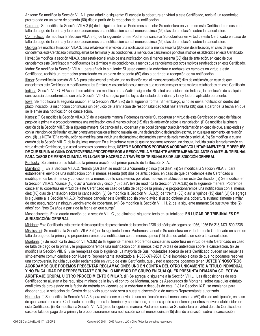Arizona: Se modifica la Sección VII.A.1. para añadir lo siguiente: Si cancela la cobertura en virtud a este Certificado, recibirá un reembolso prorrateado en un plazo de sesenta (60) días a partir de la recepción de su notificación.

Colorado: Se modifica la Sección VII.A.3.(b) de la siguiente forma: Podremos cancelar Su cobertura en virtud de este Certificado en caso de falta de pago de la prima y le proporcionaremos una notificación con al menos quince (15) días de antelación sobre la cancelación.

Connecticut: Se modifica la Sección VII.A.3.(b) de la siguiente forma: Podremos cancelar Su cobertura en virtud de este Certificado en caso de falta de pago de la prima y le proporcionaremos una notificación con al menos quince (15) días de antelación sobre la cancelación.

Georgia: Se modifica la sección VII.A.3. para establecer el envío de una notificación con al menos sesenta (60) días de antelación, en caso de que cancelemos este Certificado o modifiquemos los términos y las condiciones, a menos que cancelemos por otros motivos establecidos en este Certificado.

Hawái: Se modifica la sección VII.A.3. para establecer el envío de una notificación con al menos sesenta (60) días de antelación, en caso de que cancelemos este Certificado o modifiquemos los términos y las condiciones, a menos que cancelemos por otros motivos establecidos en este Certificado.

Idaho: Se modifica la Sección VII.A.1. para añadir lo siguiente: Si usted cancela la cobertura o rechaza los cambios en virtud a este Certificado, recibirá un reembolso prorrateado en un plazo de sesenta (60) días a partir de la recepción de su notificación.

Illinois: Se modifica la sección VII.A.3. para establecer el envío de una notificación con al menos sesenta (60) días de antelación, en caso de que cancelemos este Certificado o modifiquemos los términos y las condiciones, a menos que cancelemos por otros motivos establecidos en este Certificado.

Indiana: Sección VIII.G. El Acuerdo de arbitraje se modifica para añadir lo siguiente: Si usted es residente de Indiana, la resolución de cualquier controversia de conformidad con esta Sección VIII.G se regirá por las leyes del estado de Indiana y la ley federal aplicable pertinente.

lowa: Se modificará la segunda oración en la Sección VII.A.3.(c) de la siguiente forma: Sin embargo, si no se envía notificación dentro del plazo indicado, la inscripción continuará sin perjuicio de la limitación de responsabilidad total hasta treinta (30) días a partir de la fecha en que se le envíe una notificación de cancelación.

Kansas: (i) Se modifica la Sección VII.A.3.(b) de la siguiente manera: Podremos cancelar Su cobertura en virtud de este Certificado en caso de falta de pago de la prima y le proporcionaremos una notificación con al menos quince (15) días de antelación sobre la cancelación. (ii) Se modifica la primera oración de la Sección VIII.F. de la siguiente manera: Se cancelará su cobertura y se podrá denegar cualquier reclamación en caso de que, a sabiendas y con la intención de defraudar, ocultar o tergiversar cualquier hecho material en una declaración o declaración escrita, en cualquier momento, en relación con:. (iii) La NOTA "B" a continuación se modifica para incluir una declaración o declaración escrita de reclamación o solicitud. (iv) Se modifica la cuarta oración de la Sección VIII. G. de la siguiente manera: En el improbable caso de que no podamos resolver una disputa, incluida cualquier reclamación en virtud de este Certificado, que usted o nosotros podamos tener, **USTED Y NOSOTROS PODEMOS ACORDAR VOLUNTARIAMENTE QUE DESPUÉS DE QUE SURJA ALGUNA CONTROVERSIA PROCEDEREMOS A RESOLVERLA MEDIANTE ARBITRAJE VINCULANTE O ANTE UN TRIBUNAL PARA CASOS DE MENOR CUANTÍA EN LUGAR DE HACERLO A TRAVÉS DE TRIBUNALES DE JURISDICCIÓN GENERAL**.

Kentucky: Se elimina en su totalidad la primera oración del primer párrafo de la Sección X. A.

Maryland: (i) En la Sección VII.A.2. "treinta (30) días" se modifica a "cuarenta y cinco (45) días". (ii) Se modifica la Sección VII.A.3. para establecer el envío de una notificación con al menos sesenta (60) días de anticipación, en caso de que cancelemos este Certificado o modifiquemos los términos y condiciones, a menos que lo cancelemos por otros motivos establecidos en este Certificado. (iii) Se modifica en la Sección VII.A.3. "quince (15) días" a "cuarenta y cinco (45) días". (iv) Se modifica la Sección VII.A.3.(b) de la siguiente manera: Podremos cancelar su cobertura en virtud de este Certificado en caso de falta de pago de la prima y le proporcionaremos una notificación con al menos diez (10) días de antelación sobre la cancelación. (v) Se modifica la Sección VII.A.3.(c) de "treinta (30) días" a "quince (15) días". (vi) Se agrega lo siguiente a la Sección VII.A.3: Podremos cancelar este Certificado sin previo aviso si usted obtiene una cobertura sustancialmente similar de otro asegurador sin ningún vencimiento de cobertura. (vii) Se modifica la Sección VIII. H. 2. de la siguiente manera: Se sustituye "dos (2) años" con "tres (3) años a partir de la fecha en que surge".

Massachusetts: En la cuarta oración de la sección VIII. G., se elimina el siguiente texto en su totalidad: **EN LUGAR DE TRIBUNALES DE JURISDICCIÓN GENERAL**.

Michigan: Este Certificado está exento de los requisitos de presentación de la sección 2236 del código de seguro de 1956, 1956 PA 218, MCL 500.2236. Mississippi: Se modifica la Sección VII.A.3.(b) de la siguiente forma: Podremos cancelar Su cobertura en virtud de este Certificado en caso de falta de pago de la prima y le proporcionaremos una notificación con al menos quince (15) días de antelación sobre la cancelación.

Montana: (i) Se modifica la Sección VII.A.3.(b) de la siguiente manera: Podremos cancelar su cobertura en virtud de este Certificado en caso de falta de pago de la prima y le proporcionaremos una notificación con al menos diez (10) días de antelación sobre la cancelación. (ii) Se modifica la Sección VIII. G. y se reemplaza con lo siguiente: La mayoría de Sus inquietudes acerca de este Certificado pueden ser resueltas simplemente comunicándose con Nuestro Representante autorizado al 1-866-371-9501. En el improbable caso de que no podamos resolver una controversia, incluida cualquier reclamación en virtud de este Certificado, que usted o nosotros podamos tener, **USTED Y NOSOTROS ACORDAMOS QUE PODEMOS PRESENTAR RECLAMACIONES UNO EN CONTRA DEL OTRO ÚNICAMENTE A TÍTULO INDIVIDUAL Y NO EN CALIDAD DE REPRESENTANTE GRUPAL O MIEMBRO DE GRUPO EN CUALQUIER PRESUNTA DEMANDA COLECTIVA, ARBITRAJE GRUPAL U OTRO PROCEDIMIENTO SIMILAR**. (iii) Se agrega lo siguiente a la Sección VIII.L.: Las disposiciones de este Certificado se ajustan a los requisitos mínimos de la ley y el control de Montana, para los Asegurados de Montana, sobre cualquier estatuto conflictivo de otro estado en la fecha de entrada en vigencia de la cobertura o después de esta. (iv) La Sección IX.B. se enmienda para

disponer que la selección del Centro de servicio autorizado será a nuestra discreción o de nuestro Representante autorizado.

Nebraska: (i) Se modifica la Sección VII.A.3. para establecer el envío de una notificación con al menos sesenta (60) días de anticipación, en caso de que cancelemos este Certificado o modifiquemos los términos y condiciones, a menos que lo cancelemos por otros motivos establecidos en este Certificado. (ii) Se modifica la Sección VII.A.3.(b) de la siguiente manera: Podremos cancelar Su cobertura en virtud de este Certificado en caso de falta de pago de la prima y le proporcionaremos una notificación con al menos quince (15) días de antelación sobre la cancelación.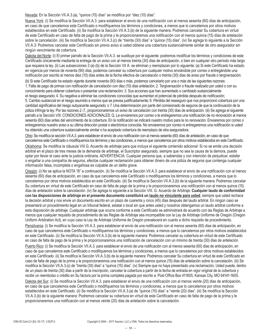Nevada: En la Sección VII.A.3.(a), "quince (15) días" se modifica por "diez (10) días".

Nueva York: (i) Se modifica la Sección VII.A.3. para establecer el envío de una notificación con al menos sesenta (60) días de anticipación, en caso de que cancelemos este Certificado o modifiquemos los términos y condiciones, a menos que lo cancelemos por otros motivos establecidos en este Certificado. (ii) Se modifica la Sección VII.A.3.(b) de la siguiente manera: Podremos cancelar Su cobertura en virtud de este Certificado en caso de falta de pago de la prima y le proporcionaremos una notificación con al menos quince (15) días de antelación sobre la cancelación. (iii) Se modifica la Sección VII.A.3.(c) de "treinta (30) días" a "quince (15) días". (iv) Se agrega lo siguiente a la Sección VII.A.3: Podremos cancelar este Certificado sin previo aviso si usted obtiene una cobertura sustancialmente similar de otro asegurador sin ningún vencimiento de cobertura.

Dakota del Norte: (i) El primer párrafo de la Sección VII.A.3. se sustituye por el siguiente: podremos modificar los términos y condiciones de este Certificado únicamente mediante la entrega de un aviso con al menos treinta (30) días de anticipación, o bien en cualquier otro período más largo que requiera la ley. (ii) Las subsecciones 3 (a)-(b) de la Sección VII A. se eliminan y reemplazan por lo siguiente: (a) Si este Certificado ha estado en vigencia por menos de noventa (90) días, podemos cancelar su cobertura por cualquier motivo enviándole por correo o entregándole una notificación por escrito al menos diez (10) días antes de la fecha efectiva de cancelación o treinta (30) días de aviso por fraude o tergiversación.

(b) Si este Certificado ha estado vigente durante noventa (90) días o más, podemos cancelarlo por una o más de las siguientes razones: 1. Falta de pago de primas con notificación de cancelación con diez (10) días antelación; 2. Tergiversación o fraude realizado por usted o con su conocimiento para obtener cobertura o presentar una reclamación; 3. Sus acciones que han aumentado o cambiado sustancialmente el riesgo asegurado; 4. Su negativa a eliminar las condiciones conocidas que aumentan el potencial de pérdida después de notificación; 5. Cambio sustancial en el riesgo asumido a menos que se prevea justificadamente; 6. Pérdida del reaseguro que nos proporcionó cobertura por una cantidad significativa del riesgo subyacente asegurado; o 7. Una determinación por parte del comisionado de seguros de que la continuación de la póliza infringe la ley. Por las razones 2.-7., proporcionaremos un aviso de cancelación con treinta (30) días de anticipación. (iii) Se agrega el siguiente párrafo a la Sección VIII. CONDICIONES ADICIONALES: Q. Le enviaremos por correo o le entregaremos una notificación de no renovación al menos sesenta (60) días antes del vencimiento de la cobertura. En la notificación se indicará nuestro motivo para la no renovación. Enviaremos por correo o entregaremos nuestro aviso a su última dirección postal o electrónica conocida. No enviaremos por correo ni entregaremos una notificación si usted ha obtenido una cobertura sustancialmente similar o ha aceptado cobertura de reemplazo de otra aseguradora.

Ohio: Se modifica la sección VII.A.3. para establecer el envío de una notificación con al menos sesenta (60) días de antelación, en caso de que cancelemos este Certificado o modifiquemos los términos y las condiciones, a menos que cancelemos por otros motivos establecidos en este Certificado.

Oklahoma: Se modifica la cláusula VIII.G. Acuerdo de arbitraje para que incluya el siguiente contenido adicional: Si no se emite una decisión arbitral en el plazo de tres meses de la demanda de arbitraje, el Suscriptor asegurado, siempre que no sea la causa de la demora, puede optar por llevar el caso ante la justicia ordinaria. ADVERTENCIA: Cualquier persona que, a sabiendas y con intención de perjudicar, estafar o engañar a una compañía de seguros, efectúe cualquier reclamación para obtener dinero de una póliza de seguros que contenga cualquier información falsa, incompleta o engañosa es culpable de un delito grave.

Oregón: (i) No se aplica la NOTA "B" a continuación. (ii) Se modifica la Sección VII.A.3. para establecer el envío de una notificación con al menos sesenta (60) días de anticipación, en caso de que cancelemos este Certificado o modifiquemos los términos y condiciones, a menos que lo cancelemos por otros motivos establecidos en este Certificado. (iii) Se modifica la Sección VII.A.3.(b) de la siguiente manera: Podremos cancelar Su cobertura en virtud de este Certificado en caso de falta de pago de la prima y le proporcionaremos una notificación con al menos quince (15) días de antelación sobre la cancelación. (iv) Se agrega lo siguiente a la Sección VIII. G. Acuerdo de Arbitraje: **Cualquier laudo de conformidad con las disposiciones de arbitraje en el presente documento constituirá un laudo no vinculante para usted**, siempre que usted rechace la decisión arbitral y nos envíe un documento escrito en un plazo de cuarenta y cinco (45) días después del laudo arbitral. En ningún caso se presentará un procedimiento legal en un tribunal federal, estatal o local sin que antes usted y nosotros obtengamos un laudo arbitral conforme a esta disposición de arbitraje. Cualquier arbitraje que ocurra conforme a este Certificado se administrará de acuerdo con las Reglas de Arbitraje a menos que cualquier requisito de procedimiento de las Reglas de Arbitraje sea incompatible con la Ley de Arbitraje Uniforme de Oregón (Oregon Uniform Arbitration Act), en cuyo caso la Ley de Arbitraje Uniforme de Oregón prevalecerá en cuanto a dicho requisito de procedimiento. Pensilvania: (i) Se modifica la Sección VII.A.3. para establecer el envío de una notificación con al menos sesenta (60) días de anticipación, en caso de que cancelemos este Certificado o modifiquemos los términos y condiciones, a menos que lo cancelemos por otros motivos establecidos en este Certificado. (ii) Se modifica la Sección VII.A.3.(b) de la siguiente manera: Podremos cancelar su cobertura en virtud de este Certificado en caso de falta de pago de la prima y le proporcionaremos una notificación de cancelación con un mínimo de treinta (30) días de antelación. Puerto Rico: (i) Se modifica la Sección VII.A.3. para establecer el envío de una notificación con al menos sesenta (60) días de anticipación, en caso de que cancelemos este Certificado o modifiquemos los términos y condiciones, a menos que lo cancelemos por otros motivos establecidos en este Certificado. (ii) Se modifica la Sección VII.A.3.(b) de la siguiente manera: Podremos cancelar Su cobertura en virtud de este Certificado en caso de falta de pago de la prima y le proporcionaremos una notificación con al menos quince (15) días de antelación sobre la cancelación. (iii) Se modifica la Sección VII.A.3.(c) de "treinta (30) días" a "quince (15) días". (iv) Siempre que no haya presentado una reclamación, Usted puede, dentro de un plazo de treinta (30) días a partir de la inscripción, cancelar la cobertura a partir de la fecha de entrada en vigor original de la cobertura y recibir un reembolso o crédito en Su factura por la prima completa pagada por escrito a: Post Office Box 411605, Kansas City, MO 64141-1605. Dakota del Sur: (i) Se modifica la Sección VII.A.3. para establecer el envío de una notificación con al menos veinte (20) días de anticipación, en caso de que cancelemos este Certificado o modifiquemos los términos y condiciones, a menos que lo cancelemos por otros motivos establecidos en este Certificado. (ii) Se modifica la Sección VII.A.3.(a) de "quince (15) días" a "veinte (20) días". (iii) Se modifica la Sección VII.A.3.(b) de la siguiente manera: Podremos cancelar su cobertura en virtud de este Certificado en caso de falta de pago de la prima y le proporcionaremos una notificación con al menos veinte (20) días de antelación sobre la cancelación.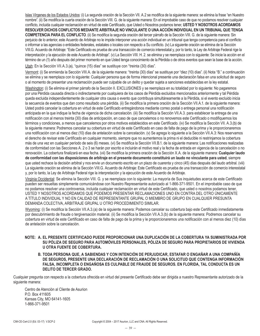Islas Vírgenes de los Estados Unidos: (i) La segunda oración de la Sección VII. A.2 se modifica de la siguiente manera: se elimina la frase "en Nuestro nombre". (ii) Se modifica la cuarta oración de la Sección VIII. G. de la siguiente manera: En el improbable caso de que no podamos resolver cualquier conflicto, incluida cualquier reclamación en virtud de este Certificado, que Usted o Nosotros podamos tener, **USTED Y NOSOTROS ACORDAMOS RESOLVER DICHOS CONFLICTOS MEDIANTE ARBITRAJE NO VINCULANTE O UNA ACCIÓN INDIVIDUAL EN UN TRIBUNAL QUE TENGA COMPETENCIA PARA EL CONFLICTO**. (ii) Se modifica la segunda oración del tercer párrafo de la Sección VIII. G. de la siguiente manera: Sin perjuicio de lo anterior, este Acuerdo de Arbitraje no le impide interponer una acción individual en un tribunal que tenga competencia para el conflicto o informar a las agencias o entidades federales, estatales o locales con respecto a Su conflicto. (iv) La siguiente oración se elimina de la Sección VIII.G. Acuerdo de Arbitraje: "Este Certificado es prueba de una transacción de comercio interestatal y, por lo tanto, la Ley de Arbitraje Federal rige la interpretación y la ejecución de este Acuerdo de Arbitraje". (v) La Sección VIII. H. 2. se elimina y se reemplaza con lo siguiente: Se inicie la acción en el término de un (1) año después del primer momento en que Usted tenga conocimiento de la Pérdida o de otros eventos que sean la base de la acción.

Utah: En la Sección VII.A.3.(a), "quince (15) días" se sustituye con "treinta (30) días".

Vermont: (i) Se enmienda la Sección VIII.A. de la siguiente manera: "treinta (30) días" se sustituye por "diez (10) días". (ii) Nota "B." a continuación se elimina y se reemplaza con lo siguiente: Cualquier persona que de forma intencional presente una declaración falsa en una solicitud de seguro o al momento de presentar una reclamación puede ser culpable de un delito y quedar sujeta a sanciones establecidas en la ley estatal.

Washington: (i) Se elimina el primer párrafo de la Sección II. EXCLUSIONES y se reemplaza en su totalidad por lo siguiente: No pagaremos por una Pérdida causada directa o indirectamente por cualquiera de los casos de Pérdida excluidos mencionados anteriormente y tal Pérdida queda excluida independientemente de cualquier otra causa o evento que contribuya simultáneamente a la Pérdida, si el evento excluido inicia la secuencia de eventos que dan como resultado una pérdida. (ii) Se modifica la primera oración de la Sección VII.A.1. de la siguiente manera: Usted podrá cancelar la cobertura en virtud de este Certificado entregándonos mediante correo postal o entrega personal una notificación anticipada en la que indique la fecha de vigencia de dicha cancelación. (iii) Se modifica la Sección VII.A.3. para establecer la entrega de una notificación con al menos treinta (30) días de anticipación, en caso de que cancelemos o no renovemos este Certificado o modifiquemos los términos y condiciones, a menos que cancelemos por otros motivos establecidos en este Certificado. (iv) Se modifica la Sección VII. A.3.(b) de la siguiente manera: Podremos cancelar su cobertura en virtud de este Certificado en caso de falta de pago de la prima y le proporcionaremos una notificación con al menos diez (10) días de antelación sobre la cancelación. (v) Se agrega lo siguiente a la Sección VII.A.3: Nos reservamos el derecho de revisar este Certificado en cualquier momento, siempre que no aumentemos la prima ni el deducible ni restrinjamos la cobertura más de una vez en cualquier período de seis (6) meses. (vi) Se modifica la Sección VII.B.1. de la siguiente manera: Las notificaciones realizadas de conformidad con las Secciones A. 2 o 3 se harán por escrito e incluirán el motivo real y la fecha de entrada en vigencia de la cancelación o no renovación. La cobertura finalizará en esa fecha. (vii) Se modifica la primera oración de la Sección X.A. de la siguiente manera: **Cualquier laudo de conformidad con las disposiciones de arbitraje en el presente documento constituirá un laudo no vinculante para usted**, siempre que usted rechace la decisión arbitral y nos envíe un documento escrito en un plazo de cuarenta y cinco (45) días después del laudo arbitral. (viii) La siguiente oración se elimina de la Sección VIII.G. Acuerdo de Arbitraje: Este Certificado es prueba de una transacción de comercio interestatal y, por lo tanto, la Ley de Arbitraje Federal rige la interpretación y la ejecución de este Acuerdo de Arbitraje.

Virginia Occidental: Se elimina la Sección VIII. G. y se reemplaza con lo siguiente: La mayoría de Sus inquietudes acerca de este Certificado pueden ser resueltas simplemente comunicándose con Nuestro Representante autorizado al 1-866-371-9501. En el improbable caso de que no podamos resolver una controversia, incluida cualquier reclamación en virtud de este Certificado, que usted o nosotros podamos tener, USTED Y NOSOTROS ACORDAMOS QUE PODEMOS PRESENTAR RECLAMACIONES UNO EN CONTRA DEL OTRO ÚNICAMENTE A TÍTULO INDIVIDUAL Y NO EN CALIDAD DE REPRESENTANTE GRUPAL O MIEMBRO DE GRUPO EN CUALQUIER PRESUNTA DEMANDA COLECTIVA, ARBITRAJE GRUPAL U OTRO PROCEDIMIENTO SIMILAR.

Wyoming: (i) Se modifica la Sección VII.A.3.(a) de la siguiente manera: Podemos cancelar su cobertura bajo este Certificado inmediatamente por descubrimiento de fraude o tergiversación material. (ii) Se modifica la Sección VII.A.3.(b) de la siguiente manera: Podremos cancelar su cobertura en virtud de este Certificado en caso de falta de pago de la prima y le proporcionaremos una notificación con al menos diez (10) días de antelación sobre la cancelación.

#### **NOTE: A. EL PRESENTE CERTIFICADO PUEDE PROPORCIONAR UNA DUPLICACIÓN DE LA COBERTURA YA SUMINISTRADA POR SU PÓLIZA DE SEGURO PARA AUTOMÓVILES PERSONALES, PÓLIZA DE SEGURO PARA PROPIETARIOS DE VIVIENDA U OTRA FUENTE DE COBERTURA.**

**B. TODA PERSONA QUE, A SABIENDAS Y CON INTENCIÓN DE PERJUDICAR, ESTAFAR O ENGAÑAR A UNA COMPAÑÍA DE SEGUROS, PRESENTE UNA DECLARACIÓN DE RECLAMACIÓN O UNA SOLICITUD QUE CONTENGA INFORMACIÓN FALSA, INCOMPLETA O ENGAÑOSA ES CULPABLE DE FRAUDE DE SEGUROS. EN FLORIDA, TAL CONDUCTA ES UN DELITO DE TERCER GRADO.**

Cualquier pregunta con respecto a la cobertura ofrecida en virtud del presente Certificado debe ser dirigida a nuestro Representante autorizado de la siguiente manera:

Centro de Atención al Cliente de Asurion P.O. Box 411605 Kansas City, MO 64141-1605 1-866-371-9501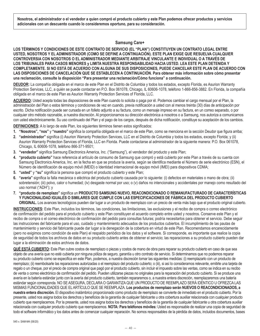**Nosotros, el administrador o el vendedor a quien compró el producto cubierto y este Plan podemos ofrecer productos y servicios adicionales con un descuento cuando lo consideremos oportuno, para su consideración.** 

#### **Samsung Care+**

**LOS TÉRMINOS Y CONDICIONES DE ESTE CONTRATO DE SERVICIO (EL "PLAN") CONSTITUYEN UN CONTRATO LEGAL ENTRE USTED, NOSOTROS Y EL ADMINISTRADOR (COMO SE DEFINE A CONTINUACIÓN). ESTE PLAN EXIGE QUE RESUELVA CUALQUIER CONTROVERSIA CON NOSOTROS O EL ADMINISTRADOR MEDIANTE ARBITRAJE VINCULANTE E INDIVIDUAL O A TRAVÉS DE LOS TRIBUNALES PARA CASOS MENORES y LIMITA NUESTRA RESPONSABILIDAD HACIA USTED. LEA ESTE PLAN DETENIDA Y COMPLETAMENTE. SI NO ESTÁ DE ACUERDO CON ALGUNA DE SUS DISPOSICIONES, PUEDE CANCELAR ESTE PLAN DE ACUERDO CON LAS DISPOSICIONES DE CANCELACIÓN QUE SE ESTABLECEN A CONTINUACIÓN. Para obtener más información sobre cómo presentar una reclamación, consulte la disposición "Para presentar una reclamación/Cómo funciona" a continuación.** 

**DEUDOR:** La compañía obligada en el marco de este Plan en el Distrito de Columbia y todos los estados, excepto Florida, es Asurion Warranty Protection Services, LLC, a quién se puede contactar en P.O. Box 061078, Chicago, IL 60606-1078, teléfono 1-866-856-3882. En Florida, la compañía obligada en el marco de este Plan es Asurion Warranty Protection Services of Florida, LLC.

**ACUERDO:** Usted acepta todas las disposiciones de este Plan cuando lo solicita o paga por él. Podemos cambiar el cargo mensual por el Plan, la administración del Plan o estos términos y condiciones de vez en cuando, previa notificación a usted con al menos treinta (30) días de anticipación por escrito. Dicha notificación puede ser cursada en un folleto adjunto a su factura, como un mensaje impreso en su factura, en un correo separado, o por cualquier otro método razonable, a nuestra discreción. Al proporcionarnos su dirección electrónica a nosotros o a Samsung, nos autoriza a comunicarnos con usted electrónicamente. Su uso continuado del Plan y el pago de los cargos, después de dicha notificación, constituye su aceptación de los cambios.

**DEFINICIONES:** A lo largo de este Plan, los siguientes términos tienen estos significados:

- **1. "Nosotros", "nos"** y **"nuestro"** significa la compañía obligada en el marco de este Plan, como se menciona en la sección Deudor que figura arriba;
- **2. "administrador"** significa (i) Asurion Warranty Protection Services, LLC en el Distrito de Columbia y todos los estados, excepto Florida; y (ii) Asurion Warranty Protection Services of Florida, LLC en Florida. Puede contactarse al administrador de la siguiente manera: P.O. Box 061078, Chicago, IL 60606-1078, teléfono 866-371-9501;
- **3. "vendedor"** significa Samsung Electronics America, Inc. ("Samsung"), el vendedor del producto y este Plan;
- **4. "producto cubierto"** hace referencia al artículo de consumo de Samsung que compró y está cubierto por este Plan a través de su cuenta con Samsung Electronics America, Inc. en la fecha en que se produce la avería, según se identifica mediante el Número de serie electrónico (ESN), el Número de identificación de equipo móvil (MEID) o Identidad internacional de equipo móvil (IMEI) para dispositivos CDMA;
- **5. "usted"** y **"su"** significa la persona que compró el producto cubierto y este Plan;
- **6. "avería"** significa la falla mecánica o eléctrica del producto cubierto causada por lo siguiente: (i) defectos en materiales o mano de obra; (ii) sobretensión; (iii) polvo, calor o humedad; (iv) desgaste normal por uso; o (v) daños no intencionales y accidentales por manejo como resultado del uso normal ("ADH"); y
- **7. "producto de reemplazo"** significa un **PRODUCTO SAMSUNG NUEVO, REACONDICIONADO O REMANUFACTURADO DE CARACTERÍSTICAS Y FUNCIONALIDAD IGUALES O SIMILARES QUE CUMPLE CON LAS ESPECIFICACIONES DE FÁBRICA DEL PRODUCTO CUBIERTO ORIGINAL.** Los avances tecnológicos pueden dar lugar a un producto de reemplazo con un precio de venta más bajo que el producto original cubierto.

**INSTRUCCIONES:** Este Plan, incluidos los términos, las condiciones, las limitaciones, las exclusiones y el recibo de compra o correo electrónico de confirmación del pedido para el producto cubierto y este Plan constituyen el acuerdo completo entre usted y nosotros. Conserve este Plan y el recibo de compra o el correo electrónico de confirmación del pedido para consultas futuras; podría necesitarlos para obtener el servicio. Debe seguir las instrucciones del fabricante para el uso, cuidado y mantenimiento adecuados de los productos cubiertos. El incumplimiento de las pautas de mantenimiento y servicio del fabricante puede dar lugar a la denegación de la cobertura en virtud de este Plan. Recomendamos encarecidamente (pero no exigimos como condición de este Plan) el respaldo periódico de los datos y el software. Si corresponde, es importante que realice la copia de seguridad de todos los archivos de datos en su producto cubierto antes de obtener el servicio; las reparaciones a su producto cubierto pueden dar lugar a la eliminación de estos archivos de datos.

**QUÉ ESTÁ CUBIERTO:** Este Plan cubre costos de reemplazo o piezas y costos de mano de obra para reparar su producto cubierto en caso de que sea objeto de una avería que no esté cubierta por ninguna póliza de seguro, garantía u otro contrato de servicio. Si determinamos que no podemos reparar su producto cubierto como se especifica en este Plan, podemos, a nuestra discreción tomar las siguientes medidas: (i) reemplazarlo con un producto de reemplazo; (ii) reembolsarle las reparaciones autorizadas o el reemplazo del producto cubierto; o (iii), si así lo consideramos relevante, emitirle una tarjeta de regalo o un cheque, por el precio de compra original que pagó por el producto cubierto, sin incluir el impuesto sobre las ventas, como se indica en su recibo de venta o correo electrónico de confirmación del pedido. Pueden utilizarse piezas no originales para la reparación del producto cubierto. Si se produce una avería en la batería estándar junto con la avería del producto cubierto, también repararemos o, a nuestra entera discreción, reemplazaremos una batería estándar según corresponda. NO SE ASEGURA, DECLARA O GARANTIZA QUE UN PRODUCTO DE REEMPLAZO SERÁ IDÉNTICO U OFREZCA LAS MISMAS FUNCIONALIDADES QUE EL ARTÍCULO QUE SE REEMPLAZA. **Los productos de reemplazo serán NUEVOS O REACONDICIONADOS, a nuestra entera discreción.** El dispositivo inalámbrico proporcionado como producto de reemplazo se convierte de inmediato en el producto cubierto. Por la presente, usted nos asigna todos los derechos y beneficios de la garantía de cualquier fabricante u otra cobertura auxiliar relacionada con cualquier producto cubierto que reemplacemos. Por la presente, usted nos asigna todos los derechos y beneficios de la garantía de cualquier fabricante u otra cobertura auxiliar relacionada con cualquier producto cubierto que reemplacemos. **NOTA: Para teléfonos móviles:** Usted es responsable de realizar una copia de seguridad de todo el software informático y los datos antes de comenzar cualquier reparación. No somos responsables de la pérdida de datos, incluidos documentos, bases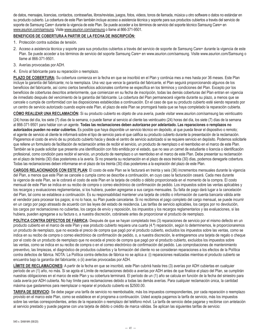de datos, mensajes, licencias, contactos, contraseñas, libros/revistas, juegos, fotos, videos, tonos de llamada, música u otro software o datos no estándar en su producto cubierto. La cobertura de este Plan también incluye acceso a asistencia técnica y soporte para sus productos cubiertos a través del servicio de soporte de Samsung Care+ durante la vigencia de este Plan. Se puede acceder a los términos de servicio del soporte técnico Samsung Care+ en www.asurion.com/samsung. Visite www.asurion.com/samsung o llame al 866-371-9501.

# **BENEFICIOS DE COBERTURA A PARTIR DE LA FECHA DE INSCRIPCIÓN:**

- 1. Protección contra subidas de tensión.
- 2. Acceso a asistencia técnica y soporte para sus productos cubiertos a través del servicio de soporte de Samsung Care+ durante la vigencia de este Plan. Se puede acceder a los términos de servicio del soporte Samsung Care+ en www.asurion.com/samsung. Visite www.asurion.com/Samsung o llame al 866-371-9501.
- 3. Averías provocadas por ADH.
- 4. Envío al fabricante para su reparación o reemplazo.

**PLAZO DE COBERTURA:** Su cobertura comienza en la fecha en que se inscribió en el Plan y continúa mes a mes hasta por 36 meses. Este Plan incluye la garantía del fabricante; no la reemplaza. Una vez que vence la garantía del fabricante, el Plan seguirá proporcionando algunos de los beneficios del fabricante, así como ciertos beneficios adicionales conforme se especifica en los términos y condiciones del Plan. Excepto por los beneficios de coberturas descritos anteriormente, que comienzan en su fecha de inscripción, todas las demás coberturas del Plan entran en vigencia de inmediato después del vencimiento de la garantía del fabricante. La cobertura del Plan permanecerá vigente durante su plazo, a menos que se cancele o cumpla de conformidad con las disposiciones establecidas a continuación. En el caso de que su producto cubierto esté siendo reparado por un centro de servicio autorizado cuando expire este Plan, el plazo de este Plan se prorrogará hasta que se haya completado la reparación cubierta.

**CÓMO REALIZAR UNA RECLAMACIÓN:** Si su producto cubierto es objeto de una avería, puede visitar www.asurion.com/samsung las veinticuatro

(24) horas del día, los siete (7) días de la semana, o puede llamar al servicio al cliente las veinticuatro (24) horas del día, los siete (7) días de la semana al 866-371-9501 para hablar con un agente. **Todas las reclamaciones deben autorizarse por adelantado. Las reparaciones o remplazos no autorizados pueden no estar cubiertos.** Es posible que haya disponible un servicio técnico en depósito, al que pueda llevar el dispositivo o remoto; el agente de servicio al cliente le informará sobre el tipo de servicio para el que califica su producto cubierto durante la presentación de la reclamación. Pagaremos el costo de envío de su producto cubierto hacia y desde el centro de servicio autorizado si se requiere servicio en depósito. Podemos solicitarle que rellene un formulario de facilitación de reclamación antes de recibir el servicio, un producto de reemplazo o el reembolso en el marco de este Plan. También se le puede solicitar que presente una identificación con foto emitida por el estado, que no sea un carnet de estudiante o licencia o identificación profesional, como condición para recibir el servicio, un producto de reemplazo o un reembolso en el marco de este Plan. Debe presentar su reclamación en el plazo de treinta (30) días posteriores a la avería. Si no presenta su reclamación en el plazo de esos treinta (30) días, podemos denegarle cobertura. Todas las reclamaciones deben informarse en el plazo de los treinta (30) días posteriores a la expiración del plazo de este Plan.

**CARGOS RELACIONADOS CON ESTE PLAN:** El costo de este Plan se le facturará en treinta y seis (36) incrementos mensuales durante la vigencia del Plan, a menos que este Plan se cancele o cumpla como se describe a continuación, en cuyo caso la facturación cesará. Cada mes durante la vigencia de este Plan, se le cobrará el costo de este Plan en la tarjeta de crédito o débito proporcionada en el momento de la compra. El costo mensual de este Plan se indica en su recibo de compra o correo electrónico de confirmación de pedido. Los impuestos sobre las ventas aplicables y los recargos y evaluaciones reglamentarias, si los hubiera, pueden agregarse a sus cargos mensuales. Su falta de pago dará lugar a la cancelación del Plan, tal como se establece a continuación. Es su responsabilidad mantener una tarjeta de crédito o información de cuenta bancaria válida ante el vendedor para procesar los pagos; si no lo hace, su Plan puede cancelarse. Si no recibimos el pago completo del cargo mensual, se puede incurrir en un cargo por pago atrasado de acuerdo con las leyes del estado de residencia. Las tarifas de servicio aplicables, los cargos por no devolución, los cargos por reclamaciones no cubiertas, los cargos de envío y reposición, los impuestos y los recargos reglamentarios y las evaluaciones, si las hubiera, pueden agregarse a su factura o, a nuestra discreción, cobrársele antes de proporcionar el producto de reemplazo.

POLÍTICA CONTRA DEFECTOS DE FÁBRICA: Después de que se hayan completado tres (3) reparaciones de servicio por el mismo defecto en un producto cubierto en el marco de este Plan y ese producto cubierto requiera una cuarta (4.ª) reparación, según lo determinemos, le proporcionaremos un producto de reemplazo, que no exceda el precio de compra que pagó por el producto cubierto, excluidos los impuestos sobre las ventas, como se indica en su recibo de compra o correo electrónico de confirmación de pedido, o, a nuestra discreción, le entregaremos una tarjeta de regalo o cheque por el costo de un producto de reemplazo que no exceda el precio de compra que pagó por el producto cubierto, excluidos los impuestos sobre las ventas, como se indica en su recibo de compra o en el correo electrónico de confirmación del pedido. Las comprobaciones de mantenimiento preventivo, las limpiezas, el diagnóstico de productos cubiertos y la formación del cliente no se consideran reparaciones a los efectos de la Política contra defectos de fábrica. NOTA: La Política contra defectos de fábrica no se aplica a: (i) reparaciones realizadas mientras el producto cubierto se encuentra bajo la garantía del fabricante; o (ii) averías provocadas por ADH.

**LÍMITE DE RECLAMACIONES:** A partir de la fecha en que se inscribió, este Plan cubrirá hasta tres (3) averías por ADH cubiertas en cualquier período de un (1) año, no más. Si se agota el Límite de reclamaciones debido a averías por ADH antes de que finalice el plazo del Plan, se cumplirán nuestras obligaciones en el marco de este Plan y su cobertura terminará. El período de un (1) año se calcula en función de la fecha del siniestro para cada avería por ADH cubierta. No hay límite para reclamaciones debido a todas las demás averías. Para cualquier reclamación única, la cantidad máxima que gastaremos para reemplazar o reparar el producto cubierto es \$2500.00.

**TARIFA DE SERVICIO:** Se debe pagar una tarifa de servicio no reembolsable, más los impuestos correspondientes, por cada reparación o reemplazo provisto en el marco este Plan, como se establece en el programa a continuación. Usted acepta pagarnos la tarifa de servicio, más los impuestos sobre las ventas correspondientes, antes de la reparación o reemplazo del teléfono móvil. La tarifa de servicio debe pagarse y recibirse con antelación al servicio prestado y puede pagarse con una tarjeta de débito o crédito de marca válidas. Se aplican las siguientes tarifas de servicio: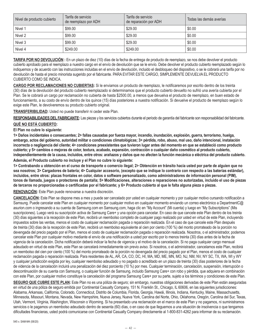| Nivel de producto cubierto | Tarifa de servicio<br>de reemplazo por ADH | Tarifa de servicio<br>de reparación por ADH | Todas las demás averías |
|----------------------------|--------------------------------------------|---------------------------------------------|-------------------------|
| Nivel 1                    | \$99.00                                    | \$29.00                                     | \$0.00                  |
| Nivel 2                    | \$99.00                                    | \$29.00                                     | \$0.00                  |
| Nivel 3                    | \$99.00                                    | \$29.00                                     | \$0.00                  |
| Nivel 4                    | \$249.00                                   | \$249.00                                    | \$0.00                  |

**TARIFA POR NO DEVOLUCIÓN :** En un plazo de diez (10) días de la fecha de entrega de producto de reemplazo, se nos debe devolver el producto cubierto aprobado para el reemplazo a nuestro cargo en el envío de devolución que se le envío. Debe devolver el producto cubierto reemplazado según lo indiquemos y de acuerdo con las instrucciones incluidas en el envío de devolución, incluido el desbloqueo del dispositivo, o se le cobrará una tarifa por no devolución de hasta el precio minorista sugerido por el fabricante. PARA EVITAR ESTE CARGO, SIMPLEMENTE DEVUELVA EL PRODUCTO CUBIERTO COMO SE INDICA.

**CARGO POR RECLAMACIONES NO CUBIERTAS:** Si le enviamos un producto de reemplazo, le notificaremos por escrito dentro de los treinta (30) días de la devolución del producto cubierto reemplazado si determinamos que el producto cubierto devuelto no sufrió una avería cubierta por el Plan. Se le cobrará un cargo por reclamación no cubierta de hasta \$2500.00, a menos que devuelva el producto de reemplazo, en buen estado de funcionamiento, a su costo de envío dentro de los quince (15) días posteriores a nuestra notificación. Si devuelve el producto de reemplazo según lo exige este Plan, le devolveremos su producto cubierto original.

#### **TRANSFERIBILIDAD:** Usted no puede transferir ni ceder este Plan.

**RESPONSABILIDADES DEL FABRICANTE:** Las piezas y los servicios cubiertos durante el período de garantía del fabricante son responsabilidad del fabricante. **QUÉ NO ESTÁ CUBIERTO:** 

#### **El Plan no cubre lo siguiente:**

**1> Daños incidentales o consecuentes; 2> fallas causadas por fuerza mayor, incendio, inundación, explosión, guerra, terrorismo, huelga, embargo, actos del gobierno, autoridad militar o condiciones climatológicas; 3> pérdida, robo, abuso, mal uso, daño intencional, instalación incorrecta o negligencia del cliente; 4> condiciones preexistentes que tuvieron lugar antes del momento en que se estableció como producto cubierto; y 5> cambios o mejoras de color, textura, acabado, expansión, contracción o cualquier daño cosmético al producto cubierto, independientemente de la causa, incluidos, entre otros: arañazos y daños que no afecten la función mecánica o eléctrica del producto cubierto. Además, el Producto cubierto no incluye y el Plan no cubre lo siguiente:** 

**1> Contrabando u obtención en el curso de transporte o comercio ilegal; 2> Obtención en tránsito hacia usted por parte de alguien que no sea nosotros; 3> Cargadores de batería; 4> Cualquier accesorio, (excepto que se indique lo contrario con respecto a las baterías estándar), incluidos, entre otros: placas frontales en color, datos o software personalizado, como administradores de información personal (PIM), tonos de llamada, juegos o protectores de pantalla; 5> Modificaciones, alteraciones o reparaciones no autorizadas, incluido el uso de piezas de terceros no proporcionadas o certificadas por el fabricante; y 6> Producto cubierto al que le falta alguna pieza o piezas.** 

**RENOVACIÓN:** Este Plan puede renovarse a nuestra discreción.

**CANCELACIÓN:** Este Plan se dispone mes a mes y puede ser cancelado por usted en cualquier momento y por cualquier motivo cursando notificación a Samsung. Puede cancelar este Plan en cualquier momento por cualquier motivo en cualquier momento enviando un correo electrónico a DepartmentC@ asurion.com o ingresando a su cuenta de Samsung.com en Samsung.com, haga clic en "My Account" (Mi cuenta) y luego en "My Subscriptions" (Mis suscripciones). Luego verá su suscripción activa de Samsung Care+ y una opción para cancelar. En caso de que cancele este Plan dentro de los treinta (30) días siguientes a la recepción de este Plan, recibirá un reembolso completo de cualquier pago realizado por usted en virtud de este Plan, incluyendo impuestos sobre las ventas, menos el costo de cualquier reclamación pagada o reparación realizada. En el caso de que cancele este Plan después de treinta (30) días de la recepción de este Plan, recibirá un reembolso equivalente al cien por ciento (100 %) del monto prorrateado de la porción no devengada del precio pagado por el Plan, menos el costo de cualquier reclamación pagada o reparación realizada. Nosotros, o el administrador, podemos cancelar este Plan por cualquier motivo mediante el envío de una notificación a usted por escrito por lo menos treinta (30) días antes de la fecha de vigencia de la cancelación. Dicha notificación deberá indicar la fecha de vigencia y el motivo de la cancelación. Si no paga cualquier cargo mensual adeudado en virtud de este Plan, este Plan se cancelará inmediatamente sin previo aviso. Si nosotros, o el administrador, cancelamos este Plan, recibirá un reembolso del cien por ciento (100 %) del monto prorrateado de la porción no devengada del precio pagado por el Plan, menos el costo de cualquier reclamación pagada o reparación realizada. Para residentes de AL, AR, CA, CO, DC, HI, MA, MD, ME, MN, MO, NJ, NM, NV, NY SC, TX, WA, WI y WY y cualquier jurisdicción exigida por ley, cualquier reembolso adeudado y no pagado o acreditado en un plazo de treinta (30) días posteriores de la fecha de videncia de la cancelación incluirá una penalización del diez porciento (10 %) por mes. Cualquier terminación, cancelación, suspensión, interrupción o descontinuación de su cuenta con Samsung, o cualquier función de Samsung, incluido Samsung Care+ con robo y pérdida, que adquiera en combinación con este Plan, por cualquier motivo constituye la cancelación del programa Samsung Care+ por su parte, sujeto a los términos y condiciones de este Plan.

SEGURO QUE CUBRE ESTE PLAN: Este Plan no es una póliza de seguro; sin embargo, nuestras obligaciones derivadas de este Plan están aseguradas en virtud de una póliza de seguro emitida por Continental Casualty Company, 151 N. Franklin St., Chicago, IL 60606, en las siguientes jurisdicciones: Alabama, Arkansas, California, Colorado, Connecticut, Distrito de Columbia, Florida, Georgia, Hawái, Illinois, Indiana, Kentucky, Maine, Massachusetts, Minnesota, Missouri, Montana, Nevada, New Hampshire, Nueva Jersey, Nueva York, Carolina del Norte, Ohio, Oklahoma, Oregón, Carolina del Sur, Texas, Utah, Vermont, Virginia, Washington, Wisconsin o Wyoming. Si ha presentado una reclamación en el marco de este Plan y no pagamos, ni suministramos servicios o le pagamos un reembolso adeudado dentro de sesenta (60) días, o en caso de que lleguemos a una situación de insolvencia o que tengamos dificultades financieras, usted podrá comunicarse con Continental Casualty Company directamente al 1-800-831-4262 para informar de su reclamación.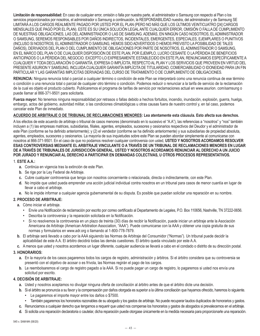**Limitación de responsabilidad:** En caso de cualquier error, omisión o falla por nuestra parte, el administrador o Samsung con respecto al Plan o los servicios proporcionados por nosotros, el administrador o Samsung a continuación, la RESPONSABILIDAD nuestra, del administrador y de Samsung SE LIMITARÁ A LOS CARGOS REALMENTE PAGADO POR USTED POR EL PLAN (PERO NO MÁS QUE LOS ÚLTIMOS VEINTICUATRO [24] CARGOS MENSUALES QUE PAGÓ POR EL PLAN). ESTE ES SU ÚNICA SOLUCIÓN LEGAL ANTE CUALQUIER ERROR, OMISIÓN O FALLA DE CUMPLIMIENTO DE NUESTRAS OBLIGACIONES, LAS DEL ADMINISTRADOR O LAS DE SAMSUNG. ADEMÁS, EN NINGÚN CASO NOSOTROS, EL ADMINISTRADOR O SAMSUNG, SEREMOS RESPONSABLES POR DAÑOS INDIRECTOS, INCIDENTALES, EMERGENTES, ESPECIALES, EJEMPLARES O PUNITIVOS (INCLUSO SI NOSOTROS, EL ADMINISTRADOR O SAMSUNG, HEMOS SIDO ADVERTIDOS O HEMOS PREVISTO LA POSIBILIDAD DE TALES DAÑOS), DERIVADOS DEL PLAN O DEL CUMPLIMIENTO DE OBLIGACIONES POR PARTE DE NOSOTROS, EL ADMINISTRADOR O SAMSUNG, EN EL MARCO DEL PLAN O DE CUALQUIER DISPOSICIÓN DE ESTE PLAN, POR EJEMPLO, LUCRO CESANTE O LA PÉRDIDA DE BENEFICIOS ANTICIPADOS O LA PÉRDIDA DEL NEGOCIO. EXCEPTO LO EXPRESAMENTE ESTABLECIDO EN ESTE PLAN, RENUNCIAMOS ESPECÍFICAMENTE A CUALQUIER Y TODA DECLARACIÓN O GARANTÍA, EXPRESA O IMPLÍCITA, RESPECTO AL PLAN Y LOS SERVICIOS QUE PROVEEN EN VIRTUD DEL PRESENTE ASURION Y SAMSUNG, INCLUIDA CUALQUIER GARANTÍA IMPLÍCITA DE TITULARIDAD, COMERCIABILIDAD O IDONEIDAD PARA UN FIN PARTICULAR Y LAS GARANTÍAS IMPLÍCITAS DERIVADAS DEL CURSO DE TRATAMIENTO O DE CUMPLIMIENTO DE OBLIGACIONES.

**RENUNCIA:** Ninguna renuncia total o parcial a cualquier término o condición de este Plan se interpretará como una renuncia continua de ese término o condición o una renuncia total o parcial de cualquier otro término o condición. Podemos reducir o renunciar a la tarifa de servicio de la reclamación de la cual es objeto el producto cubierto. Publicaremos el programa de tarifas de servicio por reclamaciones actual en www.asurion. com/samsung o puede llamar al 866-371-9501 para solicitarla.

**Fuerza mayor:** No tenemos ninguna responsabilidad por retrasos o fallas debido a hechos fortuitos, incendio, inundación, explosión, guerra, huelga, embargo, actos del gobierno, autoridad militar, o las condiciones climatológicas u otras causas fuera de nuestro control y, en tal caso, podemos cancelar este Plan de inmediato.

### **ACUERDO DE ARBITRAJE O DE TRIBUNAL DE RECLAMACIONES MENORES: Lea atentamente esta cláusula. Esto afecta sus derechos.**

A los efectos de este acuerdo de arbitraje o tribunal de casos menores (denominado en lo sucesivo el "A.A"), las referencias a "nosotros" y "nos" también incluyen a (1) las empresas matrices, subsidiarias, filiales, agentes, empleados, sucesores y cesionarios respectivos del Deudor y el administrador de este Plan (conforme se ha definido anteriormente); y (2) el vendedor (conforme se ha definido anteriormente) y sus subsidiarias de propiedad absoluta, agentes, empleados, sucesores y cesionarios. La mayoría de sus inquietudes sobre este Plan se pueden abordar simplemente al comunicarse con nosotros al 866-371-9501. En el caso de que no podamos resolver cualquier controversia con usted, **USTED Y NOSOTROS ACORDAMOS RESOLVER ESAS CONTROVERSIAS MEDIANTE EL ARBITRAJE VINCULANTE O A TRAVÉS DE UN TRIBUNAL DE RECLAMACIONES MENORES EN LUGAR DE A TRAVÉS DE TRIBUNALES DE JURISDICCIÓN GENERAL. USTED Y NOSOTROS ACORDAMOS RENUNCIAR AL DERECHO A UN JUICIO POR JURADO Y RENUNCIAR AL DERECHO A PARTICIPAR EN DEMANDAS COLECTIVAS, U OTROS PROCESOS REPRESENTATIVOS.** 

#### 1. **ESTE A.A.:**

- **a.** Continúa en vigencia tras la extinción de este Plan.
- **b.** Se rige por la Ley Federal de Arbitraje.
- **c.** Cubre cualquier controversia que tenga con nosotros concerniente o relacionada, directa o indirectamente, con este Plan.
- **d.** No impide que usted pueda emprender una acción judicial individual contra nosotros en un tribunal para casos de menor cuantía en lugar de llevar a cabo el arbitraje.
- **e.** No le impide informar a cualquier agencia gubernamental de su disputa. Es posible que puedan solicitar una reparación en su nombre.

### **2. PROCESO DE ARBITRAJE:**

- **a.** Cómo iniciar el arbitraje.
	- Envíe una Notificación de reclamación por escrito por correo certificado al Departamento de Legales, P.O. Box 110656, Nashville, TN 37222-0656.
	- Describa la controversia y la reparación solicitada en la Notificación.
	- Si no resolvemos la controversia en un plazo de treinta (30) días de recibir la Notificación, puede iniciar un arbitraje ante la Asociación Americana de Arbitraje (American Arbitration Association, "AAA"). Puede comunicarse con la AAA y obtener una copia gratuita de sus normas y formularios en www.adr.org o llamando al 1-800-778-7879.
- **b.** El arbitraje será llevado a cabo por la AAA siguiendo las Normas de Arbitraje del Consumidor ("Normas"). Un tribunal puede decidir la aplicabilidad de este A.A. El árbitro decidirá todas las demás cuestiones. El árbitro queda vinculado por este A.A.
- **c.** A menos que usted y nosotros acordemos un lugar diferente, cualquier audiencia se llevará a cabo en el condado o distrito de su dirección postal.

### **3. HONORARIOS:**

- **a.** En la mayoría de los casos pagaremos todos los cargos de registro, administración y árbitros. Si el árbitro considera que su controversia se presentó con el objetivo de acosar o es frívola, las Normas regirán el pago de los cargos.
- **b.** Le reembolsaremos el cargo de registro pagado a la AAA. Si no puede pagar un cargo de registro, lo pagaremos si usted nos envía una solicitud por escrito.

#### **4. DECISIÓN DE ARBITRAJE:**

- **a.** Usted y nosotros aceptamos no divulgar ninguna oferta de conciliación al árbitro antes de que el árbitro dicte una decisión.
- **b.** Si el árbitro se pronuncia a su favor y la compensación por daños otorgada es superior a la última conciliación que hayamos ofrecido, haremos lo siguiente. • Le pagaremos el importe mayor entre los daños o \$7500.
	- También pagaremos los honorarios razonables de su abogado y los gastos de arbitraje. No puede recuperar laudos duplicados de honorarios y gastos.
- **c.** Renunciamos a cualquier derecho que tengamos a requerir que usted nos compense los honorarios y gastos de abogados si prevalecemos en el arbitraje.
- **d.** Si solicita una reparación declaratoria o cautelar, dicha reparación puede otorgase únicamente en la medida necesaria para proporcionarle una reparación.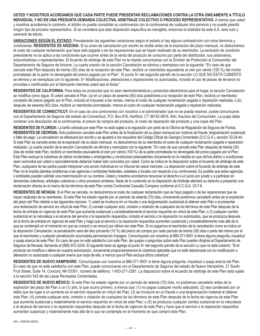**USTED Y NOSOTROS ACORDAMOS QUE CADA PARTE PUEDE PRESENTAR RECLAMACIONES CONTRA LA OTRA ÚNICAMENTE A TÍTULO INDIVIDUAL Y NO EN UNA PRESUNTA DEMANDA COLECTIVA, ARBITRAJE COLECTIVO O PROCESO REPRESENTATIVO.** A menos que usted y nosotros acordemos lo contrario, el árbitro no puede consolidar su controversia con la controversia de cualquier otra persona y no puede presidir ningún tipo de proceso representativo. Si se considera que esta disposición específica es inexigible, entonces la totalidad de este A.A. será nulo y carecerá de efecto.

**VARIACIONES SEGÚN EL ESTADO:** Prevalecerán las siguientes variaciones según el estado si hay alguna contradicción con otros términos y condiciones: **RESIDENTES DE ARIZONA:** Si su aviso de cancelación por escrito se recibe antes de la expiración del plazo mensual, no deduciremos el costo de cualquier reclamación que haya sido pagada o de las reparaciones que se hayan realizado de su reembolso. La exclusión de condición preexistente no se aplica a las condiciones que ocurren antes de la venta del producto de consumo por parte del distribuidor, sus cesionarios, subcontratistas o representantes. El Acuerdo de arbitraje de este Plan no le impide comunicarse con la División de Protección al Consumidor del Departamento de Seguros de Arizona. La cuarta oración de la sección Cancelación se elimina y reemplaza con la siguiente: "En caso de que cancele este Plan después de treinta (30) días de la recepción de este Plan, recibirá un reembolso equivalente al cien por ciento (100 %) del monto prorrateado de la parte no devengada del precio pagado por el Plan". El punto 5> del segundo párrafo de la sección LO QUE NO ESTÁ CUBIERTO se elimina y se reemplaza con lo siguiente: 5> Modificaciones, alteraciones o reparaciones no autorizadas, incluido el uso de piezas de terceros no provistas o certificadas por el fabricante mientras usted sea el titular."

**RESIDENTES DE CALIFORNIA:** Para todos los productos que no sean electrodomésticos y productos electrónicos para el hogar, la sección Cancelación se modifica como sigue: Si usted cancela el Plan: (a) en un plazo de sesenta (60) días posteriores a la recepción de este Plan, recibirá un reembolso completo del precio pagado por el Plan, incluido el impuesto a las ventas, menos el costo de cualquier reclamación pagada o reparación realizada, o (b) después de sesenta (60) días, recibirá un reembolso prorrateado, menos el costo de cualquier reclamación pagada o reparación realizada.

**RESIDENTES DE CONNECTICUT:** En el caso de una controversia con nosotros o el administrador que no se pueda resolver, puede comunicarse con el Departamento de Seguros del estado de Connecticut, P.O. Box 816, Hartford, CT 06142-0816, Attn: Asuntos del Consumidor. La queja debe contener una descripción de la controversia, el precio de compra del producto, el costo de reparación del producto y una copia del Plan.

**RESIDENTES DE FLORIDA:** La tarifa cobrada por este Plan no está sujeta a la regulación por parte de la Oficina de Regulación de Seguros de Florida. **RESIDENTES DE GEORGIA:** Solo podremos cancelar este Plan antes de la finalización de su plazo mensual por motivos de fraude, tergiversación sustancial o falta de pago. La cancelación se efectuará por escrito y se ajustará a los requisitos del Código Oficial de Georgia Comentado (O.C.G.A.), sección 33-24-44. Si este Plan se cancela antes de la expiración de su plazo mensual, no deduciremos de su reembolso el costo de cualquier reclamación pagada o reparación realizada. La cuarta oración de la sección Cancelación se elimina y reemplaza con la siguiente: "En caso de que cancele este Plan después de treinta (30) días de recibir este Plan, recibirá un reembolso equivalente al cien por ciento (100 %) de la parte prorrateada no devengada del precio pagado por el Plan. Este Plan excluye la cobertura de daños incidentales y emergentes y condiciones preexistentes únicamente en la medida en que dichos daños o condiciones sean conocidos por usted o razonablemente deberían haber sido conocidos por usted. Como se indica en la disposición sobre el Acuerdo de arbitraje de este Plan, cualquiera de las partes puede interponer una acción individual en un tribunal de casos menores. La disposición sobre el Acuerdo de arbitraje de este Plan no le impide plantear problemas a las agencias o entidades federales, estatales o locales con respecto a su controversia. Es posible que estas agencias o entidades puedan solicitar una indemnización en su nombre. Usted y nosotros acordamos renunciar al derecho a un juicio por jurado y a participar en demandas colectivas, arbitrajes colectivos u otros procesos similares. Nada de lo contenido en la disposición de Arbitraje afectará su derecho a presentar una reclamación directa en el marco de los términos de este Plan contra Continental Casualty Company conforme al O.C.G.A. 33-7-6.

**RESIDENTES DE NEVADA:** Si el Plan se cancela, no deduciremos el costo de cualquier reclamación que se haya pagado o de las reparaciones que se hayan realizado de su reembolso. Si este Plan ha estado vigente por un período de setenta (70) días, únicamente podremos cancelarlo antes de la expiración del plazo del Plan debido a las siguientes razones: 1) usted se involucra en un fraude o una tergiversación sustancial al obtener este Plan o al presentar una reclamación de servicio en virtud de este Plan; 2) comete cualquier acto, omisión o violación de cualquiera de los términos de este Plan después de la fecha de entrada en vigencia de este Plan que aumenta sustancial y considerablemente el servicio requerido en virtud de este Plan; o 3) cualquier cambio sustancial en la naturaleza o el alcance del servicio o la reparación requeridos, incluido el servicio o la reparación no autorizados, que se produzca después de la fecha de entrada en vigencia de este Plan y haga que el servicio o la reparación requeridos aumenten sustancial y considerablemente más allá de lo que se contempló en el momento en que se compró o se renovó por última vez este Plan. Si no pagamos el reembolso de la cancelación como se indica en la disposición Cancelación, la penalización será del diez porciento (10 %) del precio de compra por cada período de treinta (30) días o parte del mismo por el que el reembolso y cualquier penalización acumulada permanezcan impagos. Comuníquese con nosotros al 866-371-9501 si tiene alguna pregunta, inquietud o queja acerca de este Plan. En caso de que no esté satisfecho con este Plan, las quejas o preguntas sobre este Plan pueden dirigirse al Departamento de Seguros de Nevada, llamando al (888) 872-3234. El siguiente texto se agrega al punto 5> del segundo párrafo de la sección Lo que no está cubierto: "Si el producto se modifica o altera sin nuestra autorización, únicamente proporcionaremos la cobertura aplicable que no esté relacionada con la modificación o alteración no autorizada o cualquier avería que surja de ella, a menos que el Plan excluya dicha cobertura".

**RESIDENTES DE NUEVO HAMPSHIRE:** Comuníquese con nosotros al 866-371-9501 si tiene alguna pregunta, inquietud o queja acerca del Plan. En caso de que no esté satisfecho con este Plan, puede comunicarse con el Departamento de Seguros del estado de Nuevo Hampshire, 21 South Fruit Street, Suite 14, Concord, NH 03301, número de teléfono: 1-603-271-2261. La disposición sobre el Acuerdo de arbitraje de este Plan está sujeta a la sección 542 de las Leyes Revisadas Comentadas.

**RESIDENTES DE NUEVO MÉXICO:** Si este Plan ha estado vigente por un período de setenta (70) días, no podremos cancelarlo antes de la expiración del plazo del Plan o un (1) año, lo que ocurra primero, a menos que: (1) no pague cualquier monto adeudado; (2) sea condenado por un delito que da lugar a un aumento en el servicio requerido en virtud del Plan; (3) se involucre en un fraude o una tergiversación material al obtener este Plan; (4) cometa cualquier acto, omisión o violación de cualquiera de los términos de este Plan después de la fecha de vigencia de este Plan que aumenta sustancial y materialmente el servicio requerido en virtud de este Plan; o (5) se produzca cualquier cambio sustancial en la naturaleza o el alcance del servicio o la reparación requeridos después de la fecha de vigencia de este Plan y hace que el servicio o la reparación requeridos aumenten sustancial y materialmente más allá de lo que se contempla en el momento en que compró este Plan.